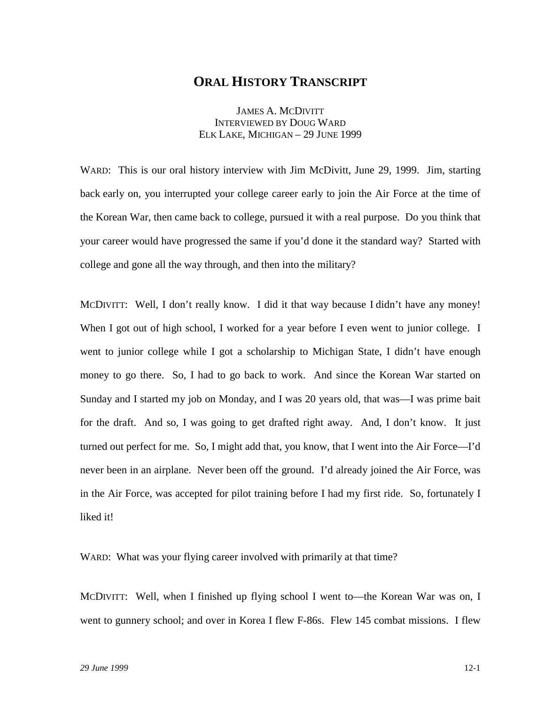# **ORAL HISTORY TRANSCRIPT**

JAMES A. MCDIVITT INTERVIEWED BY DOUG WARD ELK LAKE, MICHIGAN – 29 JUNE 1999

WARD: This is our oral history interview with Jim McDivitt, June 29, 1999. Jim, starting back early on, you interrupted your college career early to join the Air Force at the time of the Korean War, then came back to college, pursued it with a real purpose. Do you think that your career would have progressed the same if you'd done it the standard way? Started with college and gone all the way through, and then into the military?

MCDIVITT: Well, I don't really know. I did it that way because I didn't have any money! When I got out of high school, I worked for a year before I even went to junior college. I went to junior college while I got a scholarship to Michigan State, I didn't have enough money to go there. So, I had to go back to work. And since the Korean War started on Sunday and I started my job on Monday, and I was 20 years old, that was—I was prime bait for the draft. And so, I was going to get drafted right away. And, I don't know. It just turned out perfect for me. So, I might add that, you know, that I went into the Air Force—I'd never been in an airplane. Never been off the ground. I'd already joined the Air Force, was in the Air Force, was accepted for pilot training before I had my first ride. So, fortunately I liked it!

WARD: What was your flying career involved with primarily at that time?

MCDIVITT: Well, when I finished up flying school I went to—the Korean War was on, I went to gunnery school; and over in Korea I flew F-86s. Flew 145 combat missions. I flew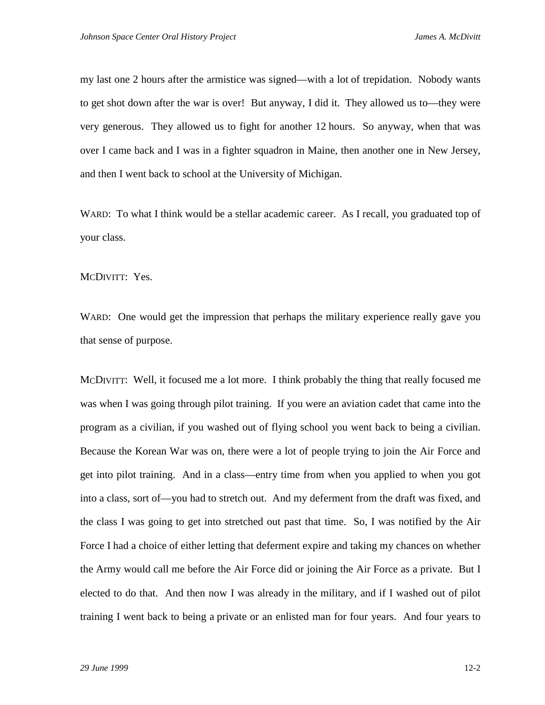my last one 2 hours after the armistice was signed—with a lot of trepidation. Nobody wants to get shot down after the war is over! But anyway, I did it. They allowed us to—they were very generous. They allowed us to fight for another 12 hours. So anyway, when that was over I came back and I was in a fighter squadron in Maine, then another one in New Jersey, and then I went back to school at the University of Michigan.

WARD: To what I think would be a stellar academic career. As I recall, you graduated top of your class.

MCDIVITT: Yes.

WARD: One would get the impression that perhaps the military experience really gave you that sense of purpose.

MCDIVITT: Well, it focused me a lot more. I think probably the thing that really focused me was when I was going through pilot training. If you were an aviation cadet that came into the program as a civilian, if you washed out of flying school you went back to being a civilian. Because the Korean War was on, there were a lot of people trying to join the Air Force and get into pilot training. And in a class—entry time from when you applied to when you got into a class, sort of—you had to stretch out. And my deferment from the draft was fixed, and the class I was going to get into stretched out past that time. So, I was notified by the Air Force I had a choice of either letting that deferment expire and taking my chances on whether the Army would call me before the Air Force did or joining the Air Force as a private. But I elected to do that. And then now I was already in the military, and if I washed out of pilot training I went back to being a private or an enlisted man for four years. And four years to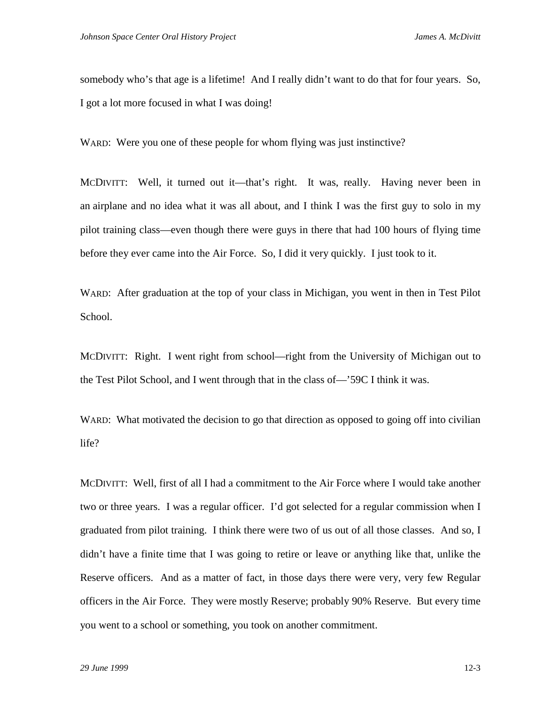somebody who's that age is a lifetime! And I really didn't want to do that for four years. So, I got a lot more focused in what I was doing!

WARD: Were you one of these people for whom flying was just instinctive?

MCDIVITT: Well, it turned out it—that's right. It was, really. Having never been in an airplane and no idea what it was all about, and I think I was the first guy to solo in my pilot training class—even though there were guys in there that had 100 hours of flying time before they ever came into the Air Force. So, I did it very quickly. I just took to it.

WARD: After graduation at the top of your class in Michigan, you went in then in Test Pilot School.

MCDIVITT: Right. I went right from school—right from the University of Michigan out to the Test Pilot School, and I went through that in the class of—'59C I think it was.

WARD: What motivated the decision to go that direction as opposed to going off into civilian life?

MCDIVITT: Well, first of all I had a commitment to the Air Force where I would take another two or three years. I was a regular officer. I'd got selected for a regular commission when I graduated from pilot training. I think there were two of us out of all those classes. And so, I didn't have a finite time that I was going to retire or leave or anything like that, unlike the Reserve officers. And as a matter of fact, in those days there were very, very few Regular officers in the Air Force. They were mostly Reserve; probably 90% Reserve. But every time you went to a school or something, you took on another commitment.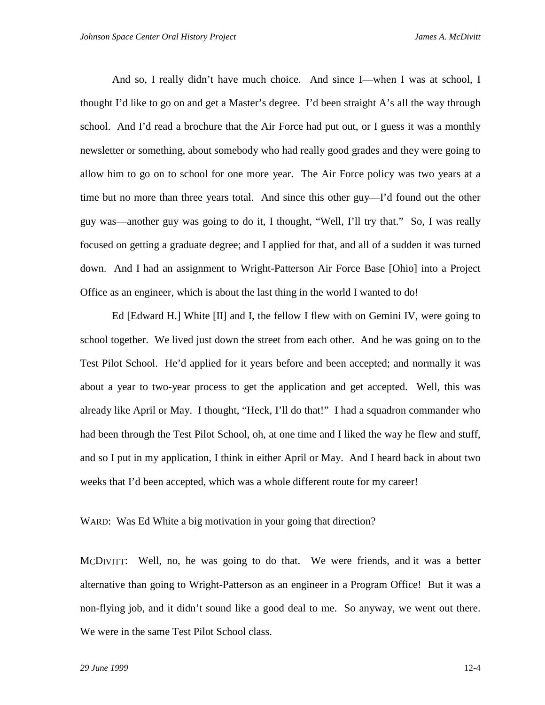And so, I really didn't have much choice. And since I—when I was at school, I thought I'd like to go on and get a Master's degree. I'd been straight A's all the way through school. And I'd read a brochure that the Air Force had put out, or I guess it was a monthly newsletter or something, about somebody who had really good grades and they were going to allow him to go on to school for one more year. The Air Force policy was two years at a time but no more than three years total. And since this other guy—I'd found out the other guy was—another guy was going to do it, I thought, "Well, I'll try that." So, I was really focused on getting a graduate degree; and I applied for that, and all of a sudden it was turned down. And I had an assignment to Wright-Patterson Air Force Base [Ohio] into a Project Office as an engineer, which is about the last thing in the world I wanted to do!

Ed [Edward H.] White [II] and I, the fellow I flew with on Gemini IV, were going to school together. We lived just down the street from each other. And he was going on to the Test Pilot School. He'd applied for it years before and been accepted; and normally it was about a year to two-year process to get the application and get accepted. Well, this was already like April or May. I thought, "Heck, I'll do that!" I had a squadron commander who had been through the Test Pilot School, oh, at one time and I liked the way he flew and stuff, and so I put in my application, I think in either April or May. And I heard back in about two weeks that I'd been accepted, which was a whole different route for my career!

WARD: Was Ed White a big motivation in your going that direction?

MCDIVITT: Well, no, he was going to do that. We were friends, and it was a better alternative than going to Wright-Patterson as an engineer in a Program Office! But it was a non-flying job, and it didn't sound like a good deal to me. So anyway, we went out there. We were in the same Test Pilot School class.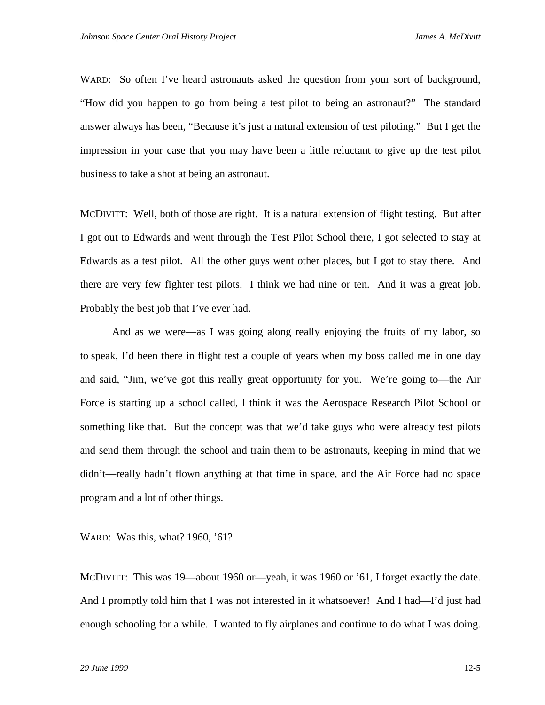WARD: So often I've heard astronauts asked the question from your sort of background, "How did you happen to go from being a test pilot to being an astronaut?" The standard answer always has been, "Because it's just a natural extension of test piloting." But I get the impression in your case that you may have been a little reluctant to give up the test pilot business to take a shot at being an astronaut.

MCDIVITT: Well, both of those are right. It is a natural extension of flight testing. But after I got out to Edwards and went through the Test Pilot School there, I got selected to stay at Edwards as a test pilot. All the other guys went other places, but I got to stay there. And there are very few fighter test pilots. I think we had nine or ten. And it was a great job. Probably the best job that I've ever had.

And as we were—as I was going along really enjoying the fruits of my labor, so to speak, I'd been there in flight test a couple of years when my boss called me in one day and said, "Jim, we've got this really great opportunity for you. We're going to—the Air Force is starting up a school called, I think it was the Aerospace Research Pilot School or something like that. But the concept was that we'd take guys who were already test pilots and send them through the school and train them to be astronauts, keeping in mind that we didn't—really hadn't flown anything at that time in space, and the Air Force had no space program and a lot of other things.

WARD: Was this, what? 1960, '61?

MCDIVITT: This was 19—about 1960 or—yeah, it was 1960 or '61, I forget exactly the date. And I promptly told him that I was not interested in it whatsoever! And I had—I'd just had enough schooling for a while. I wanted to fly airplanes and continue to do what I was doing.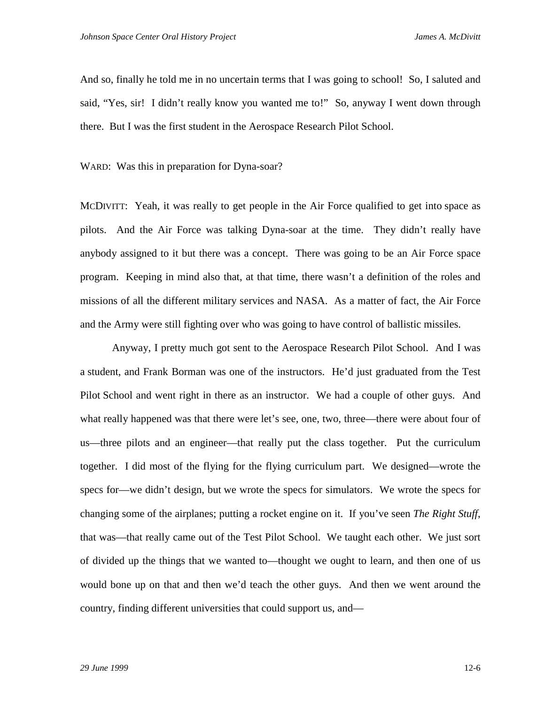And so, finally he told me in no uncertain terms that I was going to school! So, I saluted and said, "Yes, sir! I didn't really know you wanted me to!" So, anyway I went down through there. But I was the first student in the Aerospace Research Pilot School.

WARD: Was this in preparation for Dyna-soar?

MCDIVITT: Yeah, it was really to get people in the Air Force qualified to get into space as pilots. And the Air Force was talking Dyna-soar at the time. They didn't really have anybody assigned to it but there was a concept. There was going to be an Air Force space program. Keeping in mind also that, at that time, there wasn't a definition of the roles and missions of all the different military services and NASA. As a matter of fact, the Air Force and the Army were still fighting over who was going to have control of ballistic missiles.

Anyway, I pretty much got sent to the Aerospace Research Pilot School. And I was a student, and Frank Borman was one of the instructors. He'd just graduated from the Test Pilot School and went right in there as an instructor. We had a couple of other guys. And what really happened was that there were let's see, one, two, three—there were about four of us—three pilots and an engineer—that really put the class together. Put the curriculum together. I did most of the flying for the flying curriculum part. We designed—wrote the specs for—we didn't design, but we wrote the specs for simulators. We wrote the specs for changing some of the airplanes; putting a rocket engine on it. If you've seen *The Right Stuff*, that was—that really came out of the Test Pilot School. We taught each other. We just sort of divided up the things that we wanted to—thought we ought to learn, and then one of us would bone up on that and then we'd teach the other guys. And then we went around the country, finding different universities that could support us, and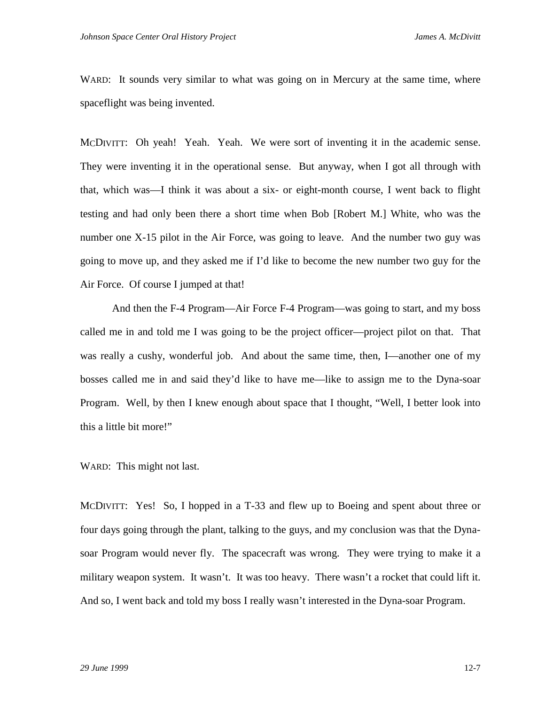WARD: It sounds very similar to what was going on in Mercury at the same time, where spaceflight was being invented.

MCDIVITT: Oh yeah! Yeah. Yeah. We were sort of inventing it in the academic sense. They were inventing it in the operational sense. But anyway, when I got all through with that, which was—I think it was about a six- or eight-month course, I went back to flight testing and had only been there a short time when Bob [Robert M.] White, who was the number one X-15 pilot in the Air Force, was going to leave. And the number two guy was going to move up, and they asked me if I'd like to become the new number two guy for the Air Force. Of course I jumped at that!

And then the F-4 Program—Air Force F-4 Program—was going to start, and my boss called me in and told me I was going to be the project officer—project pilot on that. That was really a cushy, wonderful job. And about the same time, then, I—another one of my bosses called me in and said they'd like to have me—like to assign me to the Dyna-soar Program. Well, by then I knew enough about space that I thought, "Well, I better look into this a little bit more!"

WARD: This might not last.

MCDIVITT: Yes! So, I hopped in a T-33 and flew up to Boeing and spent about three or four days going through the plant, talking to the guys, and my conclusion was that the Dynasoar Program would never fly. The spacecraft was wrong. They were trying to make it a military weapon system. It wasn't. It was too heavy. There wasn't a rocket that could lift it. And so, I went back and told my boss I really wasn't interested in the Dyna-soar Program.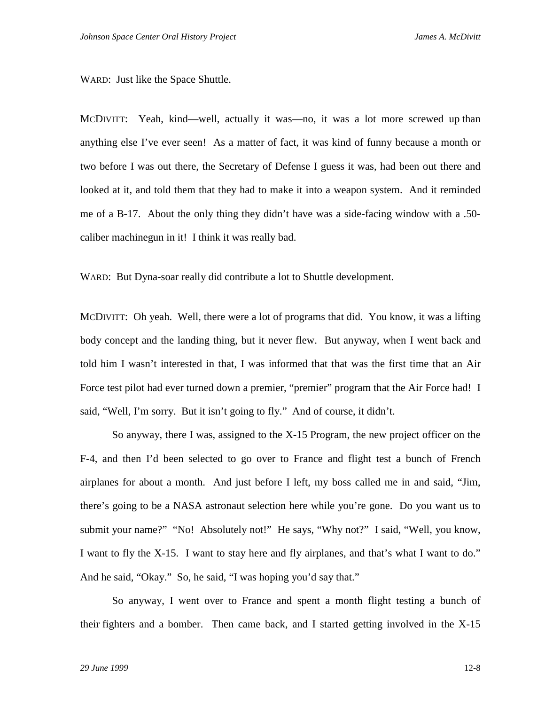WARD: Just like the Space Shuttle.

MCDIVITT: Yeah, kind—well, actually it was—no, it was a lot more screwed up than anything else I've ever seen! As a matter of fact, it was kind of funny because a month or two before I was out there, the Secretary of Defense I guess it was, had been out there and looked at it, and told them that they had to make it into a weapon system. And it reminded me of a B-17. About the only thing they didn't have was a side-facing window with a .50 caliber machinegun in it! I think it was really bad.

WARD: But Dyna-soar really did contribute a lot to Shuttle development.

MCDIVITT: Oh yeah. Well, there were a lot of programs that did. You know, it was a lifting body concept and the landing thing, but it never flew. But anyway, when I went back and told him I wasn't interested in that, I was informed that that was the first time that an Air Force test pilot had ever turned down a premier, "premier" program that the Air Force had! I said, "Well, I'm sorry. But it isn't going to fly." And of course, it didn't.

So anyway, there I was, assigned to the X-15 Program, the new project officer on the F-4, and then I'd been selected to go over to France and flight test a bunch of French airplanes for about a month. And just before I left, my boss called me in and said, "Jim, there's going to be a NASA astronaut selection here while you're gone. Do you want us to submit your name?" "No! Absolutely not!" He says, "Why not?" I said, "Well, you know, I want to fly the X-15. I want to stay here and fly airplanes, and that's what I want to do." And he said, "Okay." So, he said, "I was hoping you'd say that."

So anyway, I went over to France and spent a month flight testing a bunch of their fighters and a bomber. Then came back, and I started getting involved in the X-15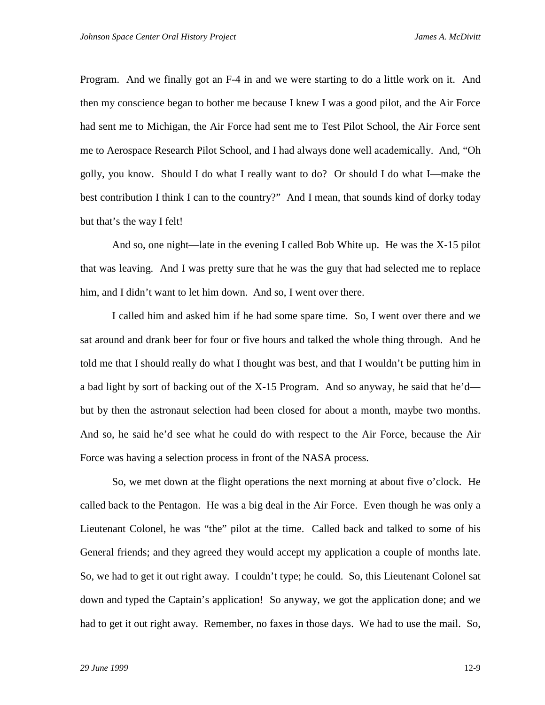Program. And we finally got an F-4 in and we were starting to do a little work on it. And then my conscience began to bother me because I knew I was a good pilot, and the Air Force had sent me to Michigan, the Air Force had sent me to Test Pilot School, the Air Force sent me to Aerospace Research Pilot School, and I had always done well academically. And, "Oh golly, you know. Should I do what I really want to do? Or should I do what I—make the best contribution I think I can to the country?" And I mean, that sounds kind of dorky today but that's the way I felt!

And so, one night—late in the evening I called Bob White up. He was the X-15 pilot that was leaving. And I was pretty sure that he was the guy that had selected me to replace him, and I didn't want to let him down. And so, I went over there.

I called him and asked him if he had some spare time. So, I went over there and we sat around and drank beer for four or five hours and talked the whole thing through. And he told me that I should really do what I thought was best, and that I wouldn't be putting him in a bad light by sort of backing out of the X-15 Program. And so anyway, he said that he'd but by then the astronaut selection had been closed for about a month, maybe two months. And so, he said he'd see what he could do with respect to the Air Force, because the Air Force was having a selection process in front of the NASA process.

So, we met down at the flight operations the next morning at about five o'clock. He called back to the Pentagon. He was a big deal in the Air Force. Even though he was only a Lieutenant Colonel, he was "the" pilot at the time. Called back and talked to some of his General friends; and they agreed they would accept my application a couple of months late. So, we had to get it out right away. I couldn't type; he could. So, this Lieutenant Colonel sat down and typed the Captain's application! So anyway, we got the application done; and we had to get it out right away. Remember, no faxes in those days. We had to use the mail. So,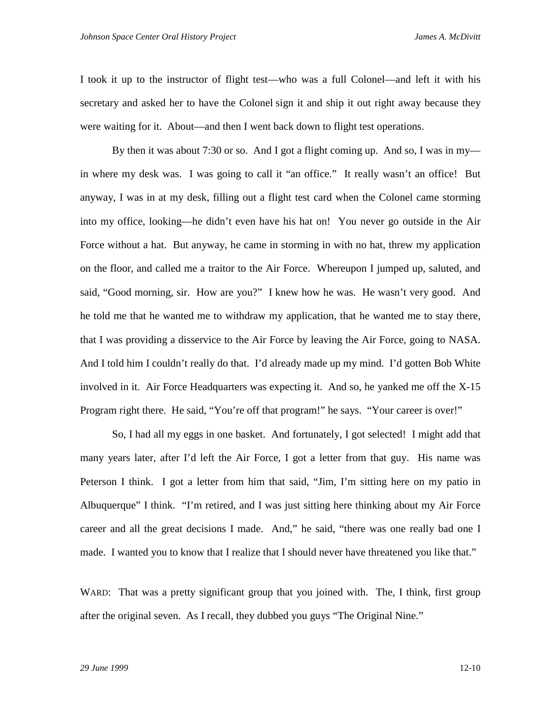I took it up to the instructor of flight test—who was a full Colonel—and left it with his secretary and asked her to have the Colonel sign it and ship it out right away because they were waiting for it. About—and then I went back down to flight test operations.

By then it was about 7:30 or so. And I got a flight coming up. And so, I was in my in where my desk was. I was going to call it "an office." It really wasn't an office! But anyway, I was in at my desk, filling out a flight test card when the Colonel came storming into my office, looking—he didn't even have his hat on! You never go outside in the Air Force without a hat. But anyway, he came in storming in with no hat, threw my application on the floor, and called me a traitor to the Air Force. Whereupon I jumped up, saluted, and said, "Good morning, sir. How are you?" I knew how he was. He wasn't very good. And he told me that he wanted me to withdraw my application, that he wanted me to stay there, that I was providing a disservice to the Air Force by leaving the Air Force, going to NASA. And I told him I couldn't really do that. I'd already made up my mind. I'd gotten Bob White involved in it. Air Force Headquarters was expecting it. And so, he yanked me off the X-15 Program right there. He said, "You're off that program!" he says. "Your career is over!"

So, I had all my eggs in one basket. And fortunately, I got selected! I might add that many years later, after I'd left the Air Force, I got a letter from that guy. His name was Peterson I think. I got a letter from him that said, "Jim, I'm sitting here on my patio in Albuquerque" I think. "I'm retired, and I was just sitting here thinking about my Air Force career and all the great decisions I made. And," he said, "there was one really bad one I made. I wanted you to know that I realize that I should never have threatened you like that."

WARD: That was a pretty significant group that you joined with. The, I think, first group after the original seven. As I recall, they dubbed you guys "The Original Nine."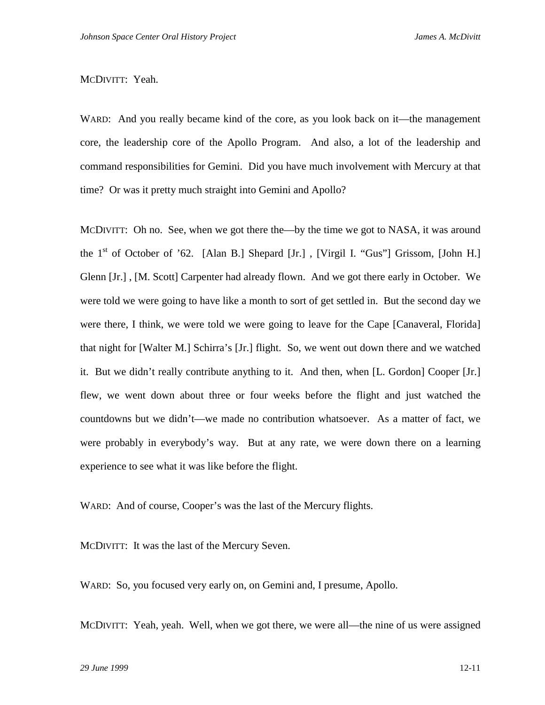## MCDIVITT: Yeah.

WARD: And you really became kind of the core, as you look back on it—the management core, the leadership core of the Apollo Program. And also, a lot of the leadership and command responsibilities for Gemini. Did you have much involvement with Mercury at that time? Or was it pretty much straight into Gemini and Apollo?

MCDIVITT: Oh no. See, when we got there the—by the time we got to NASA, it was around the 1<sup>st</sup> of October of '62. [Alan B.] Shepard [Jr.], [Virgil I. "Gus"] Grissom, [John H.] Glenn [Jr.] , [M. Scott] Carpenter had already flown. And we got there early in October. We were told we were going to have like a month to sort of get settled in. But the second day we were there, I think, we were told we were going to leave for the Cape [Canaveral, Florida] that night for [Walter M.] Schirra's [Jr.] flight. So, we went out down there and we watched it. But we didn't really contribute anything to it. And then, when [L. Gordon] Cooper [Jr.] flew, we went down about three or four weeks before the flight and just watched the countdowns but we didn't—we made no contribution whatsoever. As a matter of fact, we were probably in everybody's way. But at any rate, we were down there on a learning experience to see what it was like before the flight.

WARD: And of course, Cooper's was the last of the Mercury flights.

MCDIVITT: It was the last of the Mercury Seven.

WARD: So, you focused very early on, on Gemini and, I presume, Apollo.

MCDIVITT: Yeah, yeah. Well, when we got there, we were all—the nine of us were assigned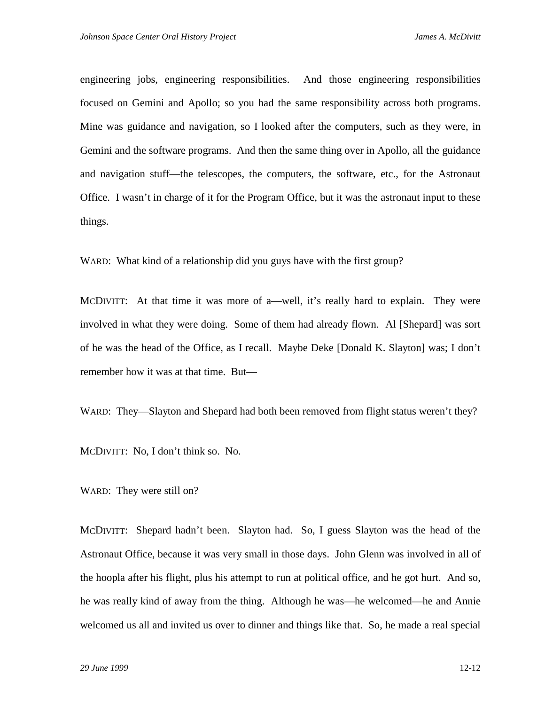engineering jobs, engineering responsibilities. And those engineering responsibilities focused on Gemini and Apollo; so you had the same responsibility across both programs. Mine was guidance and navigation, so I looked after the computers, such as they were, in Gemini and the software programs. And then the same thing over in Apollo, all the guidance and navigation stuff—the telescopes, the computers, the software, etc., for the Astronaut Office. I wasn't in charge of it for the Program Office, but it was the astronaut input to these things.

WARD: What kind of a relationship did you guys have with the first group?

MCDIVITT: At that time it was more of a—well, it's really hard to explain. They were involved in what they were doing. Some of them had already flown. Al [Shepard] was sort of he was the head of the Office, as I recall. Maybe Deke [Donald K. Slayton] was; I don't remember how it was at that time. But—

WARD: They—Slayton and Shepard had both been removed from flight status weren't they?

MCDIVITT: No, I don't think so. No.

WARD: They were still on?

MCDIVITT: Shepard hadn't been. Slayton had. So, I guess Slayton was the head of the Astronaut Office, because it was very small in those days. John Glenn was involved in all of the hoopla after his flight, plus his attempt to run at political office, and he got hurt. And so, he was really kind of away from the thing. Although he was—he welcomed—he and Annie welcomed us all and invited us over to dinner and things like that. So, he made a real special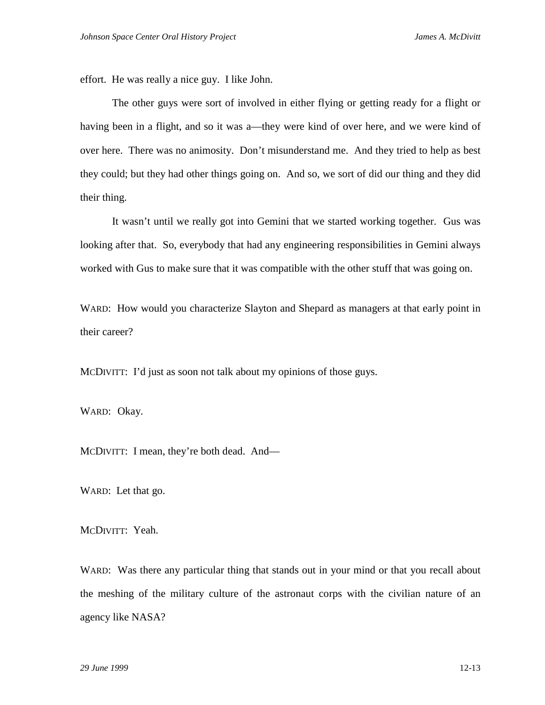effort. He was really a nice guy. I like John.

The other guys were sort of involved in either flying or getting ready for a flight or having been in a flight, and so it was a—they were kind of over here, and we were kind of over here. There was no animosity. Don't misunderstand me. And they tried to help as best they could; but they had other things going on. And so, we sort of did our thing and they did their thing.

It wasn't until we really got into Gemini that we started working together. Gus was looking after that. So, everybody that had any engineering responsibilities in Gemini always worked with Gus to make sure that it was compatible with the other stuff that was going on.

WARD: How would you characterize Slayton and Shepard as managers at that early point in their career?

MCDIVITT: I'd just as soon not talk about my opinions of those guys.

WARD: Okay.

MCDIVITT: I mean, they're both dead. And—

WARD: Let that go.

MCDIVITT: Yeah.

WARD: Was there any particular thing that stands out in your mind or that you recall about the meshing of the military culture of the astronaut corps with the civilian nature of an agency like NASA?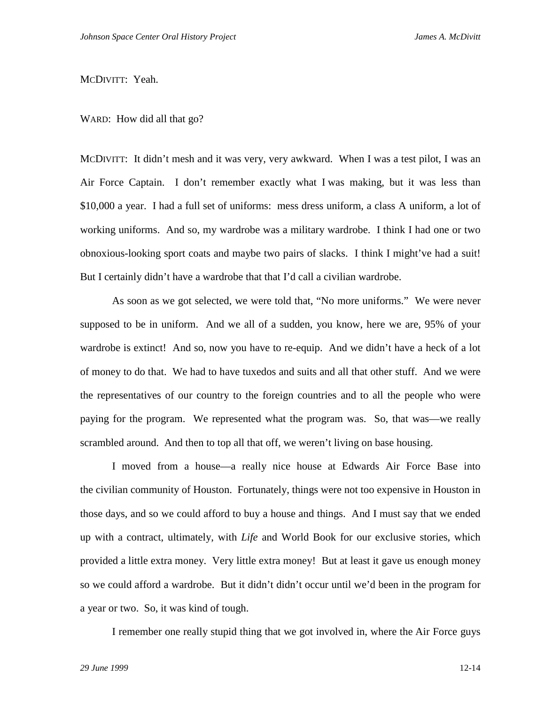### MCDIVITT: Yeah.

WARD: How did all that go?

MCDIVITT: It didn't mesh and it was very, very awkward. When I was a test pilot, I was an Air Force Captain. I don't remember exactly what I was making, but it was less than \$10,000 a year. I had a full set of uniforms: mess dress uniform, a class A uniform, a lot of working uniforms. And so, my wardrobe was a military wardrobe. I think I had one or two obnoxious-looking sport coats and maybe two pairs of slacks. I think I might've had a suit! But I certainly didn't have a wardrobe that that I'd call a civilian wardrobe.

As soon as we got selected, we were told that, "No more uniforms." We were never supposed to be in uniform. And we all of a sudden, you know, here we are, 95% of your wardrobe is extinct! And so, now you have to re-equip. And we didn't have a heck of a lot of money to do that. We had to have tuxedos and suits and all that other stuff. And we were the representatives of our country to the foreign countries and to all the people who were paying for the program. We represented what the program was. So, that was—we really scrambled around. And then to top all that off, we weren't living on base housing.

I moved from a house—a really nice house at Edwards Air Force Base into the civilian community of Houston. Fortunately, things were not too expensive in Houston in those days, and so we could afford to buy a house and things. And I must say that we ended up with a contract, ultimately, with *Life* and World Book for our exclusive stories, which provided a little extra money. Very little extra money! But at least it gave us enough money so we could afford a wardrobe. But it didn't didn't occur until we'd been in the program for a year or two. So, it was kind of tough.

I remember one really stupid thing that we got involved in, where the Air Force guys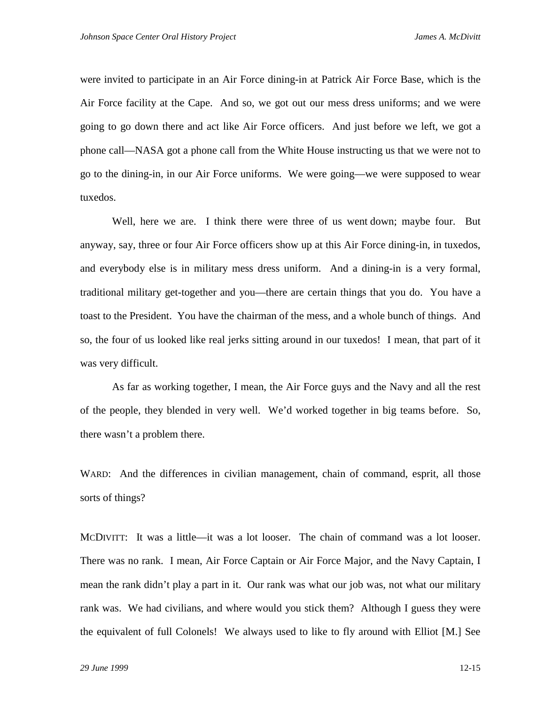were invited to participate in an Air Force dining-in at Patrick Air Force Base, which is the Air Force facility at the Cape. And so, we got out our mess dress uniforms; and we were going to go down there and act like Air Force officers. And just before we left, we got a phone call—NASA got a phone call from the White House instructing us that we were not to go to the dining-in, in our Air Force uniforms. We were going—we were supposed to wear tuxedos.

Well, here we are. I think there were three of us went down; maybe four. But anyway, say, three or four Air Force officers show up at this Air Force dining-in, in tuxedos, and everybody else is in military mess dress uniform. And a dining-in is a very formal, traditional military get-together and you—there are certain things that you do. You have a toast to the President. You have the chairman of the mess, and a whole bunch of things. And so, the four of us looked like real jerks sitting around in our tuxedos! I mean, that part of it was very difficult.

As far as working together, I mean, the Air Force guys and the Navy and all the rest of the people, they blended in very well. We'd worked together in big teams before. So, there wasn't a problem there.

WARD: And the differences in civilian management, chain of command, esprit, all those sorts of things?

MCDIVITT: It was a little—it was a lot looser. The chain of command was a lot looser. There was no rank. I mean, Air Force Captain or Air Force Major, and the Navy Captain, I mean the rank didn't play a part in it. Our rank was what our job was, not what our military rank was. We had civilians, and where would you stick them? Although I guess they were the equivalent of full Colonels! We always used to like to fly around with Elliot [M.] See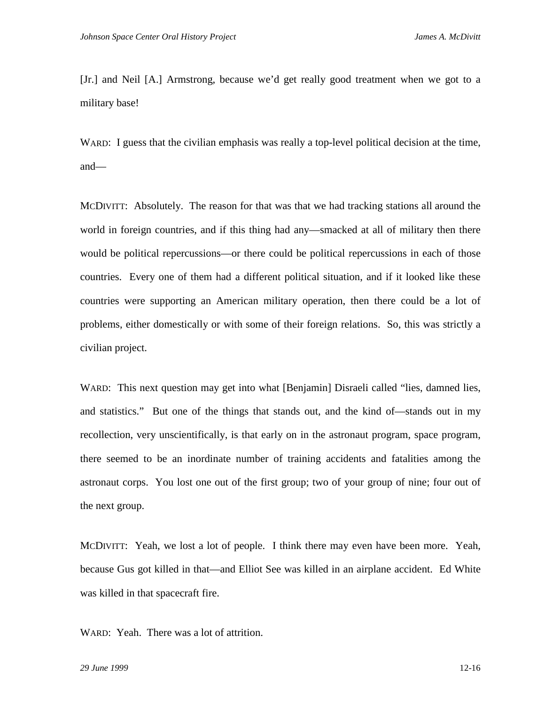[Jr.] and Neil [A.] Armstrong, because we'd get really good treatment when we got to a military base!

WARD: I guess that the civilian emphasis was really a top-level political decision at the time, and—

MCDIVITT: Absolutely. The reason for that was that we had tracking stations all around the world in foreign countries, and if this thing had any—smacked at all of military then there would be political repercussions—or there could be political repercussions in each of those countries. Every one of them had a different political situation, and if it looked like these countries were supporting an American military operation, then there could be a lot of problems, either domestically or with some of their foreign relations. So, this was strictly a civilian project.

WARD: This next question may get into what [Benjamin] Disraeli called "lies, damned lies, and statistics." But one of the things that stands out, and the kind of—stands out in my recollection, very unscientifically, is that early on in the astronaut program, space program, there seemed to be an inordinate number of training accidents and fatalities among the astronaut corps. You lost one out of the first group; two of your group of nine; four out of the next group.

MCDIVITT: Yeah, we lost a lot of people. I think there may even have been more. Yeah, because Gus got killed in that—and Elliot See was killed in an airplane accident. Ed White was killed in that spacecraft fire.

WARD: Yeah. There was a lot of attrition.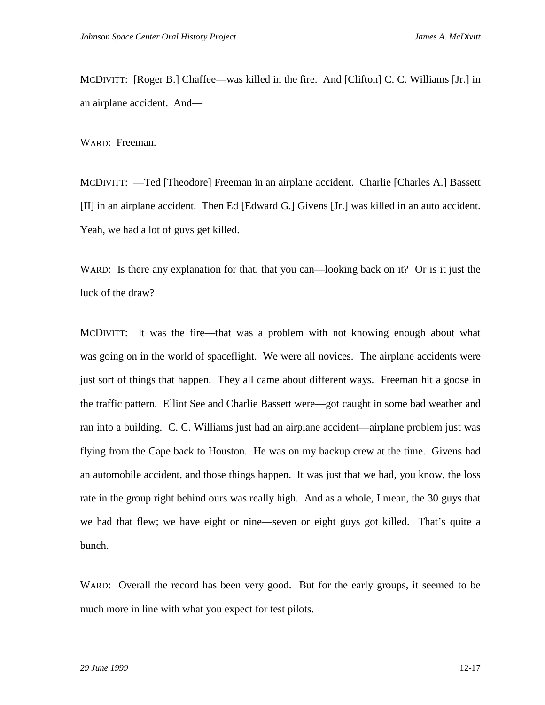MCDIVITT: [Roger B.] Chaffee—was killed in the fire. And [Clifton] C. C. Williams [Jr.] in an airplane accident. And—

WARD: Freeman.

MCDIVITT: —Ted [Theodore] Freeman in an airplane accident. Charlie [Charles A.] Bassett [II] in an airplane accident. Then Ed [Edward G.] Givens [Jr.] was killed in an auto accident. Yeah, we had a lot of guys get killed.

WARD: Is there any explanation for that, that you can—looking back on it? Or is it just the luck of the draw?

MCDIVITT: It was the fire—that was a problem with not knowing enough about what was going on in the world of spaceflight. We were all novices. The airplane accidents were just sort of things that happen. They all came about different ways. Freeman hit a goose in the traffic pattern. Elliot See and Charlie Bassett were—got caught in some bad weather and ran into a building. C. C. Williams just had an airplane accident—airplane problem just was flying from the Cape back to Houston. He was on my backup crew at the time. Givens had an automobile accident, and those things happen. It was just that we had, you know, the loss rate in the group right behind ours was really high. And as a whole, I mean, the 30 guys that we had that flew; we have eight or nine—seven or eight guys got killed. That's quite a bunch.

WARD: Overall the record has been very good. But for the early groups, it seemed to be much more in line with what you expect for test pilots.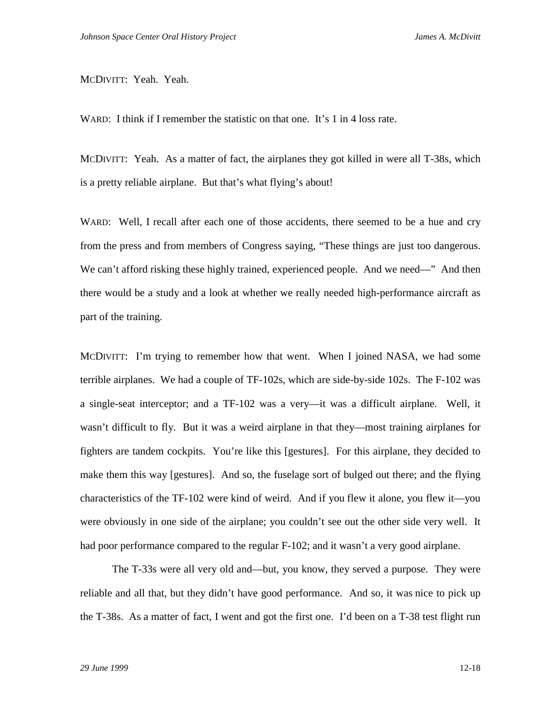### MCDIVITT: Yeah. Yeah.

WARD: I think if I remember the statistic on that one. It's 1 in 4 loss rate.

MCDIVITT: Yeah. As a matter of fact, the airplanes they got killed in were all T-38s, which is a pretty reliable airplane. But that's what flying's about!

WARD: Well, I recall after each one of those accidents, there seemed to be a hue and cry from the press and from members of Congress saying, "These things are just too dangerous. We can't afford risking these highly trained, experienced people. And we need—" And then there would be a study and a look at whether we really needed high-performance aircraft as part of the training.

MCDIVITT: I'm trying to remember how that went. When I joined NASA, we had some terrible airplanes. We had a couple of TF-102s, which are side-by-side 102s. The F-102 was a single-seat interceptor; and a TF-102 was a very—it was a difficult airplane. Well, it wasn't difficult to fly. But it was a weird airplane in that they—most training airplanes for fighters are tandem cockpits. You're like this [gestures]. For this airplane, they decided to make them this way [gestures]. And so, the fuselage sort of bulged out there; and the flying characteristics of the TF-102 were kind of weird. And if you flew it alone, you flew it—you were obviously in one side of the airplane; you couldn't see out the other side very well. It had poor performance compared to the regular F-102; and it wasn't a very good airplane.

The T-33s were all very old and—but, you know, they served a purpose. They were reliable and all that, but they didn't have good performance. And so, it was nice to pick up the T-38s. As a matter of fact, I went and got the first one. I'd been on a T-38 test flight run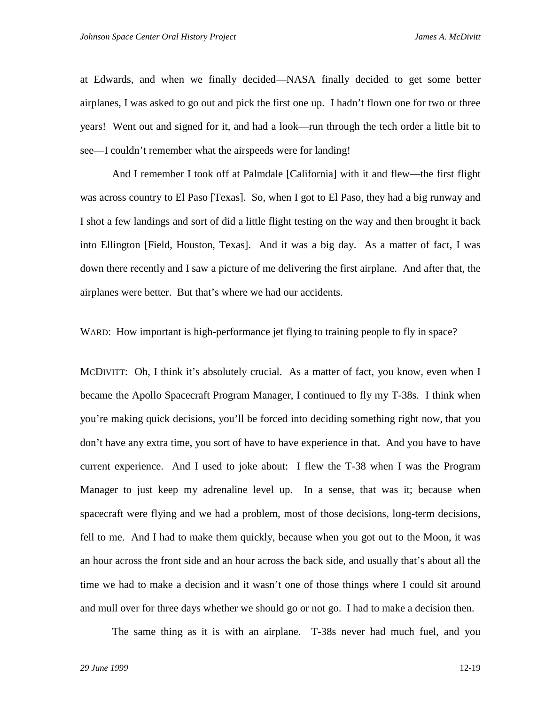at Edwards, and when we finally decided—NASA finally decided to get some better airplanes, I was asked to go out and pick the first one up. I hadn't flown one for two or three years! Went out and signed for it, and had a look—run through the tech order a little bit to see—I couldn't remember what the airspeeds were for landing!

And I remember I took off at Palmdale [California] with it and flew—the first flight was across country to El Paso [Texas]. So, when I got to El Paso, they had a big runway and I shot a few landings and sort of did a little flight testing on the way and then brought it back into Ellington [Field, Houston, Texas]. And it was a big day. As a matter of fact, I was down there recently and I saw a picture of me delivering the first airplane. And after that, the airplanes were better. But that's where we had our accidents.

WARD: How important is high-performance jet flying to training people to fly in space?

MCDIVITT: Oh, I think it's absolutely crucial. As a matter of fact, you know, even when I became the Apollo Spacecraft Program Manager, I continued to fly my T-38s. I think when you're making quick decisions, you'll be forced into deciding something right now, that you don't have any extra time, you sort of have to have experience in that. And you have to have current experience. And I used to joke about: I flew the T-38 when I was the Program Manager to just keep my adrenaline level up. In a sense, that was it; because when spacecraft were flying and we had a problem, most of those decisions, long-term decisions, fell to me. And I had to make them quickly, because when you got out to the Moon, it was an hour across the front side and an hour across the back side, and usually that's about all the time we had to make a decision and it wasn't one of those things where I could sit around and mull over for three days whether we should go or not go. I had to make a decision then.

The same thing as it is with an airplane. T-38s never had much fuel, and you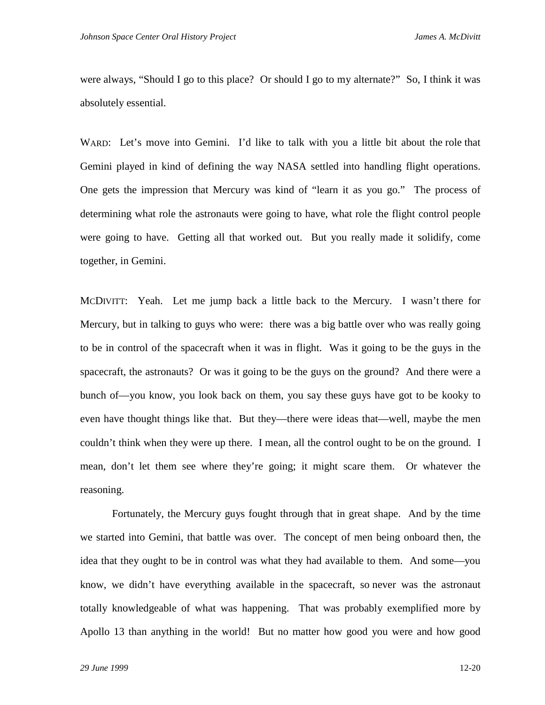were always, "Should I go to this place? Or should I go to my alternate?" So, I think it was absolutely essential.

WARD: Let's move into Gemini. I'd like to talk with you a little bit about the role that Gemini played in kind of defining the way NASA settled into handling flight operations. One gets the impression that Mercury was kind of "learn it as you go." The process of determining what role the astronauts were going to have, what role the flight control people were going to have. Getting all that worked out. But you really made it solidify, come together, in Gemini.

MCDIVITT: Yeah. Let me jump back a little back to the Mercury. I wasn't there for Mercury, but in talking to guys who were: there was a big battle over who was really going to be in control of the spacecraft when it was in flight. Was it going to be the guys in the spacecraft, the astronauts? Or was it going to be the guys on the ground? And there were a bunch of—you know, you look back on them, you say these guys have got to be kooky to even have thought things like that. But they—there were ideas that—well, maybe the men couldn't think when they were up there. I mean, all the control ought to be on the ground. I mean, don't let them see where they're going; it might scare them. Or whatever the reasoning.

Fortunately, the Mercury guys fought through that in great shape. And by the time we started into Gemini, that battle was over. The concept of men being onboard then, the idea that they ought to be in control was what they had available to them. And some—you know, we didn't have everything available in the spacecraft, so never was the astronaut totally knowledgeable of what was happening. That was probably exemplified more by Apollo 13 than anything in the world! But no matter how good you were and how good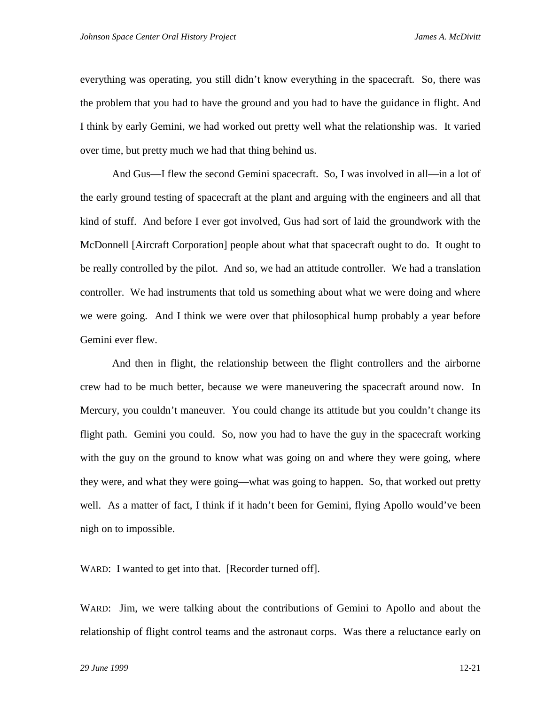everything was operating, you still didn't know everything in the spacecraft. So, there was the problem that you had to have the ground and you had to have the guidance in flight. And I think by early Gemini, we had worked out pretty well what the relationship was. It varied over time, but pretty much we had that thing behind us.

And Gus—I flew the second Gemini spacecraft. So, I was involved in all—in a lot of the early ground testing of spacecraft at the plant and arguing with the engineers and all that kind of stuff. And before I ever got involved, Gus had sort of laid the groundwork with the McDonnell [Aircraft Corporation] people about what that spacecraft ought to do. It ought to be really controlled by the pilot. And so, we had an attitude controller. We had a translation controller. We had instruments that told us something about what we were doing and where we were going. And I think we were over that philosophical hump probably a year before Gemini ever flew.

And then in flight, the relationship between the flight controllers and the airborne crew had to be much better, because we were maneuvering the spacecraft around now. In Mercury, you couldn't maneuver. You could change its attitude but you couldn't change its flight path. Gemini you could. So, now you had to have the guy in the spacecraft working with the guy on the ground to know what was going on and where they were going, where they were, and what they were going—what was going to happen. So, that worked out pretty well. As a matter of fact, I think if it hadn't been for Gemini, flying Apollo would've been nigh on to impossible.

WARD: I wanted to get into that. [Recorder turned off].

WARD: Jim, we were talking about the contributions of Gemini to Apollo and about the relationship of flight control teams and the astronaut corps. Was there a reluctance early on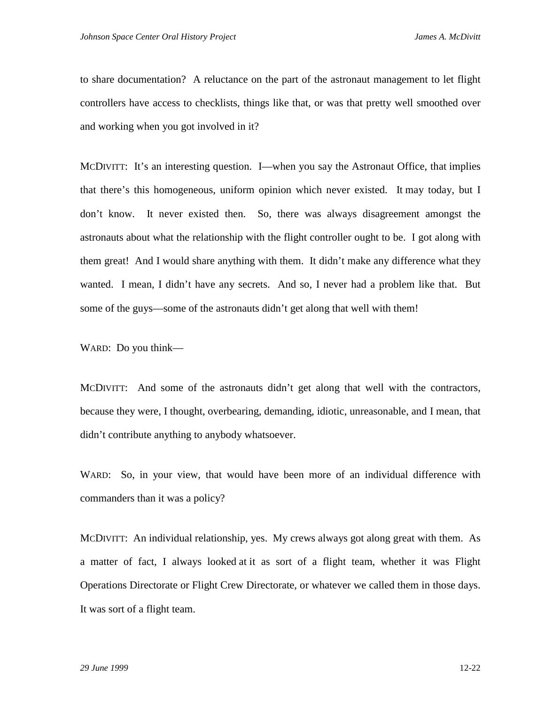to share documentation? A reluctance on the part of the astronaut management to let flight controllers have access to checklists, things like that, or was that pretty well smoothed over and working when you got involved in it?

MCDIVITT: It's an interesting question. I—when you say the Astronaut Office, that implies that there's this homogeneous, uniform opinion which never existed. It may today, but I don't know. It never existed then. So, there was always disagreement amongst the astronauts about what the relationship with the flight controller ought to be. I got along with them great! And I would share anything with them. It didn't make any difference what they wanted. I mean, I didn't have any secrets. And so, I never had a problem like that. But some of the guys—some of the astronauts didn't get along that well with them!

WARD: Do you think—

MCDIVITT: And some of the astronauts didn't get along that well with the contractors, because they were, I thought, overbearing, demanding, idiotic, unreasonable, and I mean, that didn't contribute anything to anybody whatsoever.

WARD: So, in your view, that would have been more of an individual difference with commanders than it was a policy?

MCDIVITT: An individual relationship, yes. My crews always got along great with them. As a matter of fact, I always looked at it as sort of a flight team, whether it was Flight Operations Directorate or Flight Crew Directorate, or whatever we called them in those days. It was sort of a flight team.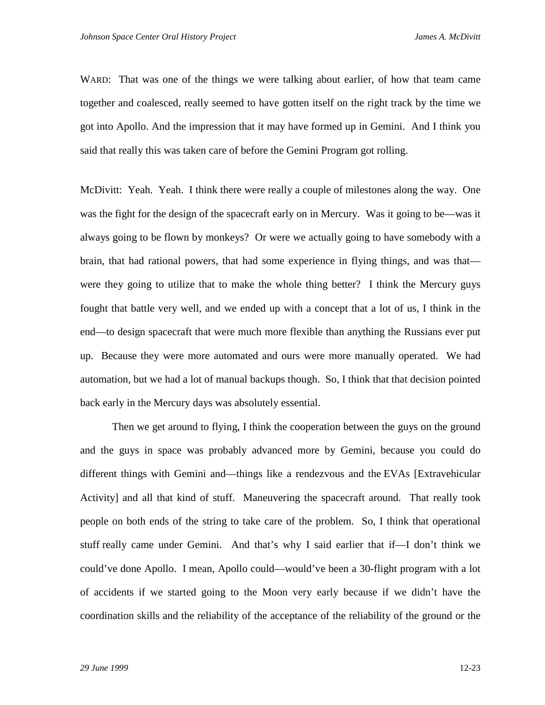WARD: That was one of the things we were talking about earlier, of how that team came together and coalesced, really seemed to have gotten itself on the right track by the time we got into Apollo. And the impression that it may have formed up in Gemini. And I think you said that really this was taken care of before the Gemini Program got rolling.

McDivitt: Yeah. Yeah. I think there were really a couple of milestones along the way. One was the fight for the design of the spacecraft early on in Mercury. Was it going to be—was it always going to be flown by monkeys? Or were we actually going to have somebody with a brain, that had rational powers, that had some experience in flying things, and was that were they going to utilize that to make the whole thing better? I think the Mercury guys fought that battle very well, and we ended up with a concept that a lot of us, I think in the end—to design spacecraft that were much more flexible than anything the Russians ever put up. Because they were more automated and ours were more manually operated. We had automation, but we had a lot of manual backups though. So, I think that that decision pointed back early in the Mercury days was absolutely essential.

Then we get around to flying, I think the cooperation between the guys on the ground and the guys in space was probably advanced more by Gemini, because you could do different things with Gemini and—things like a rendezvous and the EVAs [Extravehicular Activity] and all that kind of stuff. Maneuvering the spacecraft around. That really took people on both ends of the string to take care of the problem. So, I think that operational stuff really came under Gemini. And that's why I said earlier that if—I don't think we could've done Apollo. I mean, Apollo could—would've been a 30-flight program with a lot of accidents if we started going to the Moon very early because if we didn't have the coordination skills and the reliability of the acceptance of the reliability of the ground or the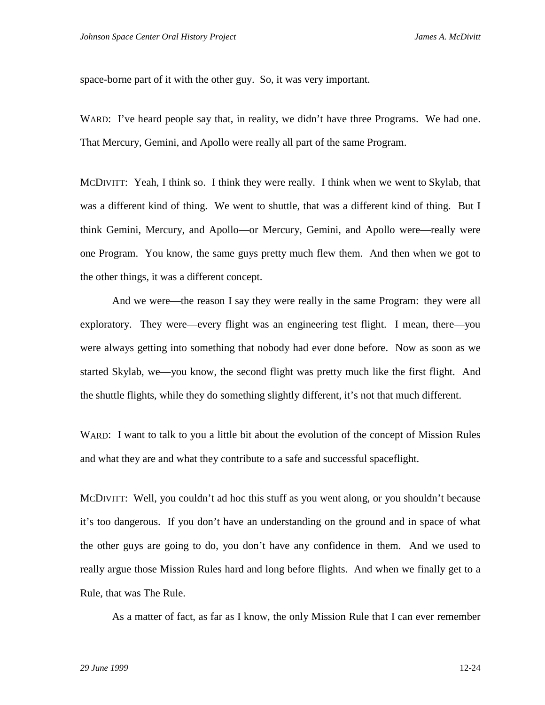space-borne part of it with the other guy. So, it was very important.

WARD: I've heard people say that, in reality, we didn't have three Programs. We had one. That Mercury, Gemini, and Apollo were really all part of the same Program.

MCDIVITT: Yeah, I think so. I think they were really. I think when we went to Skylab, that was a different kind of thing. We went to shuttle, that was a different kind of thing. But I think Gemini, Mercury, and Apollo—or Mercury, Gemini, and Apollo were—really were one Program. You know, the same guys pretty much flew them. And then when we got to the other things, it was a different concept.

And we were—the reason I say they were really in the same Program: they were all exploratory. They were—every flight was an engineering test flight. I mean, there—you were always getting into something that nobody had ever done before. Now as soon as we started Skylab, we—you know, the second flight was pretty much like the first flight. And the shuttle flights, while they do something slightly different, it's not that much different.

WARD: I want to talk to you a little bit about the evolution of the concept of Mission Rules and what they are and what they contribute to a safe and successful spaceflight.

MCDIVITT: Well, you couldn't ad hoc this stuff as you went along, or you shouldn't because it's too dangerous. If you don't have an understanding on the ground and in space of what the other guys are going to do, you don't have any confidence in them. And we used to really argue those Mission Rules hard and long before flights. And when we finally get to a Rule, that was The Rule.

As a matter of fact, as far as I know, the only Mission Rule that I can ever remember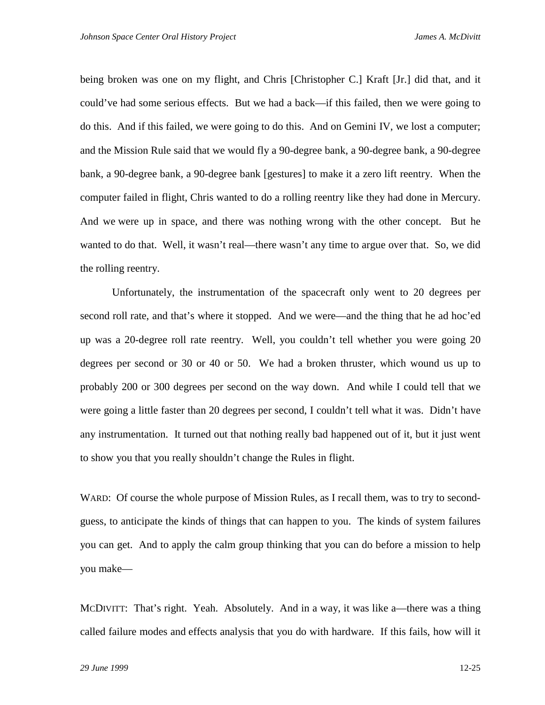being broken was one on my flight, and Chris [Christopher C.] Kraft [Jr.] did that, and it could've had some serious effects. But we had a back—if this failed, then we were going to do this. And if this failed, we were going to do this. And on Gemini IV, we lost a computer; and the Mission Rule said that we would fly a 90-degree bank, a 90-degree bank, a 90-degree bank, a 90-degree bank, a 90-degree bank [gestures] to make it a zero lift reentry. When the computer failed in flight, Chris wanted to do a rolling reentry like they had done in Mercury. And we were up in space, and there was nothing wrong with the other concept. But he wanted to do that. Well, it wasn't real—there wasn't any time to argue over that. So, we did the rolling reentry.

Unfortunately, the instrumentation of the spacecraft only went to 20 degrees per second roll rate, and that's where it stopped. And we were—and the thing that he ad hoc'ed up was a 20-degree roll rate reentry. Well, you couldn't tell whether you were going 20 degrees per second or 30 or 40 or 50. We had a broken thruster, which wound us up to probably 200 or 300 degrees per second on the way down. And while I could tell that we were going a little faster than 20 degrees per second, I couldn't tell what it was. Didn't have any instrumentation. It turned out that nothing really bad happened out of it, but it just went to show you that you really shouldn't change the Rules in flight.

WARD: Of course the whole purpose of Mission Rules, as I recall them, was to try to secondguess, to anticipate the kinds of things that can happen to you. The kinds of system failures you can get. And to apply the calm group thinking that you can do before a mission to help you make—

MCDIVITT: That's right. Yeah. Absolutely. And in a way, it was like a—there was a thing called failure modes and effects analysis that you do with hardware. If this fails, how will it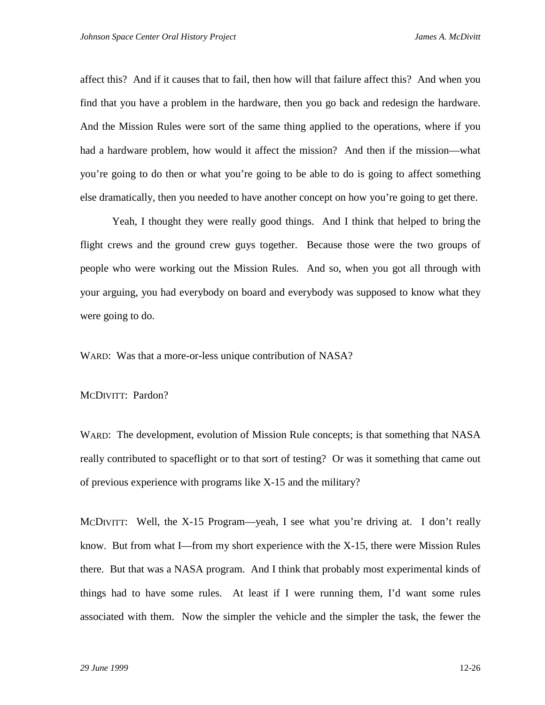affect this? And if it causes that to fail, then how will that failure affect this? And when you find that you have a problem in the hardware, then you go back and redesign the hardware. And the Mission Rules were sort of the same thing applied to the operations, where if you had a hardware problem, how would it affect the mission? And then if the mission—what you're going to do then or what you're going to be able to do is going to affect something else dramatically, then you needed to have another concept on how you're going to get there.

Yeah, I thought they were really good things. And I think that helped to bring the flight crews and the ground crew guys together. Because those were the two groups of people who were working out the Mission Rules. And so, when you got all through with your arguing, you had everybody on board and everybody was supposed to know what they were going to do.

WARD: Was that a more-or-less unique contribution of NASA?

#### MCDIVITT: Pardon?

WARD: The development, evolution of Mission Rule concepts; is that something that NASA really contributed to spaceflight or to that sort of testing? Or was it something that came out of previous experience with programs like X-15 and the military?

MCDIVITT: Well, the X-15 Program—yeah, I see what you're driving at. I don't really know. But from what I—from my short experience with the X-15, there were Mission Rules there. But that was a NASA program. And I think that probably most experimental kinds of things had to have some rules. At least if I were running them, I'd want some rules associated with them. Now the simpler the vehicle and the simpler the task, the fewer the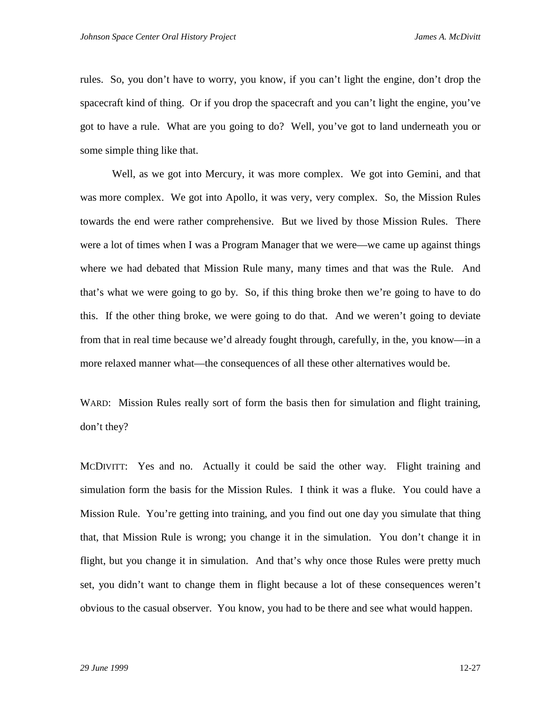rules. So, you don't have to worry, you know, if you can't light the engine, don't drop the spacecraft kind of thing. Or if you drop the spacecraft and you can't light the engine, you've got to have a rule. What are you going to do? Well, you've got to land underneath you or some simple thing like that.

Well, as we got into Mercury, it was more complex. We got into Gemini, and that was more complex. We got into Apollo, it was very, very complex. So, the Mission Rules towards the end were rather comprehensive. But we lived by those Mission Rules. There were a lot of times when I was a Program Manager that we were—we came up against things where we had debated that Mission Rule many, many times and that was the Rule. And that's what we were going to go by. So, if this thing broke then we're going to have to do this. If the other thing broke, we were going to do that. And we weren't going to deviate from that in real time because we'd already fought through, carefully, in the, you know—in a more relaxed manner what—the consequences of all these other alternatives would be.

WARD: Mission Rules really sort of form the basis then for simulation and flight training, don't they?

MCDIVITT: Yes and no. Actually it could be said the other way. Flight training and simulation form the basis for the Mission Rules. I think it was a fluke. You could have a Mission Rule. You're getting into training, and you find out one day you simulate that thing that, that Mission Rule is wrong; you change it in the simulation. You don't change it in flight, but you change it in simulation. And that's why once those Rules were pretty much set, you didn't want to change them in flight because a lot of these consequences weren't obvious to the casual observer. You know, you had to be there and see what would happen.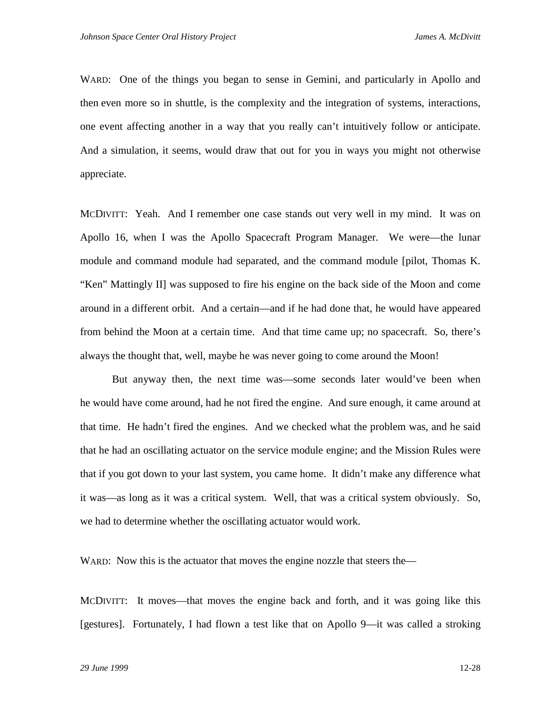WARD: One of the things you began to sense in Gemini, and particularly in Apollo and then even more so in shuttle, is the complexity and the integration of systems, interactions, one event affecting another in a way that you really can't intuitively follow or anticipate. And a simulation, it seems, would draw that out for you in ways you might not otherwise appreciate.

MCDIVITT: Yeah. And I remember one case stands out very well in my mind. It was on Apollo 16, when I was the Apollo Spacecraft Program Manager. We were—the lunar module and command module had separated, and the command module [pilot, Thomas K. "Ken" Mattingly II] was supposed to fire his engine on the back side of the Moon and come around in a different orbit. And a certain—and if he had done that, he would have appeared from behind the Moon at a certain time. And that time came up; no spacecraft. So, there's always the thought that, well, maybe he was never going to come around the Moon!

But anyway then, the next time was—some seconds later would've been when he would have come around, had he not fired the engine. And sure enough, it came around at that time. He hadn't fired the engines. And we checked what the problem was, and he said that he had an oscillating actuator on the service module engine; and the Mission Rules were that if you got down to your last system, you came home. It didn't make any difference what it was—as long as it was a critical system. Well, that was a critical system obviously. So, we had to determine whether the oscillating actuator would work.

WARD: Now this is the actuator that moves the engine nozzle that steers the—

MCDIVITT: It moves—that moves the engine back and forth, and it was going like this [gestures]. Fortunately, I had flown a test like that on Apollo 9—it was called a stroking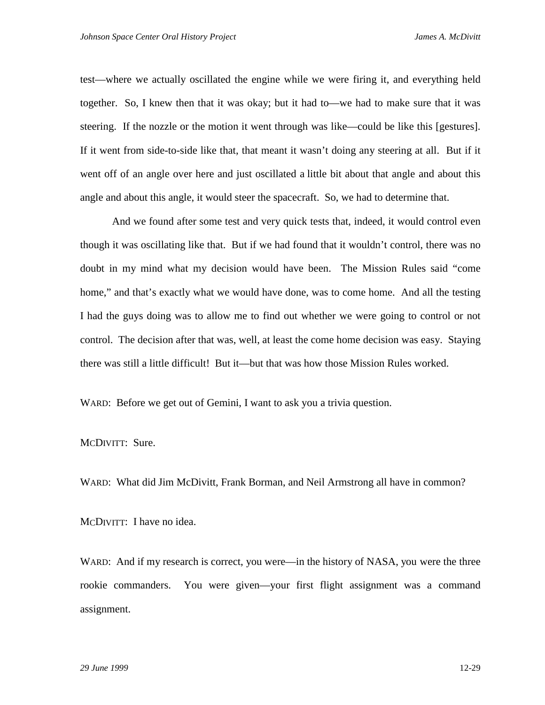test—where we actually oscillated the engine while we were firing it, and everything held together. So, I knew then that it was okay; but it had to—we had to make sure that it was steering. If the nozzle or the motion it went through was like—could be like this [gestures]. If it went from side-to-side like that, that meant it wasn't doing any steering at all. But if it went off of an angle over here and just oscillated a little bit about that angle and about this angle and about this angle, it would steer the spacecraft. So, we had to determine that.

And we found after some test and very quick tests that, indeed, it would control even though it was oscillating like that. But if we had found that it wouldn't control, there was no doubt in my mind what my decision would have been. The Mission Rules said "come home," and that's exactly what we would have done, was to come home. And all the testing I had the guys doing was to allow me to find out whether we were going to control or not control. The decision after that was, well, at least the come home decision was easy. Staying there was still a little difficult! But it—but that was how those Mission Rules worked.

WARD: Before we get out of Gemini, I want to ask you a trivia question.

MCDIVITT: Sure.

WARD: What did Jim McDivitt, Frank Borman, and Neil Armstrong all have in common?

MCDIVITT: I have no idea.

WARD: And if my research is correct, you were—in the history of NASA, you were the three rookie commanders. You were given—your first flight assignment was a command assignment.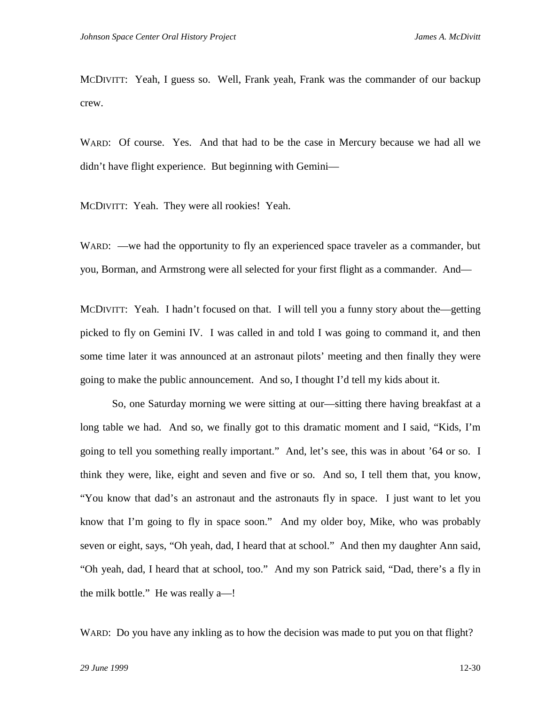MCDIVITT: Yeah, I guess so. Well, Frank yeah, Frank was the commander of our backup crew.

WARD: Of course. Yes. And that had to be the case in Mercury because we had all we didn't have flight experience. But beginning with Gemini—

MCDIVITT: Yeah. They were all rookies! Yeah.

WARD: —we had the opportunity to fly an experienced space traveler as a commander, but you, Borman, and Armstrong were all selected for your first flight as a commander. And—

MCDIVITT: Yeah. I hadn't focused on that. I will tell you a funny story about the—getting picked to fly on Gemini IV. I was called in and told I was going to command it, and then some time later it was announced at an astronaut pilots' meeting and then finally they were going to make the public announcement. And so, I thought I'd tell my kids about it.

So, one Saturday morning we were sitting at our—sitting there having breakfast at a long table we had. And so, we finally got to this dramatic moment and I said, "Kids, I'm going to tell you something really important." And, let's see, this was in about '64 or so. I think they were, like, eight and seven and five or so. And so, I tell them that, you know, "You know that dad's an astronaut and the astronauts fly in space. I just want to let you know that I'm going to fly in space soon." And my older boy, Mike, who was probably seven or eight, says, "Oh yeah, dad, I heard that at school." And then my daughter Ann said, "Oh yeah, dad, I heard that at school, too." And my son Patrick said, "Dad, there's a fly in the milk bottle." He was really a—!

WARD: Do you have any inkling as to how the decision was made to put you on that flight?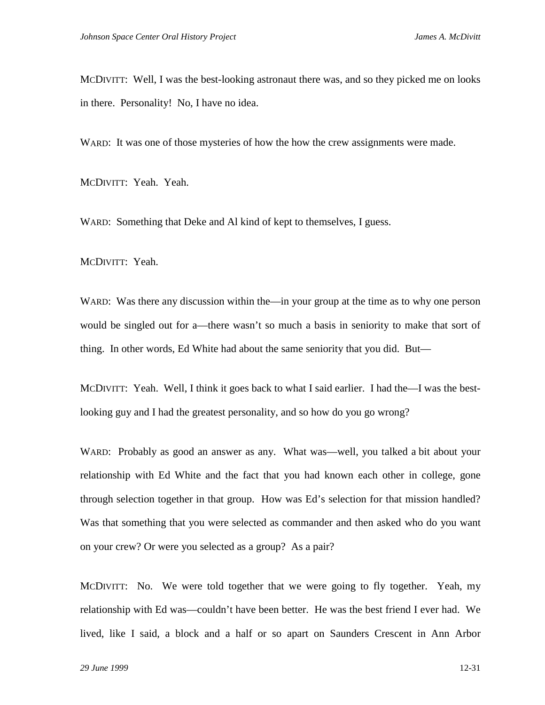MCDIVITT: Well, I was the best-looking astronaut there was, and so they picked me on looks in there. Personality! No, I have no idea.

WARD: It was one of those mysteries of how the how the crew assignments were made.

MCDIVITT: Yeah. Yeah.

WARD: Something that Deke and Al kind of kept to themselves, I guess.

MCDIVITT: Yeah.

WARD: Was there any discussion within the—in your group at the time as to why one person would be singled out for a—there wasn't so much a basis in seniority to make that sort of thing. In other words, Ed White had about the same seniority that you did. But—

MCDIVITT: Yeah. Well, I think it goes back to what I said earlier. I had the—I was the bestlooking guy and I had the greatest personality, and so how do you go wrong?

WARD: Probably as good an answer as any. What was—well, you talked a bit about your relationship with Ed White and the fact that you had known each other in college, gone through selection together in that group. How was Ed's selection for that mission handled? Was that something that you were selected as commander and then asked who do you want on your crew? Or were you selected as a group? As a pair?

MCDIVITT: No. We were told together that we were going to fly together. Yeah, my relationship with Ed was—couldn't have been better. He was the best friend I ever had. We lived, like I said, a block and a half or so apart on Saunders Crescent in Ann Arbor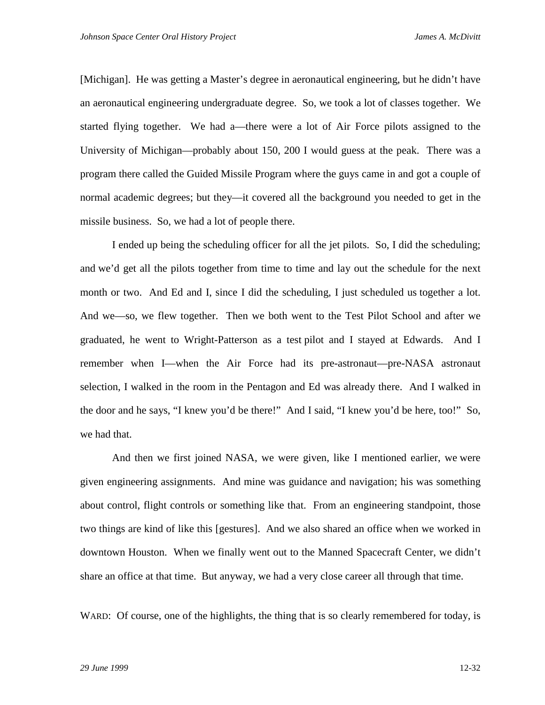[Michigan]. He was getting a Master's degree in aeronautical engineering, but he didn't have an aeronautical engineering undergraduate degree. So, we took a lot of classes together. We started flying together. We had a—there were a lot of Air Force pilots assigned to the University of Michigan—probably about 150, 200 I would guess at the peak. There was a program there called the Guided Missile Program where the guys came in and got a couple of normal academic degrees; but they—it covered all the background you needed to get in the missile business. So, we had a lot of people there.

I ended up being the scheduling officer for all the jet pilots. So, I did the scheduling; and we'd get all the pilots together from time to time and lay out the schedule for the next month or two. And Ed and I, since I did the scheduling, I just scheduled us together a lot. And we—so, we flew together. Then we both went to the Test Pilot School and after we graduated, he went to Wright-Patterson as a test pilot and I stayed at Edwards. And I remember when I—when the Air Force had its pre-astronaut—pre-NASA astronaut selection, I walked in the room in the Pentagon and Ed was already there. And I walked in the door and he says, "I knew you'd be there!" And I said, "I knew you'd be here, too!" So, we had that.

And then we first joined NASA, we were given, like I mentioned earlier, we were given engineering assignments. And mine was guidance and navigation; his was something about control, flight controls or something like that. From an engineering standpoint, those two things are kind of like this [gestures]. And we also shared an office when we worked in downtown Houston. When we finally went out to the Manned Spacecraft Center, we didn't share an office at that time. But anyway, we had a very close career all through that time.

WARD: Of course, one of the highlights, the thing that is so clearly remembered for today, is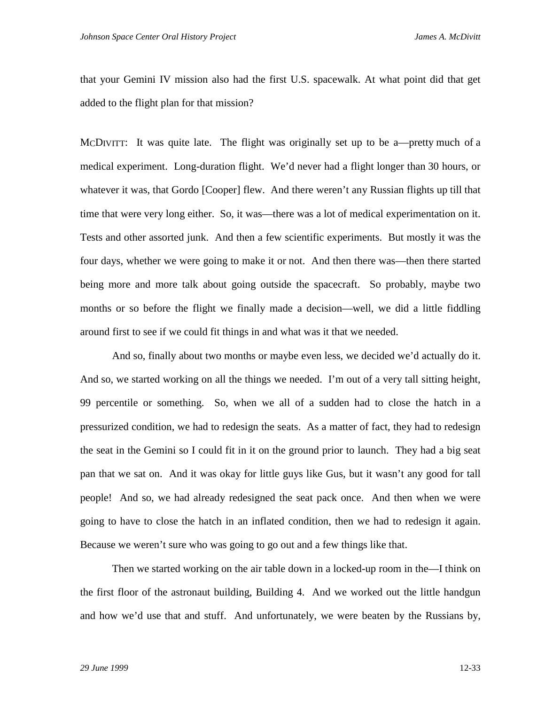that your Gemini IV mission also had the first U.S. spacewalk. At what point did that get added to the flight plan for that mission?

MCDIVITT: It was quite late. The flight was originally set up to be a—pretty much of a medical experiment. Long-duration flight. We'd never had a flight longer than 30 hours, or whatever it was, that Gordo [Cooper] flew. And there weren't any Russian flights up till that time that were very long either. So, it was—there was a lot of medical experimentation on it. Tests and other assorted junk. And then a few scientific experiments. But mostly it was the four days, whether we were going to make it or not. And then there was—then there started being more and more talk about going outside the spacecraft. So probably, maybe two months or so before the flight we finally made a decision—well, we did a little fiddling around first to see if we could fit things in and what was it that we needed.

And so, finally about two months or maybe even less, we decided we'd actually do it. And so, we started working on all the things we needed. I'm out of a very tall sitting height, 99 percentile or something. So, when we all of a sudden had to close the hatch in a pressurized condition, we had to redesign the seats. As a matter of fact, they had to redesign the seat in the Gemini so I could fit in it on the ground prior to launch. They had a big seat pan that we sat on. And it was okay for little guys like Gus, but it wasn't any good for tall people! And so, we had already redesigned the seat pack once. And then when we were going to have to close the hatch in an inflated condition, then we had to redesign it again. Because we weren't sure who was going to go out and a few things like that.

Then we started working on the air table down in a locked-up room in the—I think on the first floor of the astronaut building, Building 4. And we worked out the little handgun and how we'd use that and stuff. And unfortunately, we were beaten by the Russians by,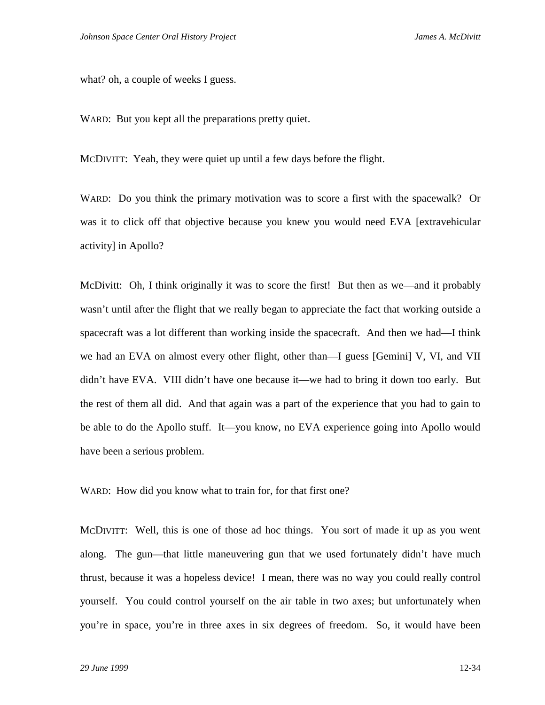what? oh, a couple of weeks I guess.

WARD: But you kept all the preparations pretty quiet.

MCDIVITT: Yeah, they were quiet up until a few days before the flight.

WARD: Do you think the primary motivation was to score a first with the spacewalk? Or was it to click off that objective because you knew you would need EVA [extravehicular activity] in Apollo?

McDivitt: Oh, I think originally it was to score the first! But then as we—and it probably wasn't until after the flight that we really began to appreciate the fact that working outside a spacecraft was a lot different than working inside the spacecraft. And then we had—I think we had an EVA on almost every other flight, other than—I guess [Gemini] V, VI, and VII didn't have EVA. VIII didn't have one because it—we had to bring it down too early. But the rest of them all did. And that again was a part of the experience that you had to gain to be able to do the Apollo stuff. It—you know, no EVA experience going into Apollo would have been a serious problem.

WARD: How did you know what to train for, for that first one?

MCDIVITT: Well, this is one of those ad hoc things. You sort of made it up as you went along. The gun—that little maneuvering gun that we used fortunately didn't have much thrust, because it was a hopeless device! I mean, there was no way you could really control yourself. You could control yourself on the air table in two axes; but unfortunately when you're in space, you're in three axes in six degrees of freedom. So, it would have been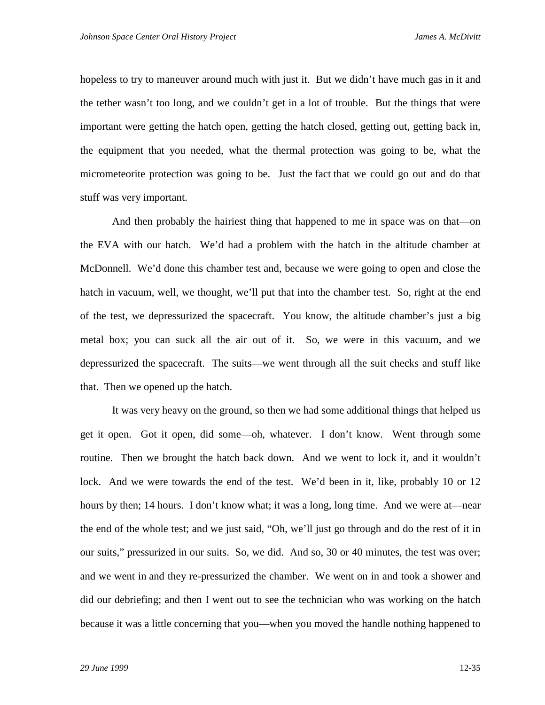hopeless to try to maneuver around much with just it. But we didn't have much gas in it and the tether wasn't too long, and we couldn't get in a lot of trouble. But the things that were important were getting the hatch open, getting the hatch closed, getting out, getting back in, the equipment that you needed, what the thermal protection was going to be, what the micrometeorite protection was going to be. Just the fact that we could go out and do that stuff was very important.

And then probably the hairiest thing that happened to me in space was on that—on the EVA with our hatch. We'd had a problem with the hatch in the altitude chamber at McDonnell. We'd done this chamber test and, because we were going to open and close the hatch in vacuum, well, we thought, we'll put that into the chamber test. So, right at the end of the test, we depressurized the spacecraft. You know, the altitude chamber's just a big metal box; you can suck all the air out of it. So, we were in this vacuum, and we depressurized the spacecraft. The suits—we went through all the suit checks and stuff like that. Then we opened up the hatch.

It was very heavy on the ground, so then we had some additional things that helped us get it open. Got it open, did some—oh, whatever. I don't know. Went through some routine. Then we brought the hatch back down. And we went to lock it, and it wouldn't lock. And we were towards the end of the test. We'd been in it, like, probably 10 or 12 hours by then; 14 hours. I don't know what; it was a long, long time. And we were at—near the end of the whole test; and we just said, "Oh, we'll just go through and do the rest of it in our suits," pressurized in our suits. So, we did. And so, 30 or 40 minutes, the test was over; and we went in and they re-pressurized the chamber. We went on in and took a shower and did our debriefing; and then I went out to see the technician who was working on the hatch because it was a little concerning that you—when you moved the handle nothing happened to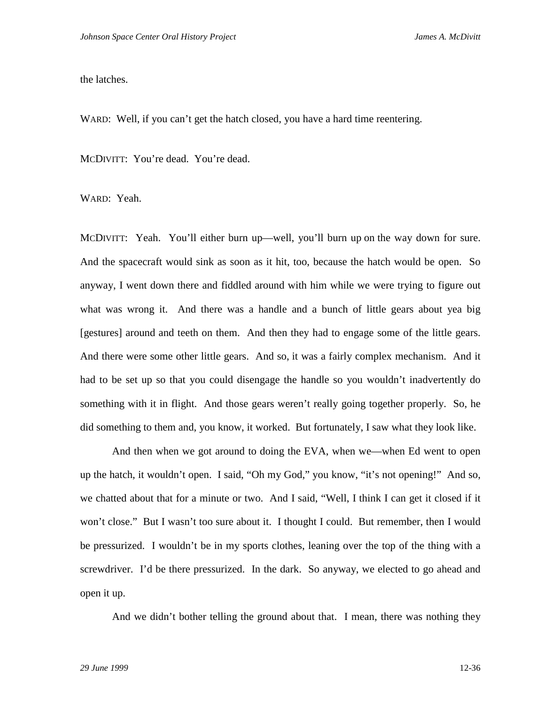the latches.

WARD: Well, if you can't get the hatch closed, you have a hard time reentering.

MCDIVITT: You're dead. You're dead.

WARD: Yeah.

MCDIVITT: Yeah. You'll either burn up—well, you'll burn up on the way down for sure. And the spacecraft would sink as soon as it hit, too, because the hatch would be open. So anyway, I went down there and fiddled around with him while we were trying to figure out what was wrong it. And there was a handle and a bunch of little gears about yea big [gestures] around and teeth on them. And then they had to engage some of the little gears. And there were some other little gears. And so, it was a fairly complex mechanism. And it had to be set up so that you could disengage the handle so you wouldn't inadvertently do something with it in flight. And those gears weren't really going together properly. So, he did something to them and, you know, it worked. But fortunately, I saw what they look like.

And then when we got around to doing the EVA, when we—when Ed went to open up the hatch, it wouldn't open. I said, "Oh my God," you know, "it's not opening!" And so, we chatted about that for a minute or two. And I said, "Well, I think I can get it closed if it won't close." But I wasn't too sure about it. I thought I could. But remember, then I would be pressurized. I wouldn't be in my sports clothes, leaning over the top of the thing with a screwdriver. I'd be there pressurized. In the dark. So anyway, we elected to go ahead and open it up.

And we didn't bother telling the ground about that. I mean, there was nothing they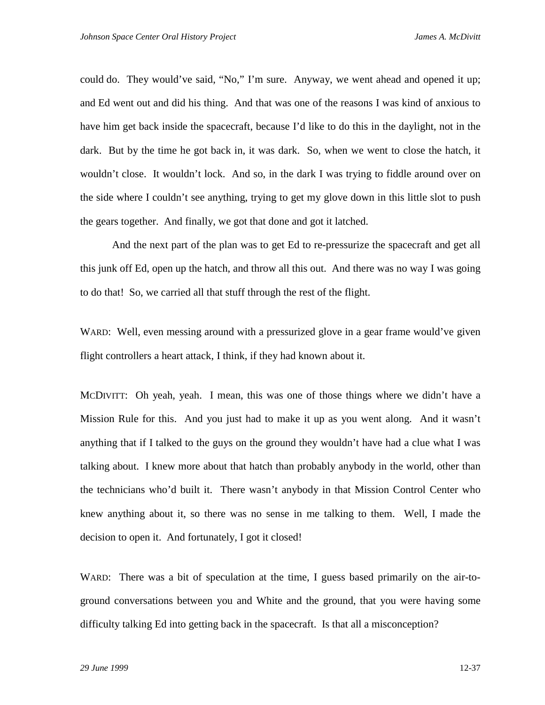could do. They would've said, "No," I'm sure. Anyway, we went ahead and opened it up; and Ed went out and did his thing. And that was one of the reasons I was kind of anxious to have him get back inside the spacecraft, because I'd like to do this in the daylight, not in the dark. But by the time he got back in, it was dark. So, when we went to close the hatch, it wouldn't close. It wouldn't lock. And so, in the dark I was trying to fiddle around over on the side where I couldn't see anything, trying to get my glove down in this little slot to push the gears together. And finally, we got that done and got it latched.

And the next part of the plan was to get Ed to re-pressurize the spacecraft and get all this junk off Ed, open up the hatch, and throw all this out. And there was no way I was going to do that! So, we carried all that stuff through the rest of the flight.

WARD: Well, even messing around with a pressurized glove in a gear frame would've given flight controllers a heart attack, I think, if they had known about it.

MCDIVITT: Oh yeah, yeah. I mean, this was one of those things where we didn't have a Mission Rule for this. And you just had to make it up as you went along. And it wasn't anything that if I talked to the guys on the ground they wouldn't have had a clue what I was talking about. I knew more about that hatch than probably anybody in the world, other than the technicians who'd built it. There wasn't anybody in that Mission Control Center who knew anything about it, so there was no sense in me talking to them. Well, I made the decision to open it. And fortunately, I got it closed!

WARD: There was a bit of speculation at the time, I guess based primarily on the air-toground conversations between you and White and the ground, that you were having some difficulty talking Ed into getting back in the spacecraft. Is that all a misconception?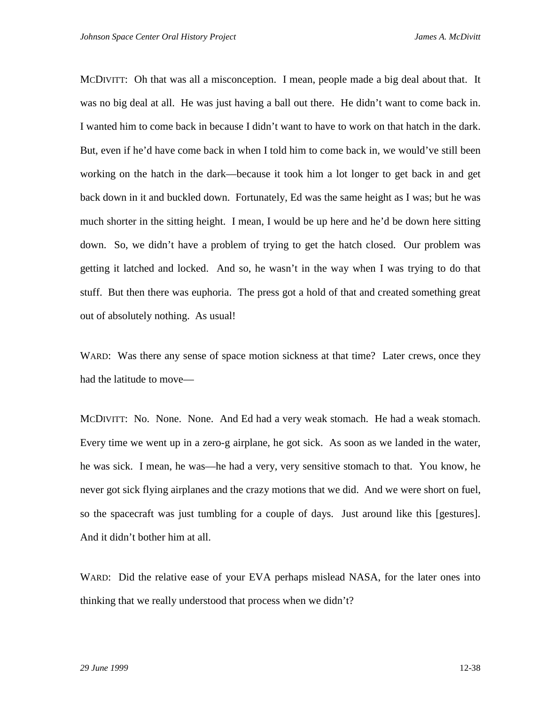MCDIVITT: Oh that was all a misconception. I mean, people made a big deal about that. It was no big deal at all. He was just having a ball out there. He didn't want to come back in. I wanted him to come back in because I didn't want to have to work on that hatch in the dark. But, even if he'd have come back in when I told him to come back in, we would've still been working on the hatch in the dark—because it took him a lot longer to get back in and get back down in it and buckled down. Fortunately, Ed was the same height as I was; but he was much shorter in the sitting height. I mean, I would be up here and he'd be down here sitting down. So, we didn't have a problem of trying to get the hatch closed. Our problem was getting it latched and locked. And so, he wasn't in the way when I was trying to do that stuff. But then there was euphoria. The press got a hold of that and created something great out of absolutely nothing. As usual!

WARD: Was there any sense of space motion sickness at that time? Later crews, once they had the latitude to move—

MCDIVITT: No. None. None. And Ed had a very weak stomach. He had a weak stomach. Every time we went up in a zero-g airplane, he got sick. As soon as we landed in the water, he was sick. I mean, he was—he had a very, very sensitive stomach to that. You know, he never got sick flying airplanes and the crazy motions that we did. And we were short on fuel, so the spacecraft was just tumbling for a couple of days. Just around like this [gestures]. And it didn't bother him at all.

WARD: Did the relative ease of your EVA perhaps mislead NASA, for the later ones into thinking that we really understood that process when we didn't?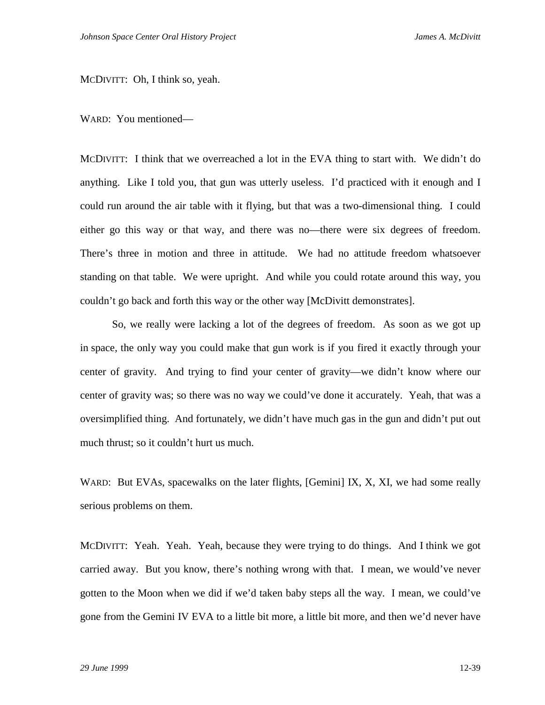MCDIVITT: Oh, I think so, yeah.

WARD: You mentioned—

MCDIVITT: I think that we overreached a lot in the EVA thing to start with. We didn't do anything. Like I told you, that gun was utterly useless. I'd practiced with it enough and I could run around the air table with it flying, but that was a two-dimensional thing. I could either go this way or that way, and there was no—there were six degrees of freedom. There's three in motion and three in attitude. We had no attitude freedom whatsoever standing on that table. We were upright. And while you could rotate around this way, you couldn't go back and forth this way or the other way [McDivitt demonstrates].

So, we really were lacking a lot of the degrees of freedom. As soon as we got up in space, the only way you could make that gun work is if you fired it exactly through your center of gravity. And trying to find your center of gravity—we didn't know where our center of gravity was; so there was no way we could've done it accurately. Yeah, that was a oversimplified thing. And fortunately, we didn't have much gas in the gun and didn't put out much thrust; so it couldn't hurt us much.

WARD: But EVAs, spacewalks on the later flights, [Gemini] IX, X, XI, we had some really serious problems on them.

MCDIVITT: Yeah. Yeah. Yeah, because they were trying to do things. And I think we got carried away. But you know, there's nothing wrong with that. I mean, we would've never gotten to the Moon when we did if we'd taken baby steps all the way. I mean, we could've gone from the Gemini IV EVA to a little bit more, a little bit more, and then we'd never have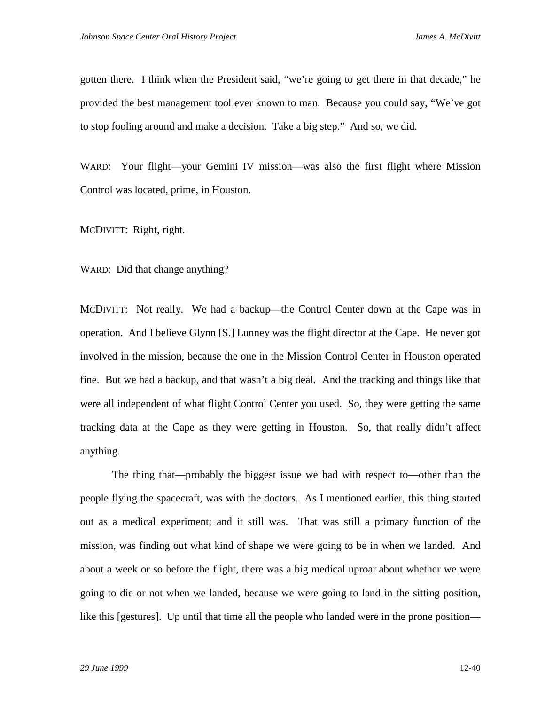gotten there. I think when the President said, "we're going to get there in that decade," he provided the best management tool ever known to man. Because you could say, "We've got to stop fooling around and make a decision. Take a big step." And so, we did.

WARD: Your flight—your Gemini IV mission—was also the first flight where Mission Control was located, prime, in Houston.

MCDIVITT: Right, right.

WARD: Did that change anything?

MCDIVITT: Not really. We had a backup—the Control Center down at the Cape was in operation. And I believe Glynn [S.] Lunney was the flight director at the Cape. He never got involved in the mission, because the one in the Mission Control Center in Houston operated fine. But we had a backup, and that wasn't a big deal. And the tracking and things like that were all independent of what flight Control Center you used. So, they were getting the same tracking data at the Cape as they were getting in Houston. So, that really didn't affect anything.

The thing that—probably the biggest issue we had with respect to—other than the people flying the spacecraft, was with the doctors. As I mentioned earlier, this thing started out as a medical experiment; and it still was. That was still a primary function of the mission, was finding out what kind of shape we were going to be in when we landed. And about a week or so before the flight, there was a big medical uproar about whether we were going to die or not when we landed, because we were going to land in the sitting position, like this [gestures]. Up until that time all the people who landed were in the prone position—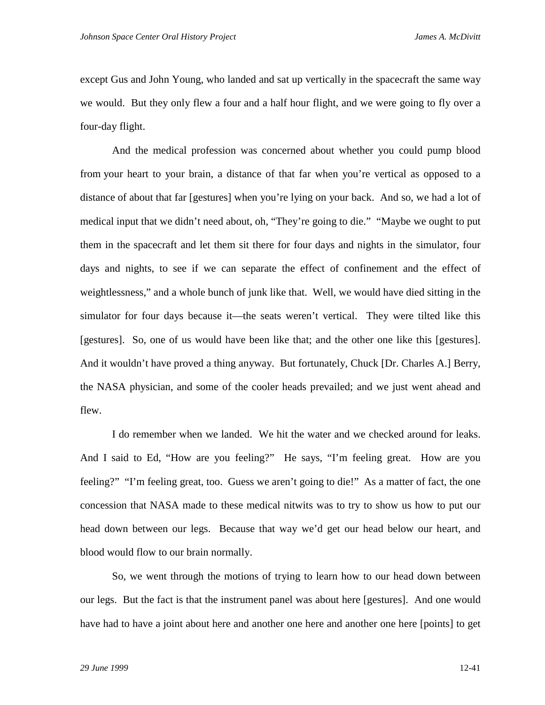except Gus and John Young, who landed and sat up vertically in the spacecraft the same way we would. But they only flew a four and a half hour flight, and we were going to fly over a four-day flight.

And the medical profession was concerned about whether you could pump blood from your heart to your brain, a distance of that far when you're vertical as opposed to a distance of about that far [gestures] when you're lying on your back. And so, we had a lot of medical input that we didn't need about, oh, "They're going to die." "Maybe we ought to put them in the spacecraft and let them sit there for four days and nights in the simulator, four days and nights, to see if we can separate the effect of confinement and the effect of weightlessness," and a whole bunch of junk like that. Well, we would have died sitting in the simulator for four days because it—the seats weren't vertical. They were tilted like this [gestures]. So, one of us would have been like that; and the other one like this [gestures]. And it wouldn't have proved a thing anyway. But fortunately, Chuck [Dr. Charles A.] Berry, the NASA physician, and some of the cooler heads prevailed; and we just went ahead and flew.

I do remember when we landed. We hit the water and we checked around for leaks. And I said to Ed, "How are you feeling?" He says, "I'm feeling great. How are you feeling?" "I'm feeling great, too. Guess we aren't going to die!" As a matter of fact, the one concession that NASA made to these medical nitwits was to try to show us how to put our head down between our legs. Because that way we'd get our head below our heart, and blood would flow to our brain normally.

So, we went through the motions of trying to learn how to our head down between our legs. But the fact is that the instrument panel was about here [gestures]. And one would have had to have a joint about here and another one here and another one here [points] to get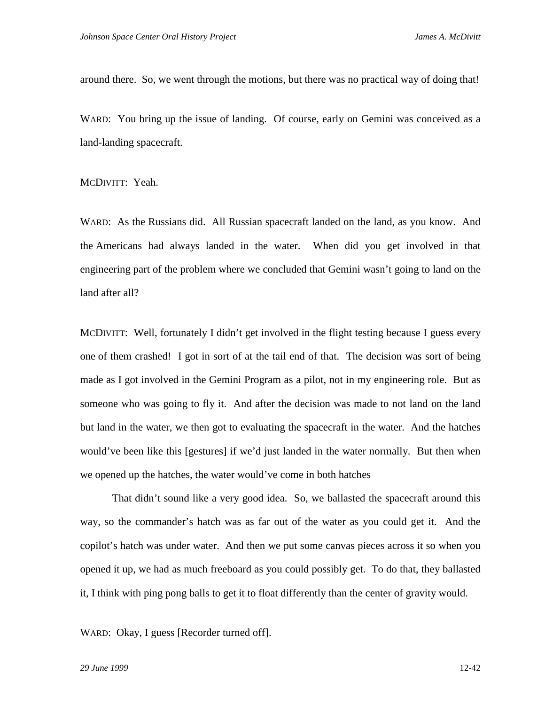around there. So, we went through the motions, but there was no practical way of doing that!

WARD: You bring up the issue of landing. Of course, early on Gemini was conceived as a land-landing spacecraft.

MCDIVITT: Yeah.

WARD: As the Russians did. All Russian spacecraft landed on the land, as you know. And the Americans had always landed in the water. When did you get involved in that engineering part of the problem where we concluded that Gemini wasn't going to land on the land after all?

MCDIVITT: Well, fortunately I didn't get involved in the flight testing because I guess every one of them crashed! I got in sort of at the tail end of that. The decision was sort of being made as I got involved in the Gemini Program as a pilot, not in my engineering role. But as someone who was going to fly it. And after the decision was made to not land on the land but land in the water, we then got to evaluating the spacecraft in the water. And the hatches would've been like this [gestures] if we'd just landed in the water normally. But then when we opened up the hatches, the water would've come in both hatches

That didn't sound like a very good idea. So, we ballasted the spacecraft around this way, so the commander's hatch was as far out of the water as you could get it. And the copilot's hatch was under water. And then we put some canvas pieces across it so when you opened it up, we had as much freeboard as you could possibly get. To do that, they ballasted it, I think with ping pong balls to get it to float differently than the center of gravity would.

WARD: Okay, I guess [Recorder turned off].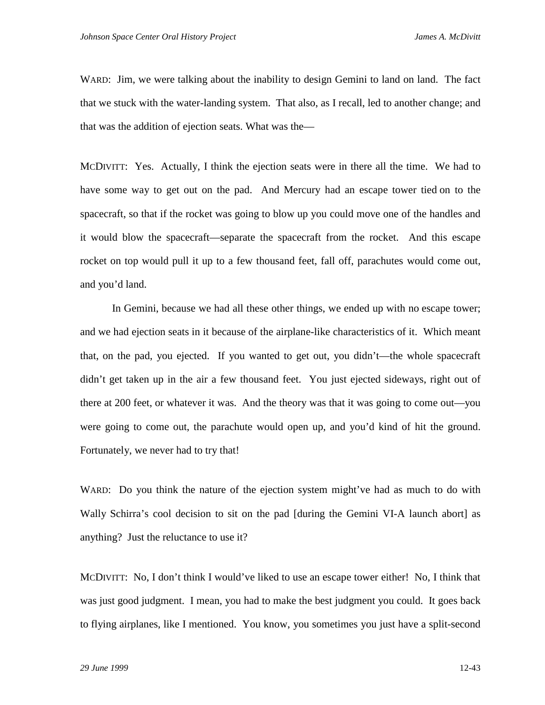WARD: Jim, we were talking about the inability to design Gemini to land on land. The fact that we stuck with the water-landing system. That also, as I recall, led to another change; and that was the addition of ejection seats. What was the—

MCDIVITT: Yes. Actually, I think the ejection seats were in there all the time. We had to have some way to get out on the pad. And Mercury had an escape tower tied on to the spacecraft, so that if the rocket was going to blow up you could move one of the handles and it would blow the spacecraft—separate the spacecraft from the rocket. And this escape rocket on top would pull it up to a few thousand feet, fall off, parachutes would come out, and you'd land.

In Gemini, because we had all these other things, we ended up with no escape tower; and we had ejection seats in it because of the airplane-like characteristics of it. Which meant that, on the pad, you ejected. If you wanted to get out, you didn't—the whole spacecraft didn't get taken up in the air a few thousand feet. You just ejected sideways, right out of there at 200 feet, or whatever it was. And the theory was that it was going to come out—you were going to come out, the parachute would open up, and you'd kind of hit the ground. Fortunately, we never had to try that!

WARD: Do you think the nature of the ejection system might've had as much to do with Wally Schirra's cool decision to sit on the pad [during the Gemini VI-A launch abort] as anything? Just the reluctance to use it?

MCDIVITT: No, I don't think I would've liked to use an escape tower either! No, I think that was just good judgment. I mean, you had to make the best judgment you could. It goes back to flying airplanes, like I mentioned. You know, you sometimes you just have a split-second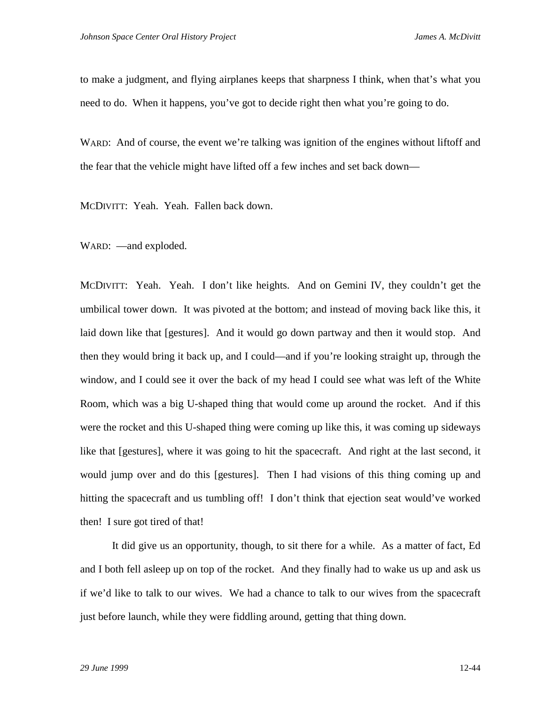to make a judgment, and flying airplanes keeps that sharpness I think, when that's what you need to do. When it happens, you've got to decide right then what you're going to do.

WARD: And of course, the event we're talking was ignition of the engines without liftoff and the fear that the vehicle might have lifted off a few inches and set back down—

MCDIVITT: Yeah. Yeah. Fallen back down.

WARD: —and exploded.

MCDIVITT: Yeah. Yeah. I don't like heights. And on Gemini IV, they couldn't get the umbilical tower down. It was pivoted at the bottom; and instead of moving back like this, it laid down like that [gestures]. And it would go down partway and then it would stop. And then they would bring it back up, and I could—and if you're looking straight up, through the window, and I could see it over the back of my head I could see what was left of the White Room, which was a big U-shaped thing that would come up around the rocket. And if this were the rocket and this U-shaped thing were coming up like this, it was coming up sideways like that [gestures], where it was going to hit the spacecraft. And right at the last second, it would jump over and do this [gestures]. Then I had visions of this thing coming up and hitting the spacecraft and us tumbling off! I don't think that ejection seat would've worked then! I sure got tired of that!

It did give us an opportunity, though, to sit there for a while. As a matter of fact, Ed and I both fell asleep up on top of the rocket. And they finally had to wake us up and ask us if we'd like to talk to our wives. We had a chance to talk to our wives from the spacecraft just before launch, while they were fiddling around, getting that thing down.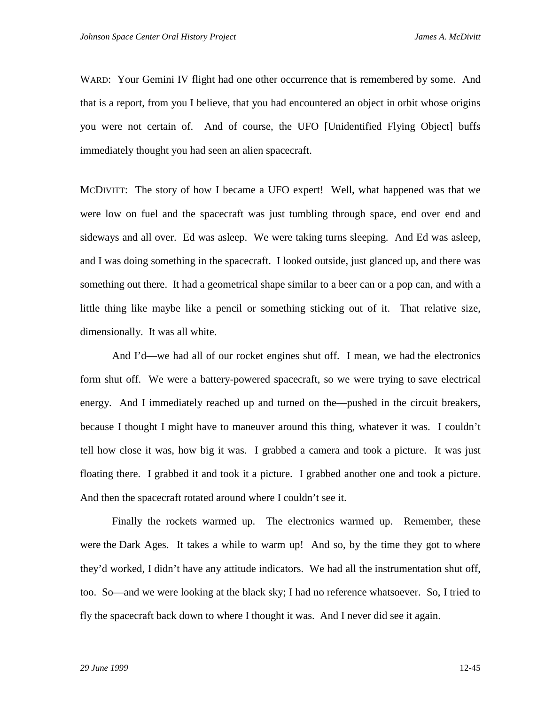WARD: Your Gemini IV flight had one other occurrence that is remembered by some. And that is a report, from you I believe, that you had encountered an object in orbit whose origins you were not certain of. And of course, the UFO [Unidentified Flying Object] buffs immediately thought you had seen an alien spacecraft.

MCDIVITT: The story of how I became a UFO expert! Well, what happened was that we were low on fuel and the spacecraft was just tumbling through space, end over end and sideways and all over. Ed was asleep. We were taking turns sleeping. And Ed was asleep, and I was doing something in the spacecraft. I looked outside, just glanced up, and there was something out there. It had a geometrical shape similar to a beer can or a pop can, and with a little thing like maybe like a pencil or something sticking out of it. That relative size, dimensionally. It was all white.

And I'd—we had all of our rocket engines shut off. I mean, we had the electronics form shut off. We were a battery-powered spacecraft, so we were trying to save electrical energy. And I immediately reached up and turned on the—pushed in the circuit breakers, because I thought I might have to maneuver around this thing, whatever it was. I couldn't tell how close it was, how big it was. I grabbed a camera and took a picture. It was just floating there. I grabbed it and took it a picture. I grabbed another one and took a picture. And then the spacecraft rotated around where I couldn't see it.

Finally the rockets warmed up. The electronics warmed up. Remember, these were the Dark Ages. It takes a while to warm up! And so, by the time they got to where they'd worked, I didn't have any attitude indicators. We had all the instrumentation shut off, too. So—and we were looking at the black sky; I had no reference whatsoever. So, I tried to fly the spacecraft back down to where I thought it was. And I never did see it again.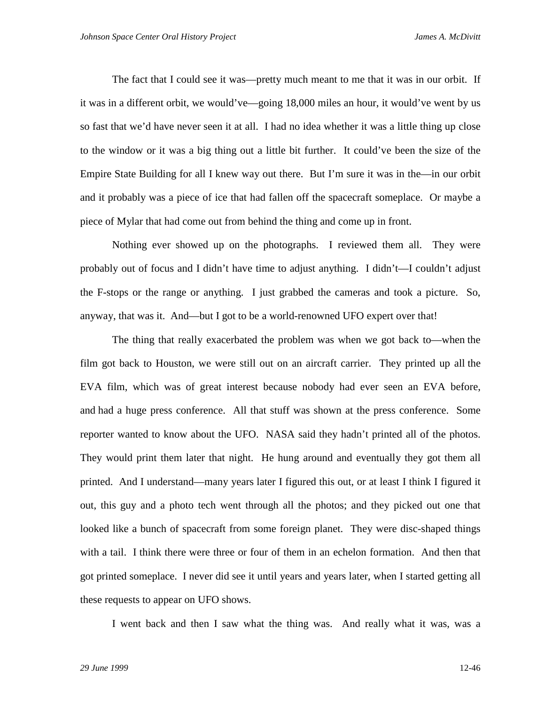The fact that I could see it was—pretty much meant to me that it was in our orbit. If it was in a different orbit, we would've—going 18,000 miles an hour, it would've went by us so fast that we'd have never seen it at all. I had no idea whether it was a little thing up close to the window or it was a big thing out a little bit further. It could've been the size of the Empire State Building for all I knew way out there. But I'm sure it was in the—in our orbit and it probably was a piece of ice that had fallen off the spacecraft someplace. Or maybe a piece of Mylar that had come out from behind the thing and come up in front.

Nothing ever showed up on the photographs. I reviewed them all. They were probably out of focus and I didn't have time to adjust anything. I didn't—I couldn't adjust the F-stops or the range or anything. I just grabbed the cameras and took a picture. So, anyway, that was it. And—but I got to be a world-renowned UFO expert over that!

The thing that really exacerbated the problem was when we got back to—when the film got back to Houston, we were still out on an aircraft carrier. They printed up all the EVA film, which was of great interest because nobody had ever seen an EVA before, and had a huge press conference. All that stuff was shown at the press conference. Some reporter wanted to know about the UFO. NASA said they hadn't printed all of the photos. They would print them later that night. He hung around and eventually they got them all printed. And I understand—many years later I figured this out, or at least I think I figured it out, this guy and a photo tech went through all the photos; and they picked out one that looked like a bunch of spacecraft from some foreign planet. They were disc-shaped things with a tail. I think there were three or four of them in an echelon formation. And then that got printed someplace. I never did see it until years and years later, when I started getting all these requests to appear on UFO shows.

I went back and then I saw what the thing was. And really what it was, was a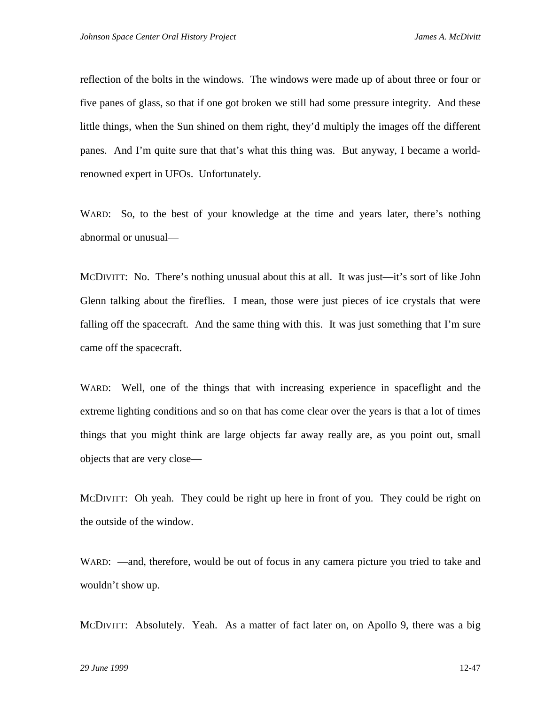reflection of the bolts in the windows. The windows were made up of about three or four or five panes of glass, so that if one got broken we still had some pressure integrity. And these little things, when the Sun shined on them right, they'd multiply the images off the different panes. And I'm quite sure that that's what this thing was. But anyway, I became a worldrenowned expert in UFOs. Unfortunately.

WARD: So, to the best of your knowledge at the time and years later, there's nothing abnormal or unusual—

MCDIVITT: No. There's nothing unusual about this at all. It was just—it's sort of like John Glenn talking about the fireflies. I mean, those were just pieces of ice crystals that were falling off the spacecraft. And the same thing with this. It was just something that I'm sure came off the spacecraft.

WARD: Well, one of the things that with increasing experience in spaceflight and the extreme lighting conditions and so on that has come clear over the years is that a lot of times things that you might think are large objects far away really are, as you point out, small objects that are very close—

MCDIVITT: Oh yeah. They could be right up here in front of you. They could be right on the outside of the window.

WARD: —and, therefore, would be out of focus in any camera picture you tried to take and wouldn't show up.

MCDIVITT: Absolutely. Yeah. As a matter of fact later on, on Apollo 9, there was a big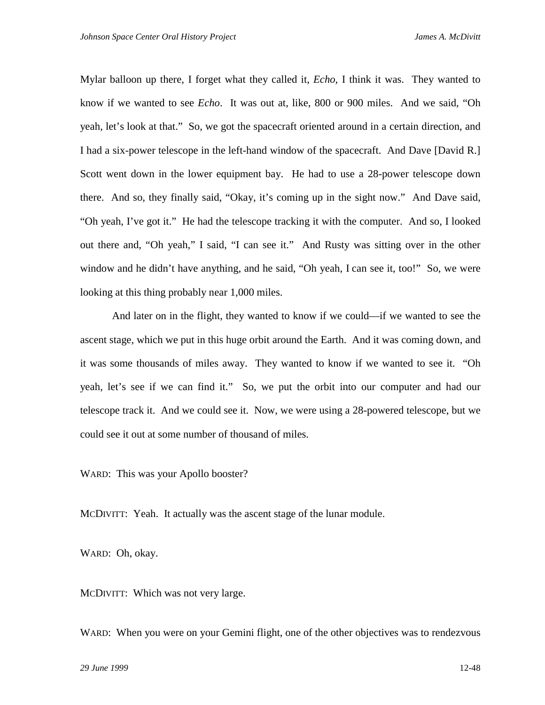Mylar balloon up there, I forget what they called it, *Echo*, I think it was. They wanted to know if we wanted to see *Echo*. It was out at, like, 800 or 900 miles. And we said, "Oh yeah, let's look at that." So, we got the spacecraft oriented around in a certain direction, and I had a six-power telescope in the left-hand window of the spacecraft. And Dave [David R.] Scott went down in the lower equipment bay. He had to use a 28-power telescope down there. And so, they finally said, "Okay, it's coming up in the sight now." And Dave said, "Oh yeah, I've got it." He had the telescope tracking it with the computer. And so, I looked out there and, "Oh yeah," I said, "I can see it." And Rusty was sitting over in the other window and he didn't have anything, and he said, "Oh yeah, I can see it, too!" So, we were looking at this thing probably near 1,000 miles.

And later on in the flight, they wanted to know if we could—if we wanted to see the ascent stage, which we put in this huge orbit around the Earth. And it was coming down, and it was some thousands of miles away. They wanted to know if we wanted to see it. "Oh yeah, let's see if we can find it." So, we put the orbit into our computer and had our telescope track it. And we could see it. Now, we were using a 28-powered telescope, but we could see it out at some number of thousand of miles.

WARD: This was your Apollo booster?

MCDIVITT: Yeah. It actually was the ascent stage of the lunar module.

WARD: Oh, okay.

MCDIVITT: Which was not very large.

WARD: When you were on your Gemini flight, one of the other objectives was to rendezvous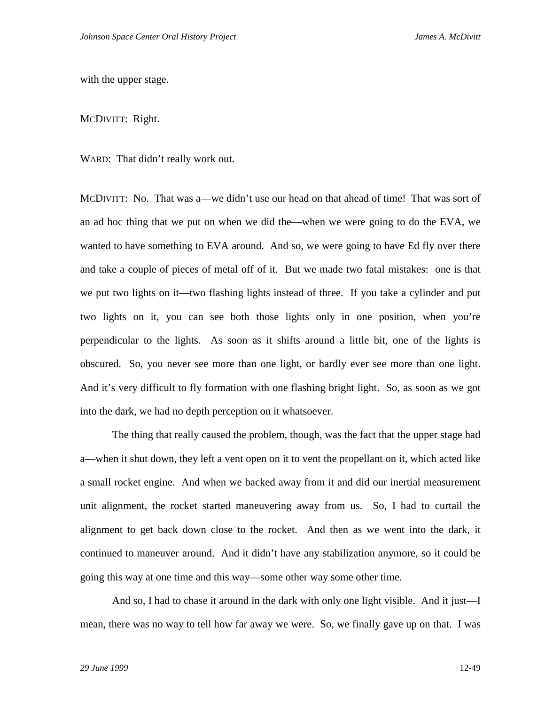with the upper stage.

MCDIVITT: Right.

WARD: That didn't really work out.

MCDIVITT: No. That was a—we didn't use our head on that ahead of time! That was sort of an ad hoc thing that we put on when we did the—when we were going to do the EVA, we wanted to have something to EVA around. And so, we were going to have Ed fly over there and take a couple of pieces of metal off of it. But we made two fatal mistakes: one is that we put two lights on it—two flashing lights instead of three. If you take a cylinder and put two lights on it, you can see both those lights only in one position, when you're perpendicular to the lights. As soon as it shifts around a little bit, one of the lights is obscured. So, you never see more than one light, or hardly ever see more than one light. And it's very difficult to fly formation with one flashing bright light. So, as soon as we got into the dark, we had no depth perception on it whatsoever.

The thing that really caused the problem, though, was the fact that the upper stage had a—when it shut down, they left a vent open on it to vent the propellant on it, which acted like a small rocket engine. And when we backed away from it and did our inertial measurement unit alignment, the rocket started maneuvering away from us. So, I had to curtail the alignment to get back down close to the rocket. And then as we went into the dark, it continued to maneuver around. And it didn't have any stabilization anymore, so it could be going this way at one time and this way—some other way some other time.

And so, I had to chase it around in the dark with only one light visible. And it just—I mean, there was no way to tell how far away we were. So, we finally gave up on that. I was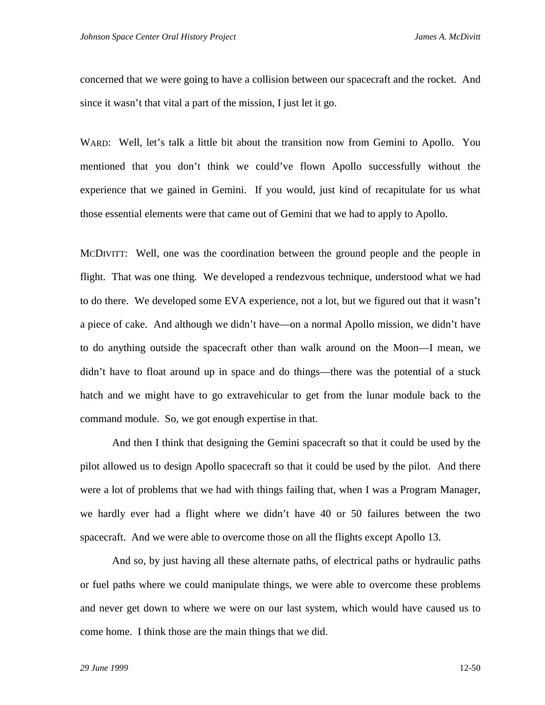concerned that we were going to have a collision between our spacecraft and the rocket. And since it wasn't that vital a part of the mission, I just let it go.

WARD: Well, let's talk a little bit about the transition now from Gemini to Apollo. You mentioned that you don't think we could've flown Apollo successfully without the experience that we gained in Gemini. If you would, just kind of recapitulate for us what those essential elements were that came out of Gemini that we had to apply to Apollo.

MCDIVITT: Well, one was the coordination between the ground people and the people in flight. That was one thing. We developed a rendezvous technique, understood what we had to do there. We developed some EVA experience, not a lot, but we figured out that it wasn't a piece of cake. And although we didn't have—on a normal Apollo mission, we didn't have to do anything outside the spacecraft other than walk around on the Moon—I mean, we didn't have to float around up in space and do things—there was the potential of a stuck hatch and we might have to go extravehicular to get from the lunar module back to the command module. So, we got enough expertise in that.

And then I think that designing the Gemini spacecraft so that it could be used by the pilot allowed us to design Apollo spacecraft so that it could be used by the pilot. And there were a lot of problems that we had with things failing that, when I was a Program Manager, we hardly ever had a flight where we didn't have 40 or 50 failures between the two spacecraft. And we were able to overcome those on all the flights except Apollo 13.

And so, by just having all these alternate paths, of electrical paths or hydraulic paths or fuel paths where we could manipulate things, we were able to overcome these problems and never get down to where we were on our last system, which would have caused us to come home. I think those are the main things that we did.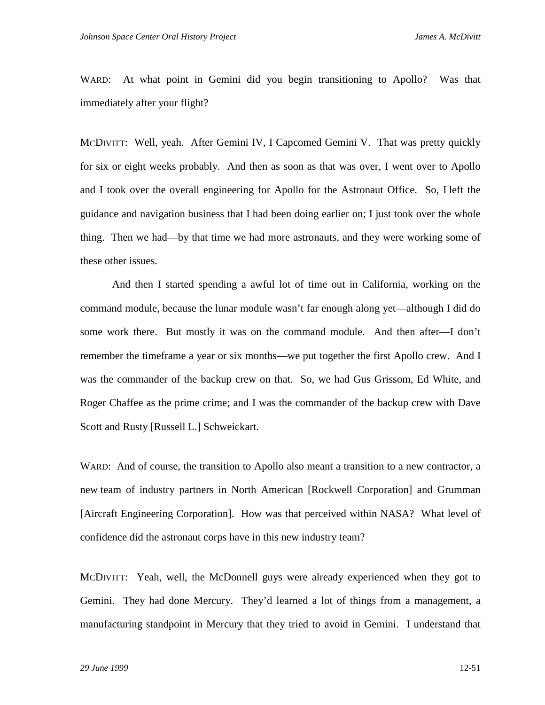WARD: At what point in Gemini did you begin transitioning to Apollo? Was that immediately after your flight?

MCDIVITT: Well, yeah. After Gemini IV, I Capcomed Gemini V. That was pretty quickly for six or eight weeks probably. And then as soon as that was over, I went over to Apollo and I took over the overall engineering for Apollo for the Astronaut Office. So, I left the guidance and navigation business that I had been doing earlier on; I just took over the whole thing. Then we had—by that time we had more astronauts, and they were working some of these other issues.

And then I started spending a awful lot of time out in California, working on the command module, because the lunar module wasn't far enough along yet—although I did do some work there. But mostly it was on the command module. And then after—I don't remember the timeframe a year or six months—we put together the first Apollo crew. And I was the commander of the backup crew on that. So, we had Gus Grissom, Ed White, and Roger Chaffee as the prime crime; and I was the commander of the backup crew with Dave Scott and Rusty [Russell L.] Schweickart.

WARD: And of course, the transition to Apollo also meant a transition to a new contractor, a new team of industry partners in North American [Rockwell Corporation] and Grumman [Aircraft Engineering Corporation]. How was that perceived within NASA? What level of confidence did the astronaut corps have in this new industry team?

MCDIVITT: Yeah, well, the McDonnell guys were already experienced when they got to Gemini. They had done Mercury. They'd learned a lot of things from a management, a manufacturing standpoint in Mercury that they tried to avoid in Gemini. I understand that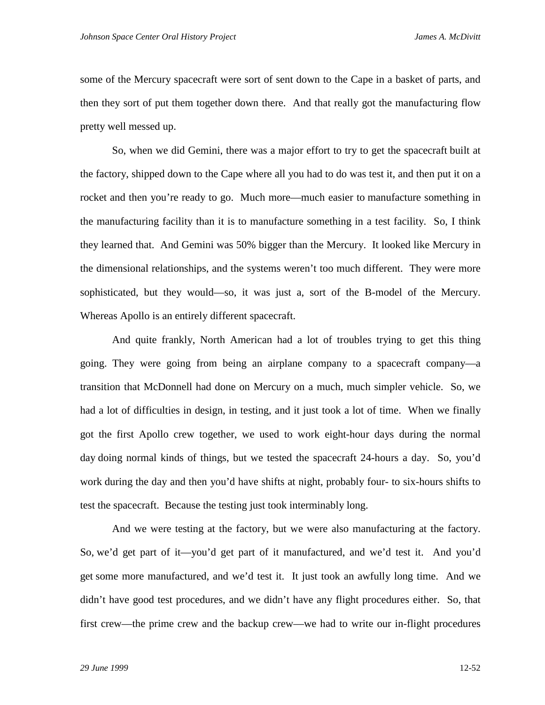some of the Mercury spacecraft were sort of sent down to the Cape in a basket of parts, and then they sort of put them together down there. And that really got the manufacturing flow pretty well messed up.

So, when we did Gemini, there was a major effort to try to get the spacecraft built at the factory, shipped down to the Cape where all you had to do was test it, and then put it on a rocket and then you're ready to go. Much more—much easier to manufacture something in the manufacturing facility than it is to manufacture something in a test facility. So, I think they learned that. And Gemini was 50% bigger than the Mercury. It looked like Mercury in the dimensional relationships, and the systems weren't too much different. They were more sophisticated, but they would—so, it was just a, sort of the B-model of the Mercury. Whereas Apollo is an entirely different spacecraft.

And quite frankly, North American had a lot of troubles trying to get this thing going. They were going from being an airplane company to a spacecraft company—a transition that McDonnell had done on Mercury on a much, much simpler vehicle. So, we had a lot of difficulties in design, in testing, and it just took a lot of time. When we finally got the first Apollo crew together, we used to work eight-hour days during the normal day doing normal kinds of things, but we tested the spacecraft 24-hours a day. So, you'd work during the day and then you'd have shifts at night, probably four- to six-hours shifts to test the spacecraft. Because the testing just took interminably long.

And we were testing at the factory, but we were also manufacturing at the factory. So, we'd get part of it—you'd get part of it manufactured, and we'd test it. And you'd get some more manufactured, and we'd test it. It just took an awfully long time. And we didn't have good test procedures, and we didn't have any flight procedures either. So, that first crew—the prime crew and the backup crew—we had to write our in-flight procedures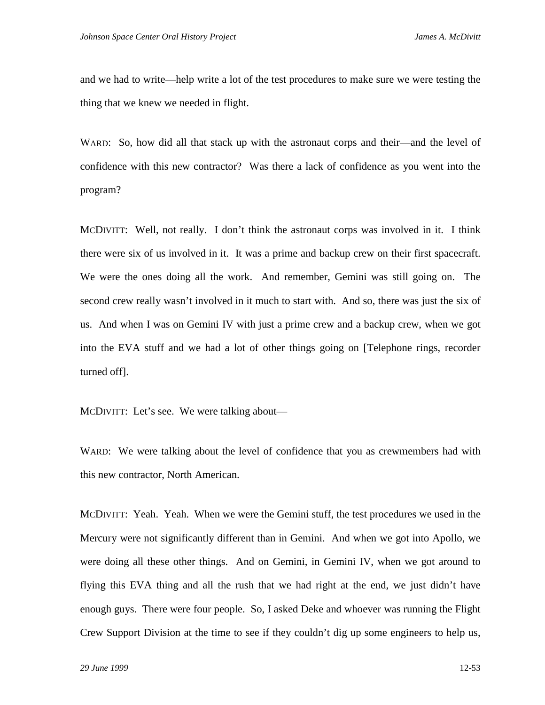and we had to write—help write a lot of the test procedures to make sure we were testing the thing that we knew we needed in flight.

WARD: So, how did all that stack up with the astronaut corps and their—and the level of confidence with this new contractor? Was there a lack of confidence as you went into the program?

MCDIVITT: Well, not really. I don't think the astronaut corps was involved in it. I think there were six of us involved in it. It was a prime and backup crew on their first spacecraft. We were the ones doing all the work. And remember, Gemini was still going on. The second crew really wasn't involved in it much to start with. And so, there was just the six of us. And when I was on Gemini IV with just a prime crew and a backup crew, when we got into the EVA stuff and we had a lot of other things going on [Telephone rings, recorder turned off].

MCDIVITT: Let's see. We were talking about—

WARD: We were talking about the level of confidence that you as crewmembers had with this new contractor, North American.

MCDIVITT: Yeah. Yeah. When we were the Gemini stuff, the test procedures we used in the Mercury were not significantly different than in Gemini. And when we got into Apollo, we were doing all these other things. And on Gemini, in Gemini IV, when we got around to flying this EVA thing and all the rush that we had right at the end, we just didn't have enough guys. There were four people. So, I asked Deke and whoever was running the Flight Crew Support Division at the time to see if they couldn't dig up some engineers to help us,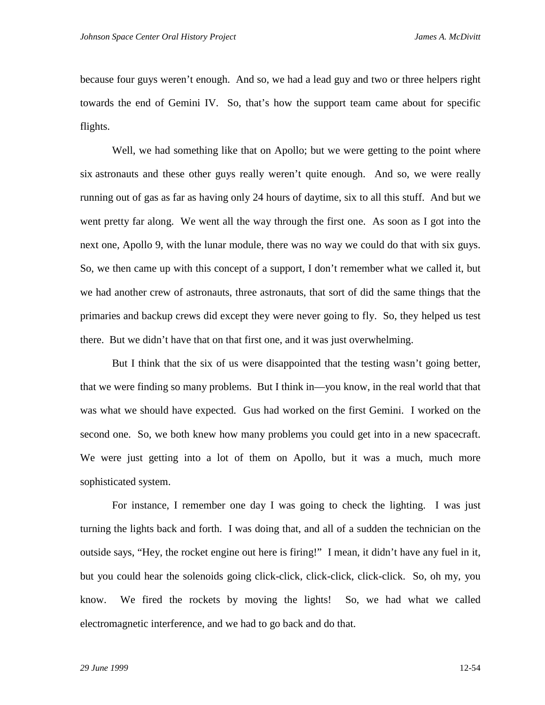because four guys weren't enough. And so, we had a lead guy and two or three helpers right towards the end of Gemini IV. So, that's how the support team came about for specific flights.

Well, we had something like that on Apollo; but we were getting to the point where six astronauts and these other guys really weren't quite enough. And so, we were really running out of gas as far as having only 24 hours of daytime, six to all this stuff. And but we went pretty far along. We went all the way through the first one. As soon as I got into the next one, Apollo 9, with the lunar module, there was no way we could do that with six guys. So, we then came up with this concept of a support, I don't remember what we called it, but we had another crew of astronauts, three astronauts, that sort of did the same things that the primaries and backup crews did except they were never going to fly. So, they helped us test there. But we didn't have that on that first one, and it was just overwhelming.

But I think that the six of us were disappointed that the testing wasn't going better, that we were finding so many problems. But I think in—you know, in the real world that that was what we should have expected. Gus had worked on the first Gemini. I worked on the second one. So, we both knew how many problems you could get into in a new spacecraft. We were just getting into a lot of them on Apollo, but it was a much, much more sophisticated system.

For instance, I remember one day I was going to check the lighting. I was just turning the lights back and forth. I was doing that, and all of a sudden the technician on the outside says, "Hey, the rocket engine out here is firing!" I mean, it didn't have any fuel in it, but you could hear the solenoids going click-click, click-click, click-click. So, oh my, you know. We fired the rockets by moving the lights! So, we had what we called electromagnetic interference, and we had to go back and do that.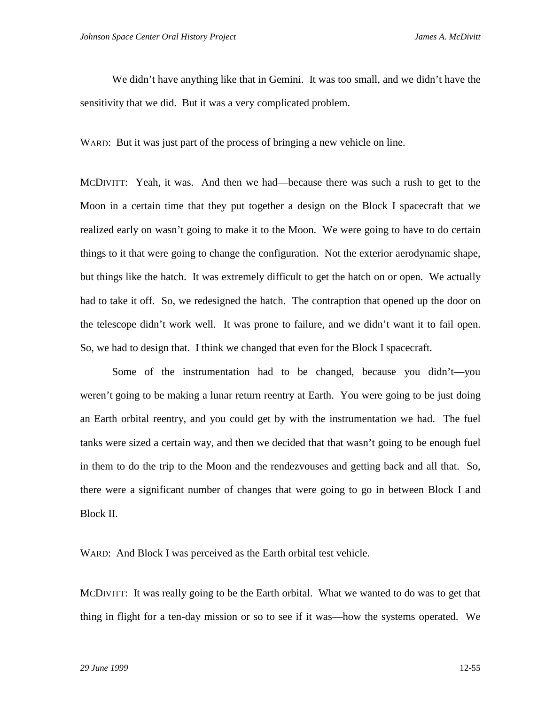We didn't have anything like that in Gemini. It was too small, and we didn't have the sensitivity that we did. But it was a very complicated problem.

WARD: But it was just part of the process of bringing a new vehicle on line.

MCDIVITT: Yeah, it was. And then we had—because there was such a rush to get to the Moon in a certain time that they put together a design on the Block I spacecraft that we realized early on wasn't going to make it to the Moon. We were going to have to do certain things to it that were going to change the configuration. Not the exterior aerodynamic shape, but things like the hatch. It was extremely difficult to get the hatch on or open. We actually had to take it off. So, we redesigned the hatch. The contraption that opened up the door on the telescope didn't work well. It was prone to failure, and we didn't want it to fail open. So, we had to design that. I think we changed that even for the Block I spacecraft.

Some of the instrumentation had to be changed, because you didn't—you weren't going to be making a lunar return reentry at Earth. You were going to be just doing an Earth orbital reentry, and you could get by with the instrumentation we had. The fuel tanks were sized a certain way, and then we decided that that wasn't going to be enough fuel in them to do the trip to the Moon and the rendezvouses and getting back and all that. So, there were a significant number of changes that were going to go in between Block I and Block II.

WARD: And Block I was perceived as the Earth orbital test vehicle.

MCDIVITT: It was really going to be the Earth orbital. What we wanted to do was to get that thing in flight for a ten-day mission or so to see if it was—how the systems operated. We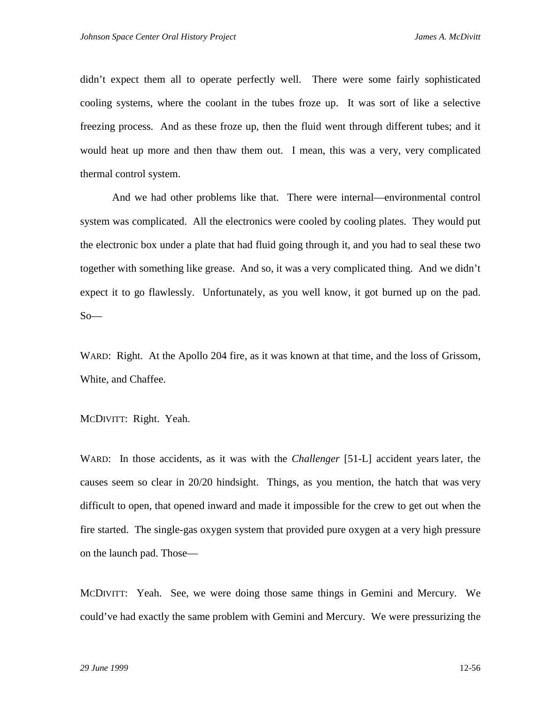didn't expect them all to operate perfectly well. There were some fairly sophisticated cooling systems, where the coolant in the tubes froze up. It was sort of like a selective freezing process. And as these froze up, then the fluid went through different tubes; and it would heat up more and then thaw them out. I mean, this was a very, very complicated thermal control system.

And we had other problems like that. There were internal—environmental control system was complicated. All the electronics were cooled by cooling plates. They would put the electronic box under a plate that had fluid going through it, and you had to seal these two together with something like grease. And so, it was a very complicated thing. And we didn't expect it to go flawlessly. Unfortunately, as you well know, it got burned up on the pad.  $So-$ 

WARD: Right. At the Apollo 204 fire, as it was known at that time, and the loss of Grissom, White, and Chaffee.

MCDIVITT: Right. Yeah.

WARD: In those accidents, as it was with the *Challenger* [51-L] accident years later, the causes seem so clear in 20/20 hindsight. Things, as you mention, the hatch that was very difficult to open, that opened inward and made it impossible for the crew to get out when the fire started. The single-gas oxygen system that provided pure oxygen at a very high pressure on the launch pad. Those—

MCDIVITT: Yeah. See, we were doing those same things in Gemini and Mercury. We could've had exactly the same problem with Gemini and Mercury. We were pressurizing the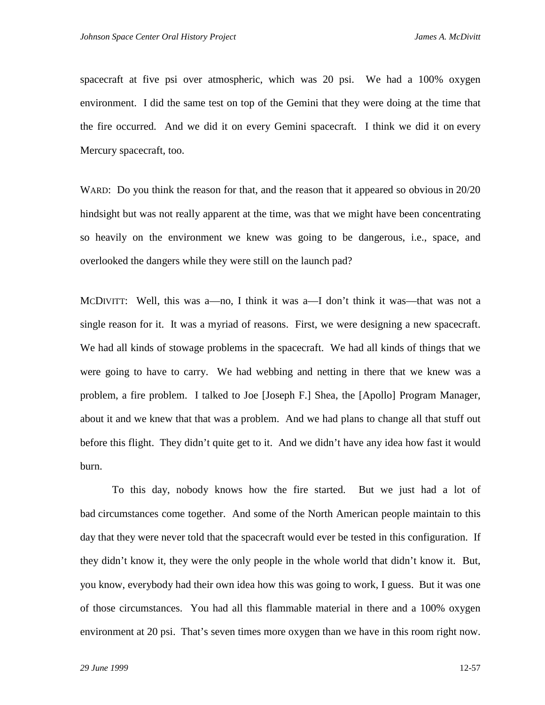spacecraft at five psi over atmospheric, which was 20 psi. We had a 100% oxygen environment. I did the same test on top of the Gemini that they were doing at the time that the fire occurred. And we did it on every Gemini spacecraft. I think we did it on every Mercury spacecraft, too.

WARD: Do you think the reason for that, and the reason that it appeared so obvious in 20/20 hindsight but was not really apparent at the time, was that we might have been concentrating so heavily on the environment we knew was going to be dangerous, i.e., space, and overlooked the dangers while they were still on the launch pad?

MCDIVITT: Well, this was a—no, I think it was a—I don't think it was—that was not a single reason for it. It was a myriad of reasons. First, we were designing a new spacecraft. We had all kinds of stowage problems in the spacecraft. We had all kinds of things that we were going to have to carry. We had webbing and netting in there that we knew was a problem, a fire problem. I talked to Joe [Joseph F.] Shea, the [Apollo] Program Manager, about it and we knew that that was a problem. And we had plans to change all that stuff out before this flight. They didn't quite get to it. And we didn't have any idea how fast it would burn.

To this day, nobody knows how the fire started. But we just had a lot of bad circumstances come together. And some of the North American people maintain to this day that they were never told that the spacecraft would ever be tested in this configuration. If they didn't know it, they were the only people in the whole world that didn't know it. But, you know, everybody had their own idea how this was going to work, I guess. But it was one of those circumstances. You had all this flammable material in there and a 100% oxygen environment at 20 psi. That's seven times more oxygen than we have in this room right now.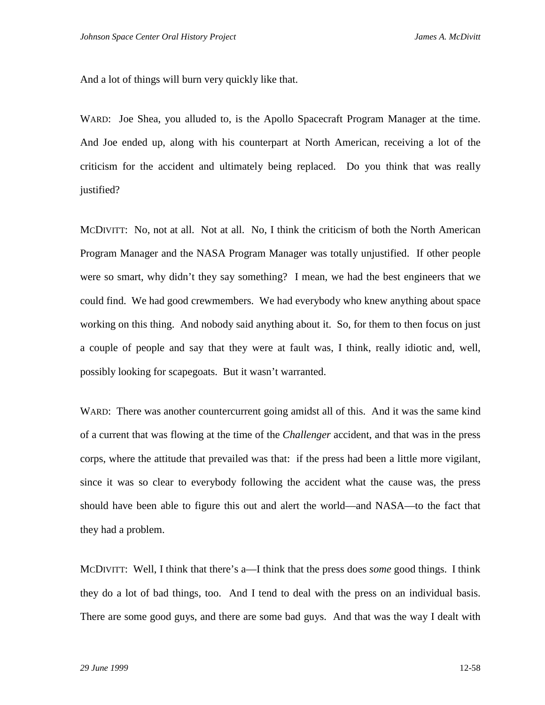And a lot of things will burn very quickly like that.

WARD: Joe Shea, you alluded to, is the Apollo Spacecraft Program Manager at the time. And Joe ended up, along with his counterpart at North American, receiving a lot of the criticism for the accident and ultimately being replaced. Do you think that was really justified?

MCDIVITT: No, not at all. Not at all. No, I think the criticism of both the North American Program Manager and the NASA Program Manager was totally unjustified. If other people were so smart, why didn't they say something? I mean, we had the best engineers that we could find. We had good crewmembers. We had everybody who knew anything about space working on this thing. And nobody said anything about it. So, for them to then focus on just a couple of people and say that they were at fault was, I think, really idiotic and, well, possibly looking for scapegoats. But it wasn't warranted.

WARD: There was another countercurrent going amidst all of this. And it was the same kind of a current that was flowing at the time of the *Challenger* accident, and that was in the press corps, where the attitude that prevailed was that: if the press had been a little more vigilant, since it was so clear to everybody following the accident what the cause was, the press should have been able to figure this out and alert the world—and NASA—to the fact that they had a problem.

MCDIVITT: Well, I think that there's a—I think that the press does *some* good things. I think they do a lot of bad things, too. And I tend to deal with the press on an individual basis. There are some good guys, and there are some bad guys. And that was the way I dealt with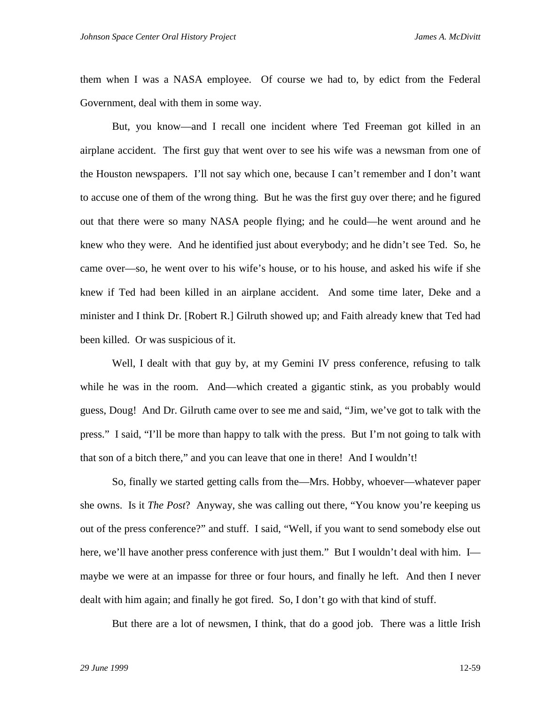them when I was a NASA employee. Of course we had to, by edict from the Federal Government, deal with them in some way.

But, you know—and I recall one incident where Ted Freeman got killed in an airplane accident. The first guy that went over to see his wife was a newsman from one of the Houston newspapers. I'll not say which one, because I can't remember and I don't want to accuse one of them of the wrong thing. But he was the first guy over there; and he figured out that there were so many NASA people flying; and he could—he went around and he knew who they were. And he identified just about everybody; and he didn't see Ted. So, he came over—so, he went over to his wife's house, or to his house, and asked his wife if she knew if Ted had been killed in an airplane accident. And some time later, Deke and a minister and I think Dr. [Robert R.] Gilruth showed up; and Faith already knew that Ted had been killed. Or was suspicious of it.

Well, I dealt with that guy by, at my Gemini IV press conference, refusing to talk while he was in the room. And—which created a gigantic stink, as you probably would guess, Doug! And Dr. Gilruth came over to see me and said, "Jim, we've got to talk with the press." I said, "I'll be more than happy to talk with the press. But I'm not going to talk with that son of a bitch there," and you can leave that one in there! And I wouldn't!

So, finally we started getting calls from the—Mrs. Hobby, whoever—whatever paper she owns. Is it *The Post*? Anyway, she was calling out there, "You know you're keeping us out of the press conference?" and stuff. I said, "Well, if you want to send somebody else out here, we'll have another press conference with just them." But I wouldn't deal with him. I maybe we were at an impasse for three or four hours, and finally he left. And then I never dealt with him again; and finally he got fired. So, I don't go with that kind of stuff.

But there are a lot of newsmen, I think, that do a good job. There was a little Irish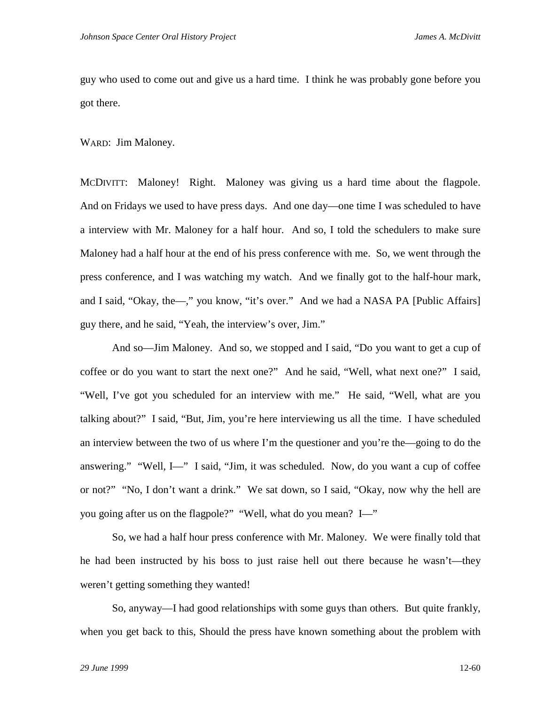guy who used to come out and give us a hard time. I think he was probably gone before you got there.

WARD: Jim Maloney.

MCDIVITT: Maloney! Right. Maloney was giving us a hard time about the flagpole. And on Fridays we used to have press days. And one day—one time I was scheduled to have a interview with Mr. Maloney for a half hour. And so, I told the schedulers to make sure Maloney had a half hour at the end of his press conference with me. So, we went through the press conference, and I was watching my watch. And we finally got to the half-hour mark, and I said, "Okay, the—," you know, "it's over." And we had a NASA PA [Public Affairs] guy there, and he said, "Yeah, the interview's over, Jim."

And so—Jim Maloney. And so, we stopped and I said, "Do you want to get a cup of coffee or do you want to start the next one?" And he said, "Well, what next one?" I said, "Well, I've got you scheduled for an interview with me." He said, "Well, what are you talking about?" I said, "But, Jim, you're here interviewing us all the time. I have scheduled an interview between the two of us where I'm the questioner and you're the—going to do the answering." "Well, I—" I said, "Jim, it was scheduled. Now, do you want a cup of coffee or not?" "No, I don't want a drink." We sat down, so I said, "Okay, now why the hell are you going after us on the flagpole?" "Well, what do you mean? I—"

So, we had a half hour press conference with Mr. Maloney. We were finally told that he had been instructed by his boss to just raise hell out there because he wasn't—they weren't getting something they wanted!

So, anyway—I had good relationships with some guys than others. But quite frankly, when you get back to this, Should the press have known something about the problem with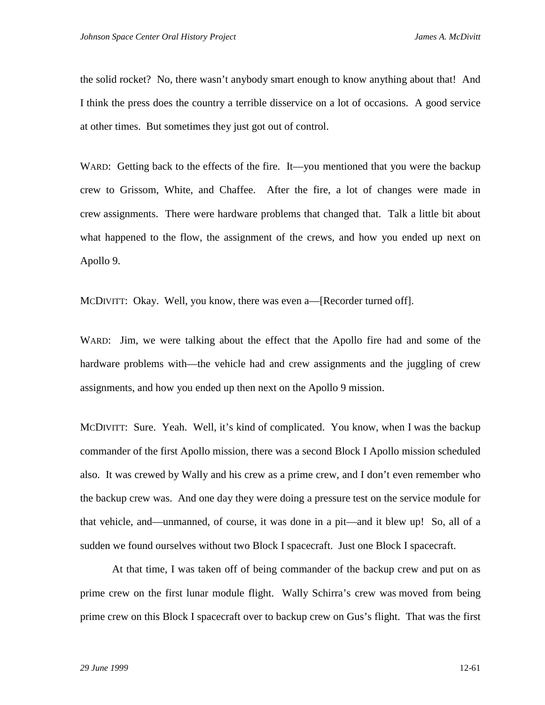the solid rocket? No, there wasn't anybody smart enough to know anything about that! And I think the press does the country a terrible disservice on a lot of occasions. A good service at other times. But sometimes they just got out of control.

WARD: Getting back to the effects of the fire. It—you mentioned that you were the backup crew to Grissom, White, and Chaffee. After the fire, a lot of changes were made in crew assignments. There were hardware problems that changed that. Talk a little bit about what happened to the flow, the assignment of the crews, and how you ended up next on Apollo 9.

MCDIVITT: Okay. Well, you know, there was even a—[Recorder turned off].

WARD: Jim, we were talking about the effect that the Apollo fire had and some of the hardware problems with—the vehicle had and crew assignments and the juggling of crew assignments, and how you ended up then next on the Apollo 9 mission.

MCDIVITT: Sure. Yeah. Well, it's kind of complicated. You know, when I was the backup commander of the first Apollo mission, there was a second Block I Apollo mission scheduled also. It was crewed by Wally and his crew as a prime crew, and I don't even remember who the backup crew was. And one day they were doing a pressure test on the service module for that vehicle, and—unmanned, of course, it was done in a pit—and it blew up! So, all of a sudden we found ourselves without two Block I spacecraft. Just one Block I spacecraft.

At that time, I was taken off of being commander of the backup crew and put on as prime crew on the first lunar module flight. Wally Schirra's crew was moved from being prime crew on this Block I spacecraft over to backup crew on Gus's flight. That was the first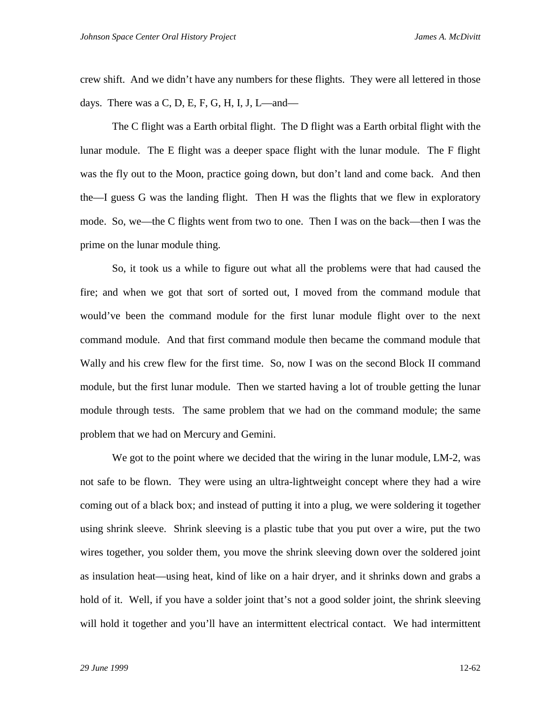crew shift. And we didn't have any numbers for these flights. They were all lettered in those days. There was a C, D, E, F, G, H, I, J, L—and—

The C flight was a Earth orbital flight. The D flight was a Earth orbital flight with the lunar module. The E flight was a deeper space flight with the lunar module. The F flight was the fly out to the Moon, practice going down, but don't land and come back. And then the—I guess G was the landing flight. Then H was the flights that we flew in exploratory mode. So, we—the C flights went from two to one. Then I was on the back—then I was the prime on the lunar module thing.

So, it took us a while to figure out what all the problems were that had caused the fire; and when we got that sort of sorted out, I moved from the command module that would've been the command module for the first lunar module flight over to the next command module. And that first command module then became the command module that Wally and his crew flew for the first time. So, now I was on the second Block II command module, but the first lunar module. Then we started having a lot of trouble getting the lunar module through tests. The same problem that we had on the command module; the same problem that we had on Mercury and Gemini.

We got to the point where we decided that the wiring in the lunar module, LM-2, was not safe to be flown. They were using an ultra-lightweight concept where they had a wire coming out of a black box; and instead of putting it into a plug, we were soldering it together using shrink sleeve. Shrink sleeving is a plastic tube that you put over a wire, put the two wires together, you solder them, you move the shrink sleeving down over the soldered joint as insulation heat—using heat, kind of like on a hair dryer, and it shrinks down and grabs a hold of it. Well, if you have a solder joint that's not a good solder joint, the shrink sleeving will hold it together and you'll have an intermittent electrical contact. We had intermittent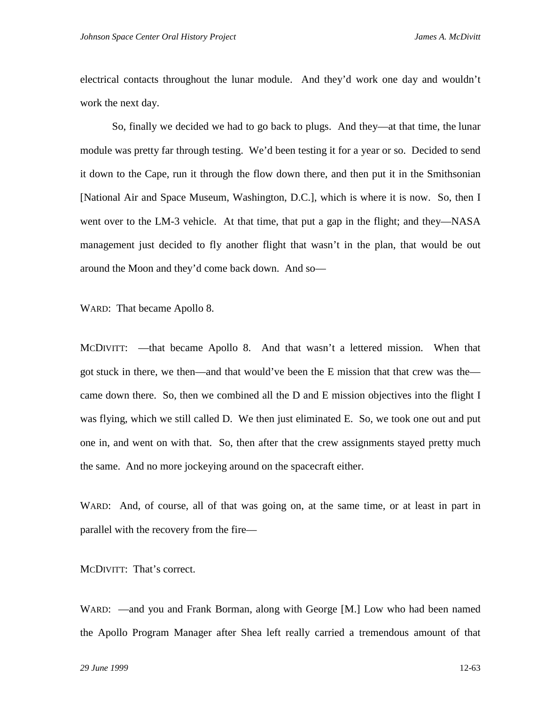electrical contacts throughout the lunar module. And they'd work one day and wouldn't work the next day.

So, finally we decided we had to go back to plugs. And they—at that time, the lunar module was pretty far through testing. We'd been testing it for a year or so. Decided to send it down to the Cape, run it through the flow down there, and then put it in the Smithsonian [National Air and Space Museum, Washington, D.C.], which is where it is now. So, then I went over to the LM-3 vehicle. At that time, that put a gap in the flight; and they—NASA management just decided to fly another flight that wasn't in the plan, that would be out around the Moon and they'd come back down. And so—

WARD: That became Apollo 8.

MCDIVITT: —that became Apollo 8. And that wasn't a lettered mission. When that got stuck in there, we then—and that would've been the E mission that that crew was the came down there. So, then we combined all the D and E mission objectives into the flight I was flying, which we still called D. We then just eliminated E. So, we took one out and put one in, and went on with that. So, then after that the crew assignments stayed pretty much the same. And no more jockeying around on the spacecraft either.

WARD: And, of course, all of that was going on, at the same time, or at least in part in parallel with the recovery from the fire—

MCDIVITT: That's correct.

WARD: —and you and Frank Borman, along with George [M.] Low who had been named the Apollo Program Manager after Shea left really carried a tremendous amount of that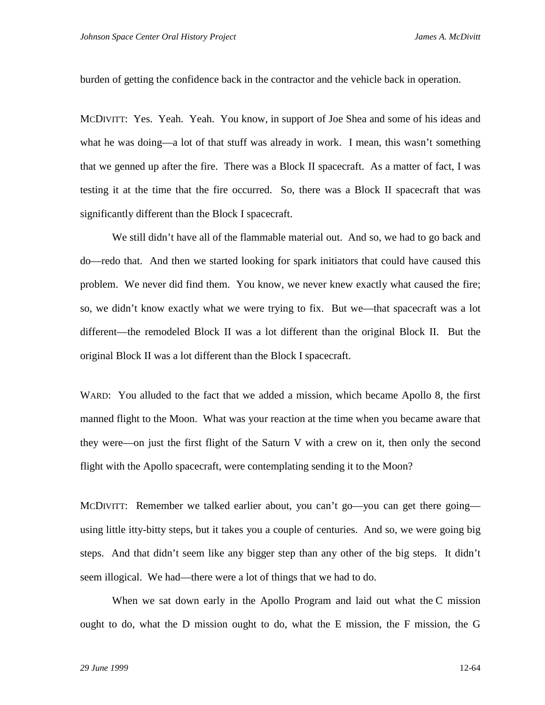burden of getting the confidence back in the contractor and the vehicle back in operation.

MCDIVITT: Yes. Yeah. Yeah. You know, in support of Joe Shea and some of his ideas and what he was doing—a lot of that stuff was already in work. I mean, this wasn't something that we genned up after the fire. There was a Block II spacecraft. As a matter of fact, I was testing it at the time that the fire occurred. So, there was a Block II spacecraft that was significantly different than the Block I spacecraft.

We still didn't have all of the flammable material out. And so, we had to go back and do—redo that. And then we started looking for spark initiators that could have caused this problem. We never did find them. You know, we never knew exactly what caused the fire; so, we didn't know exactly what we were trying to fix. But we—that spacecraft was a lot different—the remodeled Block II was a lot different than the original Block II. But the original Block II was a lot different than the Block I spacecraft.

WARD: You alluded to the fact that we added a mission, which became Apollo 8, the first manned flight to the Moon. What was your reaction at the time when you became aware that they were—on just the first flight of the Saturn V with a crew on it, then only the second flight with the Apollo spacecraft, were contemplating sending it to the Moon?

MCDIVITT: Remember we talked earlier about, you can't go—you can get there going using little itty-bitty steps, but it takes you a couple of centuries. And so, we were going big steps. And that didn't seem like any bigger step than any other of the big steps. It didn't seem illogical. We had—there were a lot of things that we had to do.

When we sat down early in the Apollo Program and laid out what the C mission ought to do, what the D mission ought to do, what the E mission, the F mission, the G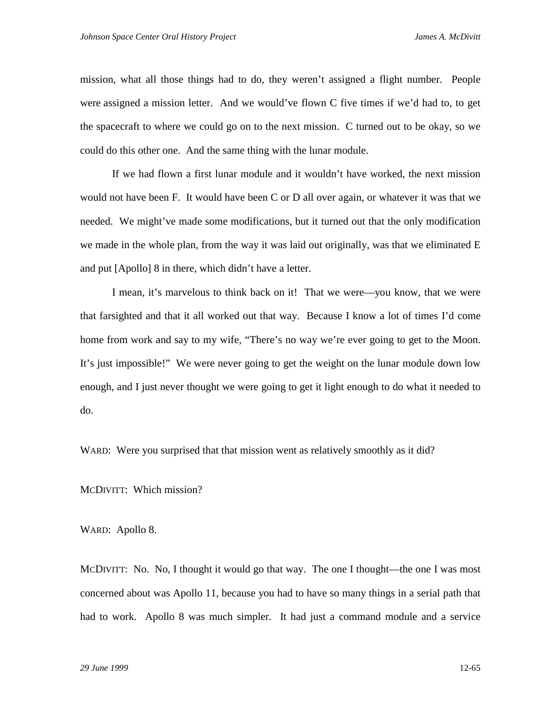mission, what all those things had to do, they weren't assigned a flight number. People were assigned a mission letter. And we would've flown C five times if we'd had to, to get the spacecraft to where we could go on to the next mission. C turned out to be okay, so we could do this other one. And the same thing with the lunar module.

If we had flown a first lunar module and it wouldn't have worked, the next mission would not have been F. It would have been C or D all over again, or whatever it was that we needed. We might've made some modifications, but it turned out that the only modification we made in the whole plan, from the way it was laid out originally, was that we eliminated E and put [Apollo] 8 in there, which didn't have a letter.

I mean, it's marvelous to think back on it! That we were—you know, that we were that farsighted and that it all worked out that way. Because I know a lot of times I'd come home from work and say to my wife, "There's no way we're ever going to get to the Moon. It's just impossible!" We were never going to get the weight on the lunar module down low enough, and I just never thought we were going to get it light enough to do what it needed to do.

WARD: Were you surprised that that mission went as relatively smoothly as it did?

MCDIVITT: Which mission?

WARD: Apollo 8.

MCDIVITT: No. No, I thought it would go that way. The one I thought—the one I was most concerned about was Apollo 11, because you had to have so many things in a serial path that had to work. Apollo 8 was much simpler. It had just a command module and a service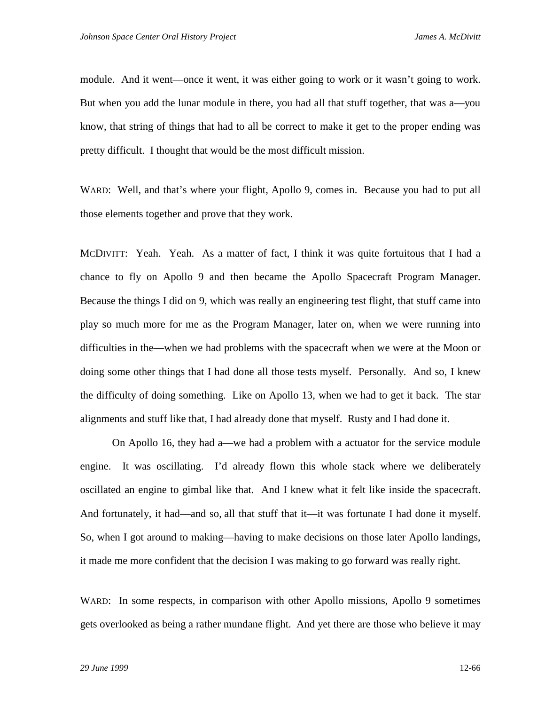module. And it went—once it went, it was either going to work or it wasn't going to work. But when you add the lunar module in there, you had all that stuff together, that was a—you know, that string of things that had to all be correct to make it get to the proper ending was pretty difficult. I thought that would be the most difficult mission.

WARD: Well, and that's where your flight, Apollo 9, comes in. Because you had to put all those elements together and prove that they work.

MCDIVITT: Yeah. Yeah. As a matter of fact, I think it was quite fortuitous that I had a chance to fly on Apollo 9 and then became the Apollo Spacecraft Program Manager. Because the things I did on 9, which was really an engineering test flight, that stuff came into play so much more for me as the Program Manager, later on, when we were running into difficulties in the—when we had problems with the spacecraft when we were at the Moon or doing some other things that I had done all those tests myself. Personally. And so, I knew the difficulty of doing something. Like on Apollo 13, when we had to get it back. The star alignments and stuff like that, I had already done that myself. Rusty and I had done it.

On Apollo 16, they had a—we had a problem with a actuator for the service module engine. It was oscillating. I'd already flown this whole stack where we deliberately oscillated an engine to gimbal like that. And I knew what it felt like inside the spacecraft. And fortunately, it had—and so, all that stuff that it—it was fortunate I had done it myself. So, when I got around to making—having to make decisions on those later Apollo landings, it made me more confident that the decision I was making to go forward was really right.

WARD: In some respects, in comparison with other Apollo missions, Apollo 9 sometimes gets overlooked as being a rather mundane flight. And yet there are those who believe it may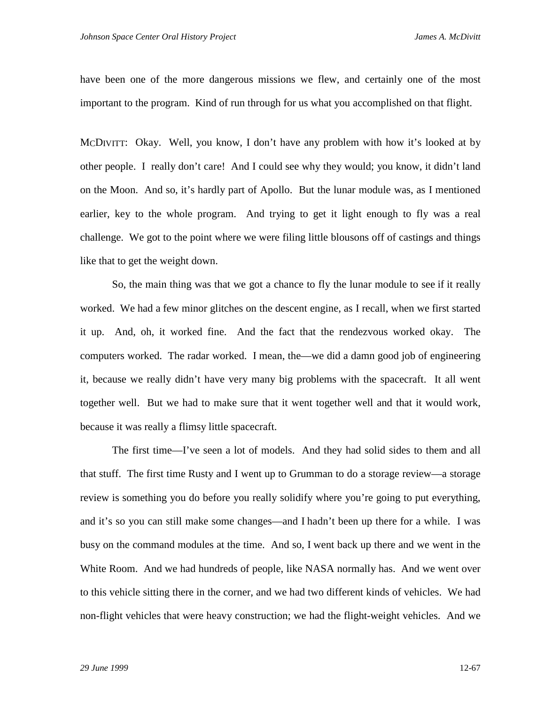have been one of the more dangerous missions we flew, and certainly one of the most important to the program. Kind of run through for us what you accomplished on that flight.

MCDIVITT: Okay. Well, you know, I don't have any problem with how it's looked at by other people. I really don't care! And I could see why they would; you know, it didn't land on the Moon. And so, it's hardly part of Apollo. But the lunar module was, as I mentioned earlier, key to the whole program. And trying to get it light enough to fly was a real challenge. We got to the point where we were filing little blousons off of castings and things like that to get the weight down.

So, the main thing was that we got a chance to fly the lunar module to see if it really worked. We had a few minor glitches on the descent engine, as I recall, when we first started it up. And, oh, it worked fine. And the fact that the rendezvous worked okay. The computers worked. The radar worked. I mean, the—we did a damn good job of engineering it, because we really didn't have very many big problems with the spacecraft. It all went together well. But we had to make sure that it went together well and that it would work, because it was really a flimsy little spacecraft.

The first time—I've seen a lot of models. And they had solid sides to them and all that stuff. The first time Rusty and I went up to Grumman to do a storage review—a storage review is something you do before you really solidify where you're going to put everything, and it's so you can still make some changes—and I hadn't been up there for a while. I was busy on the command modules at the time. And so, I went back up there and we went in the White Room. And we had hundreds of people, like NASA normally has. And we went over to this vehicle sitting there in the corner, and we had two different kinds of vehicles. We had non-flight vehicles that were heavy construction; we had the flight-weight vehicles. And we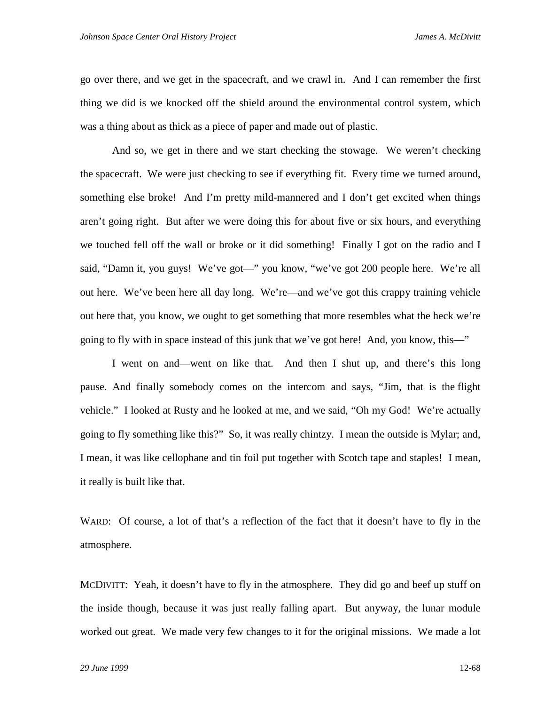go over there, and we get in the spacecraft, and we crawl in. And I can remember the first thing we did is we knocked off the shield around the environmental control system, which was a thing about as thick as a piece of paper and made out of plastic.

And so, we get in there and we start checking the stowage. We weren't checking the spacecraft. We were just checking to see if everything fit. Every time we turned around, something else broke! And I'm pretty mild-mannered and I don't get excited when things aren't going right. But after we were doing this for about five or six hours, and everything we touched fell off the wall or broke or it did something! Finally I got on the radio and I said, "Damn it, you guys! We've got—" you know, "we've got 200 people here. We're all out here. We've been here all day long. We're—and we've got this crappy training vehicle out here that, you know, we ought to get something that more resembles what the heck we're going to fly with in space instead of this junk that we've got here! And, you know, this—"

I went on and—went on like that. And then I shut up, and there's this long pause. And finally somebody comes on the intercom and says, "Jim, that is the flight vehicle." I looked at Rusty and he looked at me, and we said, "Oh my God! We're actually going to fly something like this?" So, it was really chintzy. I mean the outside is Mylar; and, I mean, it was like cellophane and tin foil put together with Scotch tape and staples! I mean, it really is built like that.

WARD: Of course, a lot of that's a reflection of the fact that it doesn't have to fly in the atmosphere.

MCDIVITT: Yeah, it doesn't have to fly in the atmosphere. They did go and beef up stuff on the inside though, because it was just really falling apart. But anyway, the lunar module worked out great. We made very few changes to it for the original missions. We made a lot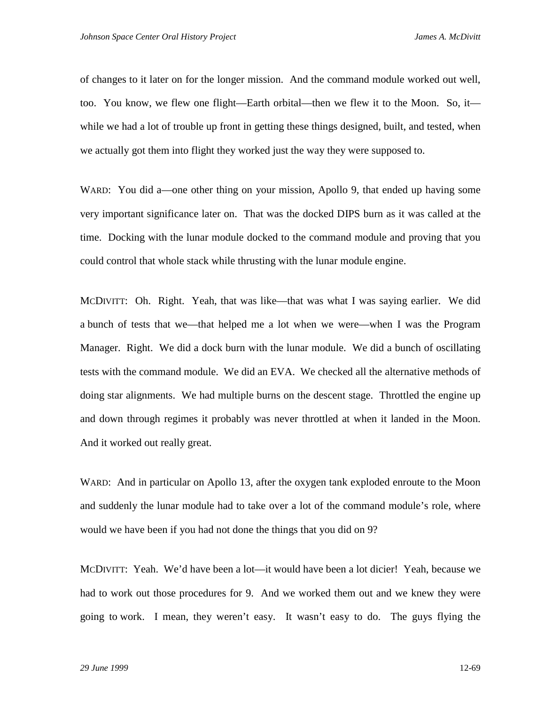of changes to it later on for the longer mission. And the command module worked out well, too. You know, we flew one flight—Earth orbital—then we flew it to the Moon. So, it while we had a lot of trouble up front in getting these things designed, built, and tested, when we actually got them into flight they worked just the way they were supposed to.

WARD: You did a—one other thing on your mission, Apollo 9, that ended up having some very important significance later on. That was the docked DIPS burn as it was called at the time. Docking with the lunar module docked to the command module and proving that you could control that whole stack while thrusting with the lunar module engine.

MCDIVITT: Oh. Right. Yeah, that was like—that was what I was saying earlier. We did a bunch of tests that we—that helped me a lot when we were—when I was the Program Manager. Right. We did a dock burn with the lunar module. We did a bunch of oscillating tests with the command module. We did an EVA. We checked all the alternative methods of doing star alignments. We had multiple burns on the descent stage. Throttled the engine up and down through regimes it probably was never throttled at when it landed in the Moon. And it worked out really great.

WARD: And in particular on Apollo 13, after the oxygen tank exploded enroute to the Moon and suddenly the lunar module had to take over a lot of the command module's role, where would we have been if you had not done the things that you did on 9?

MCDIVITT: Yeah. We'd have been a lot—it would have been a lot dicier! Yeah, because we had to work out those procedures for 9. And we worked them out and we knew they were going to work. I mean, they weren't easy. It wasn't easy to do. The guys flying the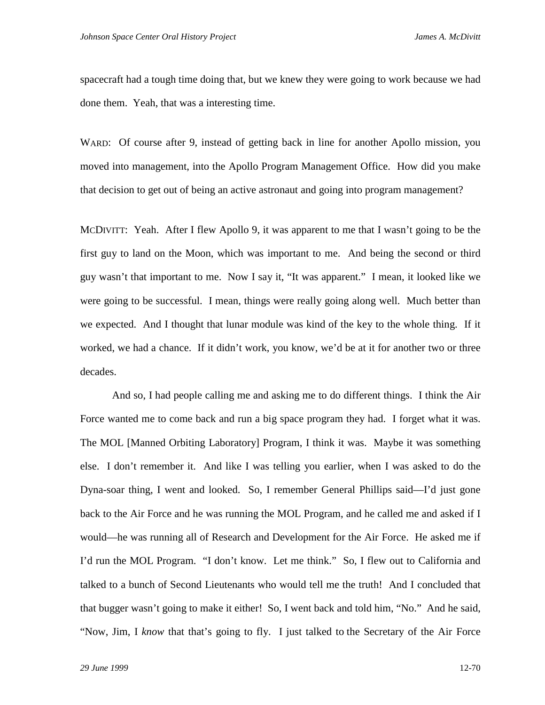spacecraft had a tough time doing that, but we knew they were going to work because we had done them. Yeah, that was a interesting time.

WARD: Of course after 9, instead of getting back in line for another Apollo mission, you moved into management, into the Apollo Program Management Office. How did you make that decision to get out of being an active astronaut and going into program management?

MCDIVITT: Yeah. After I flew Apollo 9, it was apparent to me that I wasn't going to be the first guy to land on the Moon, which was important to me. And being the second or third guy wasn't that important to me. Now I say it, "It was apparent." I mean, it looked like we were going to be successful. I mean, things were really going along well. Much better than we expected. And I thought that lunar module was kind of the key to the whole thing. If it worked, we had a chance. If it didn't work, you know, we'd be at it for another two or three decades.

And so, I had people calling me and asking me to do different things. I think the Air Force wanted me to come back and run a big space program they had. I forget what it was. The MOL [Manned Orbiting Laboratory] Program, I think it was. Maybe it was something else. I don't remember it. And like I was telling you earlier, when I was asked to do the Dyna-soar thing, I went and looked. So, I remember General Phillips said—I'd just gone back to the Air Force and he was running the MOL Program, and he called me and asked if I would—he was running all of Research and Development for the Air Force. He asked me if I'd run the MOL Program. "I don't know. Let me think." So, I flew out to California and talked to a bunch of Second Lieutenants who would tell me the truth! And I concluded that that bugger wasn't going to make it either! So, I went back and told him, "No." And he said, "Now, Jim, I *know* that that's going to fly. I just talked to the Secretary of the Air Force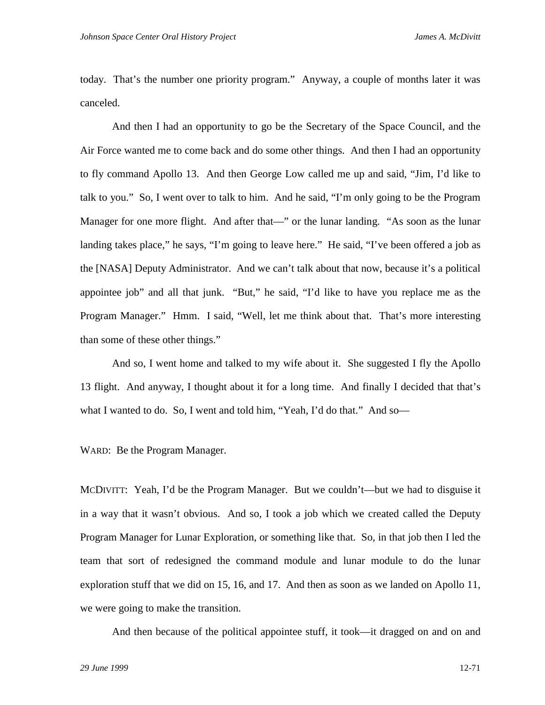today. That's the number one priority program." Anyway, a couple of months later it was canceled.

And then I had an opportunity to go be the Secretary of the Space Council, and the Air Force wanted me to come back and do some other things. And then I had an opportunity to fly command Apollo 13. And then George Low called me up and said, "Jim, I'd like to talk to you." So, I went over to talk to him. And he said, "I'm only going to be the Program Manager for one more flight. And after that—" or the lunar landing. "As soon as the lunar landing takes place," he says, "I'm going to leave here." He said, "I've been offered a job as the [NASA] Deputy Administrator. And we can't talk about that now, because it's a political appointee job" and all that junk. "But," he said, "I'd like to have you replace me as the Program Manager." Hmm. I said, "Well, let me think about that. That's more interesting than some of these other things."

And so, I went home and talked to my wife about it. She suggested I fly the Apollo 13 flight. And anyway, I thought about it for a long time. And finally I decided that that's what I wanted to do. So, I went and told him, "Yeah, I'd do that." And so-

WARD: Be the Program Manager.

MCDIVITT: Yeah, I'd be the Program Manager. But we couldn't—but we had to disguise it in a way that it wasn't obvious. And so, I took a job which we created called the Deputy Program Manager for Lunar Exploration, or something like that. So, in that job then I led the team that sort of redesigned the command module and lunar module to do the lunar exploration stuff that we did on 15, 16, and 17. And then as soon as we landed on Apollo 11, we were going to make the transition.

And then because of the political appointee stuff, it took—it dragged on and on and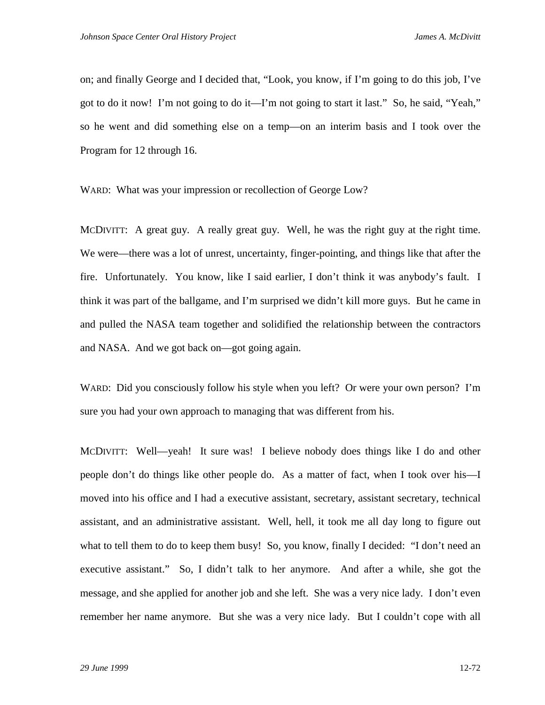on; and finally George and I decided that, "Look, you know, if I'm going to do this job, I've got to do it now! I'm not going to do it—I'm not going to start it last." So, he said, "Yeah," so he went and did something else on a temp—on an interim basis and I took over the Program for 12 through 16.

WARD: What was your impression or recollection of George Low?

MCDIVITT: A great guy. A really great guy. Well, he was the right guy at the right time. We were—there was a lot of unrest, uncertainty, finger-pointing, and things like that after the fire. Unfortunately. You know, like I said earlier, I don't think it was anybody's fault. I think it was part of the ballgame, and I'm surprised we didn't kill more guys. But he came in and pulled the NASA team together and solidified the relationship between the contractors and NASA. And we got back on—got going again.

WARD: Did you consciously follow his style when you left? Or were your own person? I'm sure you had your own approach to managing that was different from his.

MCDIVITT: Well—yeah! It sure was! I believe nobody does things like I do and other people don't do things like other people do. As a matter of fact, when I took over his—I moved into his office and I had a executive assistant, secretary, assistant secretary, technical assistant, and an administrative assistant. Well, hell, it took me all day long to figure out what to tell them to do to keep them busy! So, you know, finally I decided: "I don't need an executive assistant." So, I didn't talk to her anymore. And after a while, she got the message, and she applied for another job and she left. She was a very nice lady. I don't even remember her name anymore. But she was a very nice lady. But I couldn't cope with all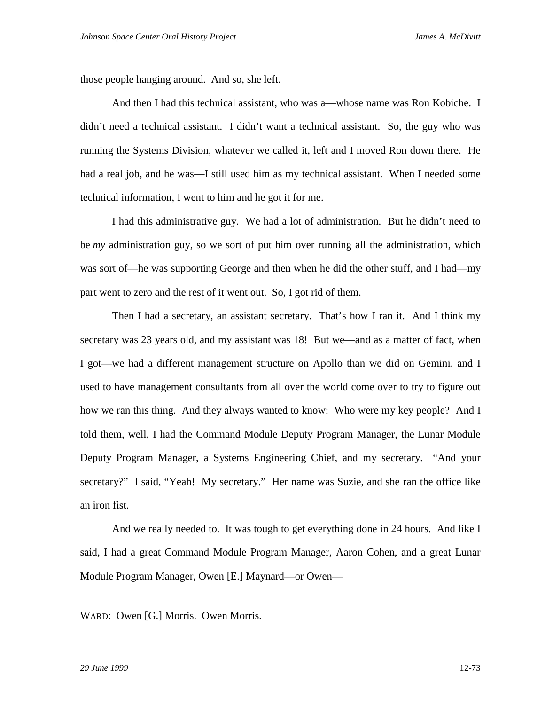those people hanging around. And so, she left.

And then I had this technical assistant, who was a—whose name was Ron Kobiche. I didn't need a technical assistant. I didn't want a technical assistant. So, the guy who was running the Systems Division, whatever we called it, left and I moved Ron down there. He had a real job, and he was—I still used him as my technical assistant. When I needed some technical information, I went to him and he got it for me.

I had this administrative guy. We had a lot of administration. But he didn't need to be *my* administration guy, so we sort of put him over running all the administration, which was sort of—he was supporting George and then when he did the other stuff, and I had—my part went to zero and the rest of it went out. So, I got rid of them.

Then I had a secretary, an assistant secretary. That's how I ran it. And I think my secretary was 23 years old, and my assistant was 18! But we—and as a matter of fact, when I got—we had a different management structure on Apollo than we did on Gemini, and I used to have management consultants from all over the world come over to try to figure out how we ran this thing. And they always wanted to know: Who were my key people? And I told them, well, I had the Command Module Deputy Program Manager, the Lunar Module Deputy Program Manager, a Systems Engineering Chief, and my secretary. "And your secretary?" I said, "Yeah! My secretary." Her name was Suzie, and she ran the office like an iron fist.

And we really needed to. It was tough to get everything done in 24 hours. And like I said, I had a great Command Module Program Manager, Aaron Cohen, and a great Lunar Module Program Manager, Owen [E.] Maynard—or Owen—

WARD: Owen [G.] Morris. Owen Morris.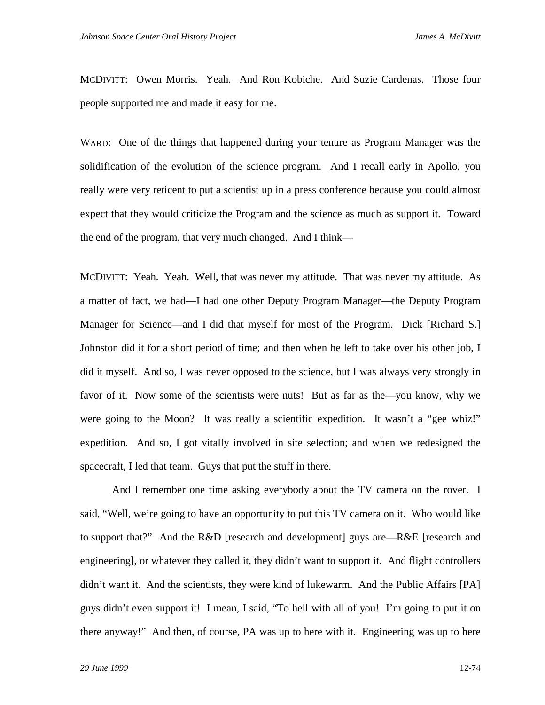MCDIVITT: Owen Morris. Yeah. And Ron Kobiche. And Suzie Cardenas. Those four people supported me and made it easy for me.

WARD: One of the things that happened during your tenure as Program Manager was the solidification of the evolution of the science program. And I recall early in Apollo, you really were very reticent to put a scientist up in a press conference because you could almost expect that they would criticize the Program and the science as much as support it. Toward the end of the program, that very much changed. And I think—

MCDIVITT: Yeah. Yeah. Well, that was never my attitude. That was never my attitude. As a matter of fact, we had—I had one other Deputy Program Manager—the Deputy Program Manager for Science—and I did that myself for most of the Program. Dick [Richard S.] Johnston did it for a short period of time; and then when he left to take over his other job, I did it myself. And so, I was never opposed to the science, but I was always very strongly in favor of it. Now some of the scientists were nuts! But as far as the—you know, why we were going to the Moon? It was really a scientific expedition. It wasn't a "gee whiz!" expedition. And so, I got vitally involved in site selection; and when we redesigned the spacecraft, I led that team. Guys that put the stuff in there.

And I remember one time asking everybody about the TV camera on the rover. I said, "Well, we're going to have an opportunity to put this TV camera on it. Who would like to support that?" And the R&D [research and development] guys are—R&E [research and engineering], or whatever they called it, they didn't want to support it. And flight controllers didn't want it. And the scientists, they were kind of lukewarm. And the Public Affairs [PA] guys didn't even support it! I mean, I said, "To hell with all of you! I'm going to put it on there anyway!" And then, of course, PA was up to here with it. Engineering was up to here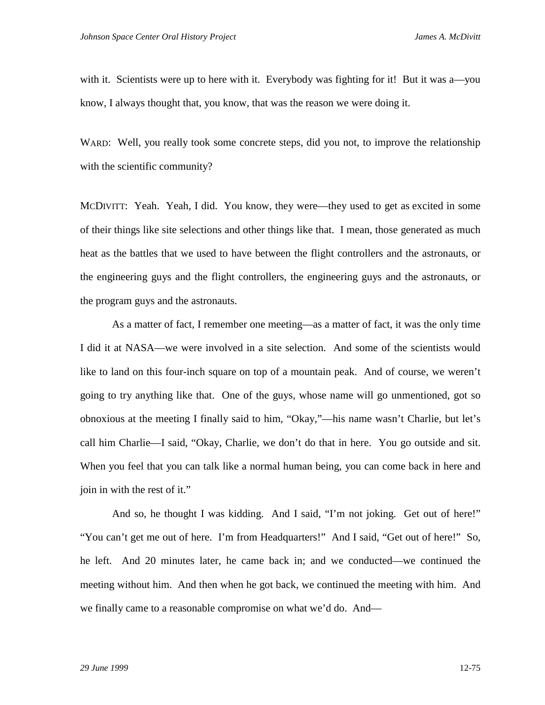with it. Scientists were up to here with it. Everybody was fighting for it! But it was a—you know, I always thought that, you know, that was the reason we were doing it.

WARD: Well, you really took some concrete steps, did you not, to improve the relationship with the scientific community?

MCDIVITT: Yeah. Yeah, I did. You know, they were—they used to get as excited in some of their things like site selections and other things like that. I mean, those generated as much heat as the battles that we used to have between the flight controllers and the astronauts, or the engineering guys and the flight controllers, the engineering guys and the astronauts, or the program guys and the astronauts.

As a matter of fact, I remember one meeting—as a matter of fact, it was the only time I did it at NASA—we were involved in a site selection. And some of the scientists would like to land on this four-inch square on top of a mountain peak. And of course, we weren't going to try anything like that. One of the guys, whose name will go unmentioned, got so obnoxious at the meeting I finally said to him, "Okay,"—his name wasn't Charlie, but let's call him Charlie—I said, "Okay, Charlie, we don't do that in here. You go outside and sit. When you feel that you can talk like a normal human being, you can come back in here and join in with the rest of it."

And so, he thought I was kidding. And I said, "I'm not joking. Get out of here!" "You can't get me out of here. I'm from Headquarters!" And I said, "Get out of here!" So, he left. And 20 minutes later, he came back in; and we conducted—we continued the meeting without him. And then when he got back, we continued the meeting with him. And we finally came to a reasonable compromise on what we'd do. And—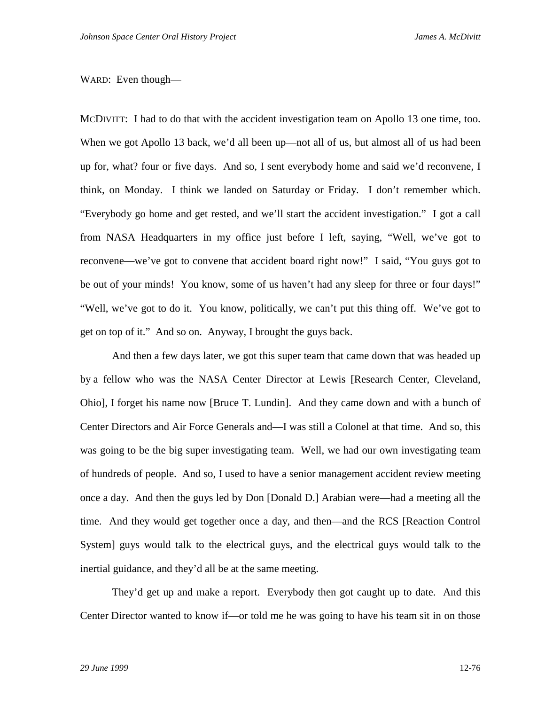## WARD: Even though—

MCDIVITT: I had to do that with the accident investigation team on Apollo 13 one time, too. When we got Apollo 13 back, we'd all been up—not all of us, but almost all of us had been up for, what? four or five days. And so, I sent everybody home and said we'd reconvene, I think, on Monday. I think we landed on Saturday or Friday. I don't remember which. "Everybody go home and get rested, and we'll start the accident investigation." I got a call from NASA Headquarters in my office just before I left, saying, "Well, we've got to reconvene—we've got to convene that accident board right now!" I said, "You guys got to be out of your minds! You know, some of us haven't had any sleep for three or four days!" "Well, we've got to do it. You know, politically, we can't put this thing off. We've got to get on top of it." And so on. Anyway, I brought the guys back.

And then a few days later, we got this super team that came down that was headed up by a fellow who was the NASA Center Director at Lewis [Research Center, Cleveland, Ohio], I forget his name now [Bruce T. Lundin]. And they came down and with a bunch of Center Directors and Air Force Generals and—I was still a Colonel at that time. And so, this was going to be the big super investigating team. Well, we had our own investigating team of hundreds of people. And so, I used to have a senior management accident review meeting once a day. And then the guys led by Don [Donald D.] Arabian were—had a meeting all the time. And they would get together once a day, and then—and the RCS [Reaction Control System] guys would talk to the electrical guys, and the electrical guys would talk to the inertial guidance, and they'd all be at the same meeting.

They'd get up and make a report. Everybody then got caught up to date. And this Center Director wanted to know if—or told me he was going to have his team sit in on those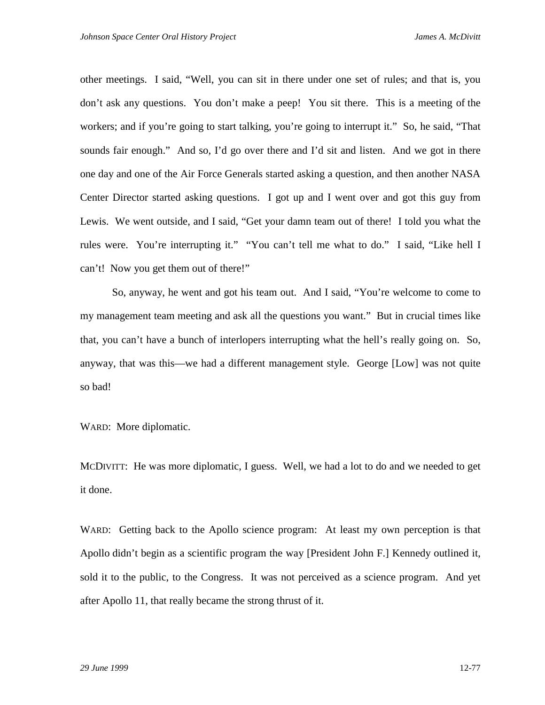other meetings. I said, "Well, you can sit in there under one set of rules; and that is, you don't ask any questions. You don't make a peep! You sit there. This is a meeting of the workers; and if you're going to start talking, you're going to interrupt it." So, he said, "That sounds fair enough." And so, I'd go over there and I'd sit and listen. And we got in there one day and one of the Air Force Generals started asking a question, and then another NASA Center Director started asking questions. I got up and I went over and got this guy from Lewis. We went outside, and I said, "Get your damn team out of there! I told you what the rules were. You're interrupting it." "You can't tell me what to do." I said, "Like hell I can't! Now you get them out of there!"

So, anyway, he went and got his team out. And I said, "You're welcome to come to my management team meeting and ask all the questions you want." But in crucial times like that, you can't have a bunch of interlopers interrupting what the hell's really going on. So, anyway, that was this—we had a different management style. George [Low] was not quite so bad!

WARD: More diplomatic.

MCDIVITT: He was more diplomatic, I guess. Well, we had a lot to do and we needed to get it done.

WARD: Getting back to the Apollo science program: At least my own perception is that Apollo didn't begin as a scientific program the way [President John F.] Kennedy outlined it, sold it to the public, to the Congress. It was not perceived as a science program. And yet after Apollo 11, that really became the strong thrust of it.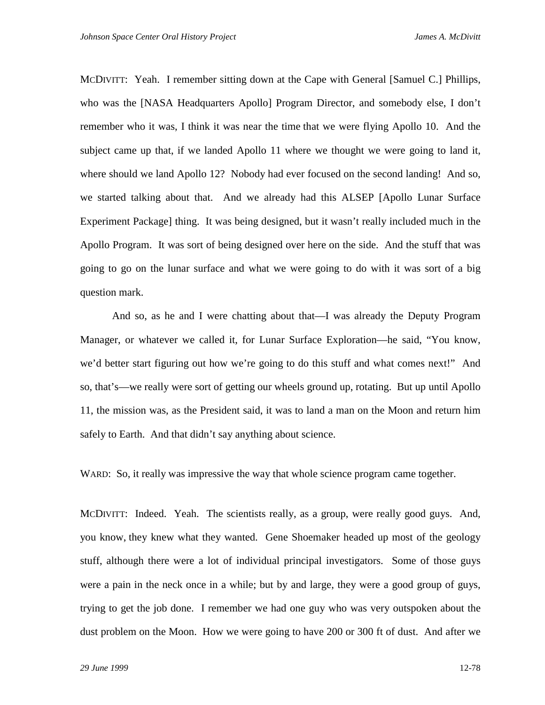MCDIVITT: Yeah. I remember sitting down at the Cape with General [Samuel C.] Phillips, who was the [NASA Headquarters Apollo] Program Director, and somebody else, I don't remember who it was, I think it was near the time that we were flying Apollo 10. And the subject came up that, if we landed Apollo 11 where we thought we were going to land it, where should we land Apollo 12? Nobody had ever focused on the second landing! And so, we started talking about that. And we already had this ALSEP [Apollo Lunar Surface Experiment Package] thing. It was being designed, but it wasn't really included much in the Apollo Program. It was sort of being designed over here on the side. And the stuff that was going to go on the lunar surface and what we were going to do with it was sort of a big question mark.

And so, as he and I were chatting about that—I was already the Deputy Program Manager, or whatever we called it, for Lunar Surface Exploration—he said, "You know, we'd better start figuring out how we're going to do this stuff and what comes next!" And so, that's—we really were sort of getting our wheels ground up, rotating. But up until Apollo 11, the mission was, as the President said, it was to land a man on the Moon and return him safely to Earth. And that didn't say anything about science.

WARD: So, it really was impressive the way that whole science program came together.

MCDIVITT: Indeed. Yeah. The scientists really, as a group, were really good guys. And, you know, they knew what they wanted. Gene Shoemaker headed up most of the geology stuff, although there were a lot of individual principal investigators. Some of those guys were a pain in the neck once in a while; but by and large, they were a good group of guys, trying to get the job done. I remember we had one guy who was very outspoken about the dust problem on the Moon. How we were going to have 200 or 300 ft of dust. And after we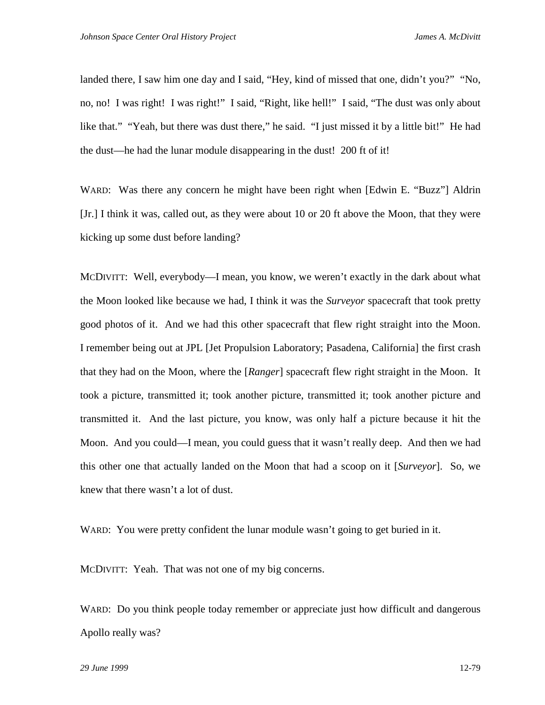landed there, I saw him one day and I said, "Hey, kind of missed that one, didn't you?" "No, no, no! I was right! I was right!" I said, "Right, like hell!" I said, "The dust was only about like that." "Yeah, but there was dust there," he said. "I just missed it by a little bit!" He had the dust—he had the lunar module disappearing in the dust! 200 ft of it!

WARD: Was there any concern he might have been right when [Edwin E. "Buzz"] Aldrin [Jr.] I think it was, called out, as they were about 10 or 20 ft above the Moon, that they were kicking up some dust before landing?

MCDIVITT: Well, everybody—I mean, you know, we weren't exactly in the dark about what the Moon looked like because we had, I think it was the *Surveyor* spacecraft that took pretty good photos of it. And we had this other spacecraft that flew right straight into the Moon. I remember being out at JPL [Jet Propulsion Laboratory; Pasadena, California] the first crash that they had on the Moon, where the [*Ranger*] spacecraft flew right straight in the Moon. It took a picture, transmitted it; took another picture, transmitted it; took another picture and transmitted it. And the last picture, you know, was only half a picture because it hit the Moon. And you could—I mean, you could guess that it wasn't really deep. And then we had this other one that actually landed on the Moon that had a scoop on it [*Surveyor*]. So, we knew that there wasn't a lot of dust.

WARD: You were pretty confident the lunar module wasn't going to get buried in it.

MCDIVITT: Yeah. That was not one of my big concerns.

WARD: Do you think people today remember or appreciate just how difficult and dangerous Apollo really was?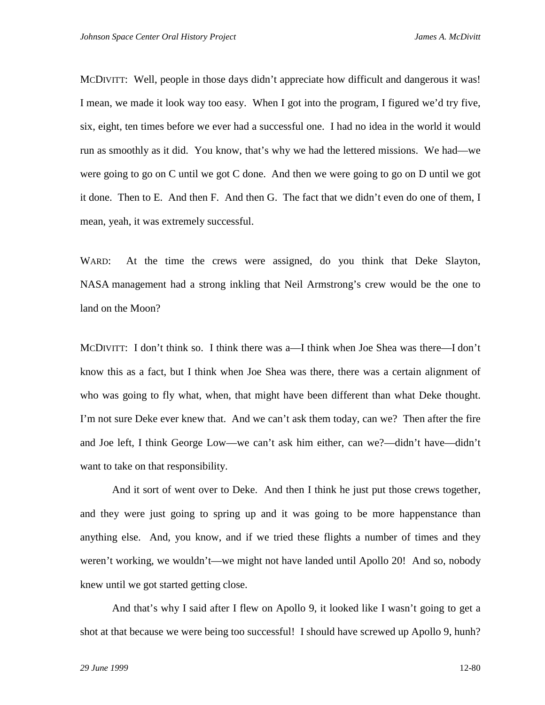MCDIVITT: Well, people in those days didn't appreciate how difficult and dangerous it was! I mean, we made it look way too easy. When I got into the program, I figured we'd try five, six, eight, ten times before we ever had a successful one. I had no idea in the world it would run as smoothly as it did. You know, that's why we had the lettered missions. We had—we were going to go on C until we got C done. And then we were going to go on D until we got it done. Then to E. And then F. And then G. The fact that we didn't even do one of them, I mean, yeah, it was extremely successful.

WARD: At the time the crews were assigned, do you think that Deke Slayton, NASA management had a strong inkling that Neil Armstrong's crew would be the one to land on the Moon?

MCDIVITT: I don't think so. I think there was a—I think when Joe Shea was there—I don't know this as a fact, but I think when Joe Shea was there, there was a certain alignment of who was going to fly what, when, that might have been different than what Deke thought. I'm not sure Deke ever knew that. And we can't ask them today, can we? Then after the fire and Joe left, I think George Low—we can't ask him either, can we?—didn't have—didn't want to take on that responsibility.

And it sort of went over to Deke. And then I think he just put those crews together, and they were just going to spring up and it was going to be more happenstance than anything else. And, you know, and if we tried these flights a number of times and they weren't working, we wouldn't—we might not have landed until Apollo 20! And so, nobody knew until we got started getting close.

And that's why I said after I flew on Apollo 9, it looked like I wasn't going to get a shot at that because we were being too successful! I should have screwed up Apollo 9, hunh?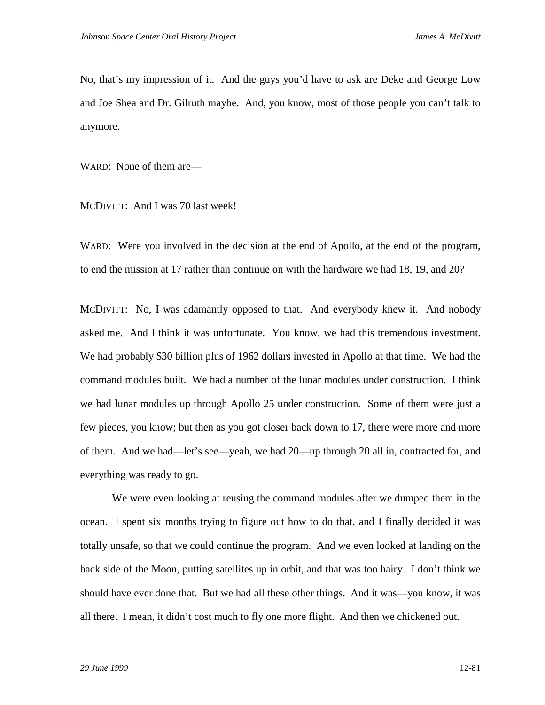No, that's my impression of it. And the guys you'd have to ask are Deke and George Low and Joe Shea and Dr. Gilruth maybe. And, you know, most of those people you can't talk to anymore.

WARD: None of them are—

MCDIVITT: And I was 70 last week!

WARD: Were you involved in the decision at the end of Apollo, at the end of the program, to end the mission at 17 rather than continue on with the hardware we had 18, 19, and 20?

MCDIVITT: No, I was adamantly opposed to that. And everybody knew it. And nobody asked me. And I think it was unfortunate. You know, we had this tremendous investment. We had probably \$30 billion plus of 1962 dollars invested in Apollo at that time. We had the command modules built. We had a number of the lunar modules under construction. I think we had lunar modules up through Apollo 25 under construction. Some of them were just a few pieces, you know; but then as you got closer back down to 17, there were more and more of them. And we had—let's see—yeah, we had 20—up through 20 all in, contracted for, and everything was ready to go.

We were even looking at reusing the command modules after we dumped them in the ocean. I spent six months trying to figure out how to do that, and I finally decided it was totally unsafe, so that we could continue the program. And we even looked at landing on the back side of the Moon, putting satellites up in orbit, and that was too hairy. I don't think we should have ever done that. But we had all these other things. And it was—you know, it was all there. I mean, it didn't cost much to fly one more flight. And then we chickened out.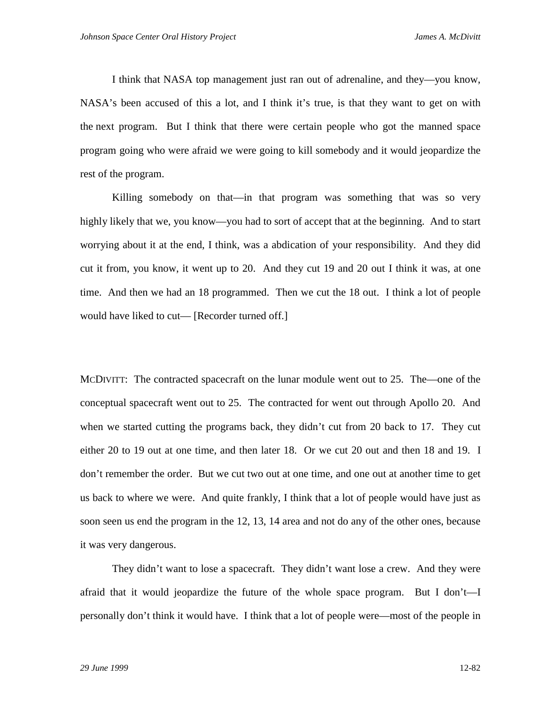I think that NASA top management just ran out of adrenaline, and they—you know, NASA's been accused of this a lot, and I think it's true, is that they want to get on with the next program. But I think that there were certain people who got the manned space program going who were afraid we were going to kill somebody and it would jeopardize the rest of the program.

Killing somebody on that—in that program was something that was so very highly likely that we, you know—you had to sort of accept that at the beginning. And to start worrying about it at the end, I think, was a abdication of your responsibility. And they did cut it from, you know, it went up to 20. And they cut 19 and 20 out I think it was, at one time. And then we had an 18 programmed. Then we cut the 18 out. I think a lot of people would have liked to cut— [Recorder turned off.]

MCDIVITT: The contracted spacecraft on the lunar module went out to 25. The—one of the conceptual spacecraft went out to 25. The contracted for went out through Apollo 20. And when we started cutting the programs back, they didn't cut from 20 back to 17. They cut either 20 to 19 out at one time, and then later 18. Or we cut 20 out and then 18 and 19. I don't remember the order. But we cut two out at one time, and one out at another time to get us back to where we were. And quite frankly, I think that a lot of people would have just as soon seen us end the program in the 12, 13, 14 area and not do any of the other ones, because it was very dangerous.

They didn't want to lose a spacecraft. They didn't want lose a crew. And they were afraid that it would jeopardize the future of the whole space program. But I don't—I personally don't think it would have. I think that a lot of people were—most of the people in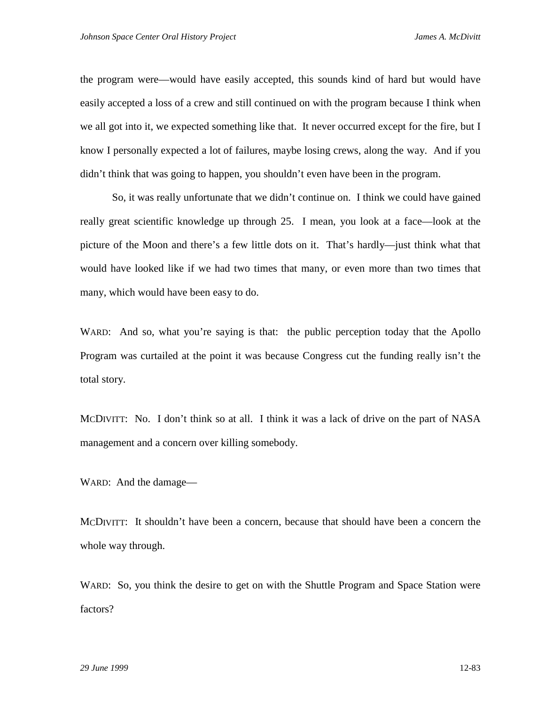the program were—would have easily accepted, this sounds kind of hard but would have easily accepted a loss of a crew and still continued on with the program because I think when we all got into it, we expected something like that. It never occurred except for the fire, but I know I personally expected a lot of failures, maybe losing crews, along the way. And if you didn't think that was going to happen, you shouldn't even have been in the program.

So, it was really unfortunate that we didn't continue on. I think we could have gained really great scientific knowledge up through 25. I mean, you look at a face—look at the picture of the Moon and there's a few little dots on it. That's hardly—just think what that would have looked like if we had two times that many, or even more than two times that many, which would have been easy to do.

WARD: And so, what you're saying is that: the public perception today that the Apollo Program was curtailed at the point it was because Congress cut the funding really isn't the total story.

MCDIVITT: No. I don't think so at all. I think it was a lack of drive on the part of NASA management and a concern over killing somebody.

WARD: And the damage—

MCDIVITT: It shouldn't have been a concern, because that should have been a concern the whole way through.

WARD: So, you think the desire to get on with the Shuttle Program and Space Station were factors?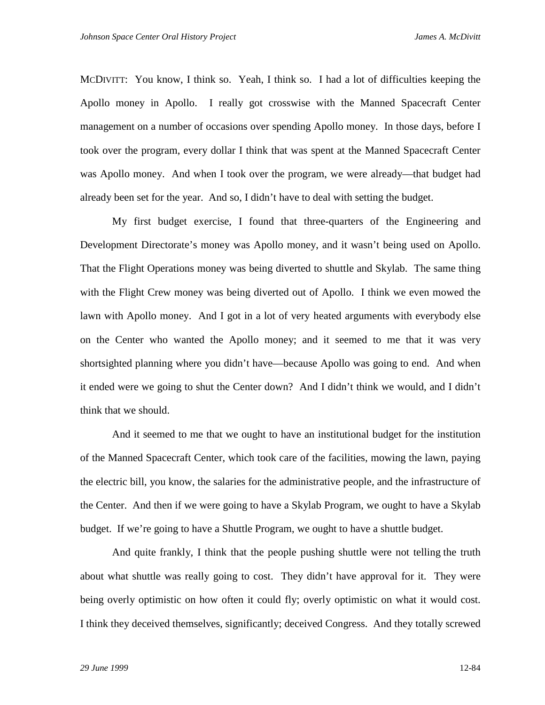MCDIVITT: You know, I think so. Yeah, I think so. I had a lot of difficulties keeping the Apollo money in Apollo. I really got crosswise with the Manned Spacecraft Center management on a number of occasions over spending Apollo money. In those days, before I took over the program, every dollar I think that was spent at the Manned Spacecraft Center was Apollo money. And when I took over the program, we were already—that budget had already been set for the year. And so, I didn't have to deal with setting the budget.

My first budget exercise, I found that three-quarters of the Engineering and Development Directorate's money was Apollo money, and it wasn't being used on Apollo. That the Flight Operations money was being diverted to shuttle and Skylab. The same thing with the Flight Crew money was being diverted out of Apollo. I think we even mowed the lawn with Apollo money. And I got in a lot of very heated arguments with everybody else on the Center who wanted the Apollo money; and it seemed to me that it was very shortsighted planning where you didn't have—because Apollo was going to end. And when it ended were we going to shut the Center down? And I didn't think we would, and I didn't think that we should.

And it seemed to me that we ought to have an institutional budget for the institution of the Manned Spacecraft Center, which took care of the facilities, mowing the lawn, paying the electric bill, you know, the salaries for the administrative people, and the infrastructure of the Center. And then if we were going to have a Skylab Program, we ought to have a Skylab budget. If we're going to have a Shuttle Program, we ought to have a shuttle budget.

And quite frankly, I think that the people pushing shuttle were not telling the truth about what shuttle was really going to cost. They didn't have approval for it. They were being overly optimistic on how often it could fly; overly optimistic on what it would cost. I think they deceived themselves, significantly; deceived Congress. And they totally screwed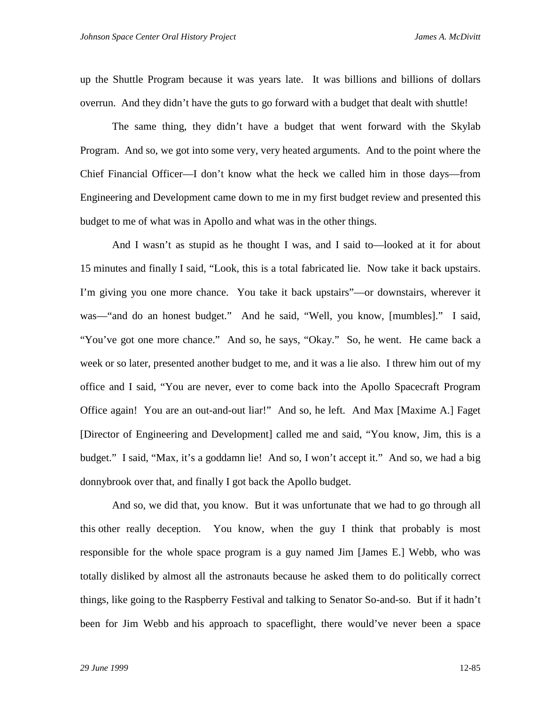up the Shuttle Program because it was years late. It was billions and billions of dollars overrun. And they didn't have the guts to go forward with a budget that dealt with shuttle!

The same thing, they didn't have a budget that went forward with the Skylab Program. And so, we got into some very, very heated arguments. And to the point where the Chief Financial Officer—I don't know what the heck we called him in those days—from Engineering and Development came down to me in my first budget review and presented this budget to me of what was in Apollo and what was in the other things.

And I wasn't as stupid as he thought I was, and I said to—looked at it for about 15 minutes and finally I said, "Look, this is a total fabricated lie. Now take it back upstairs. I'm giving you one more chance. You take it back upstairs"—or downstairs, wherever it was—"and do an honest budget." And he said, "Well, you know, [mumbles]." I said, "You've got one more chance." And so, he says, "Okay." So, he went. He came back a week or so later, presented another budget to me, and it was a lie also. I threw him out of my office and I said, "You are never, ever to come back into the Apollo Spacecraft Program Office again! You are an out-and-out liar!" And so, he left. And Max [Maxime A.] Faget [Director of Engineering and Development] called me and said, "You know, Jim, this is a budget." I said, "Max, it's a goddamn lie! And so, I won't accept it." And so, we had a big donnybrook over that, and finally I got back the Apollo budget.

And so, we did that, you know. But it was unfortunate that we had to go through all this other really deception. You know, when the guy I think that probably is most responsible for the whole space program is a guy named Jim [James E.] Webb, who was totally disliked by almost all the astronauts because he asked them to do politically correct things, like going to the Raspberry Festival and talking to Senator So-and-so. But if it hadn't been for Jim Webb and his approach to spaceflight, there would've never been a space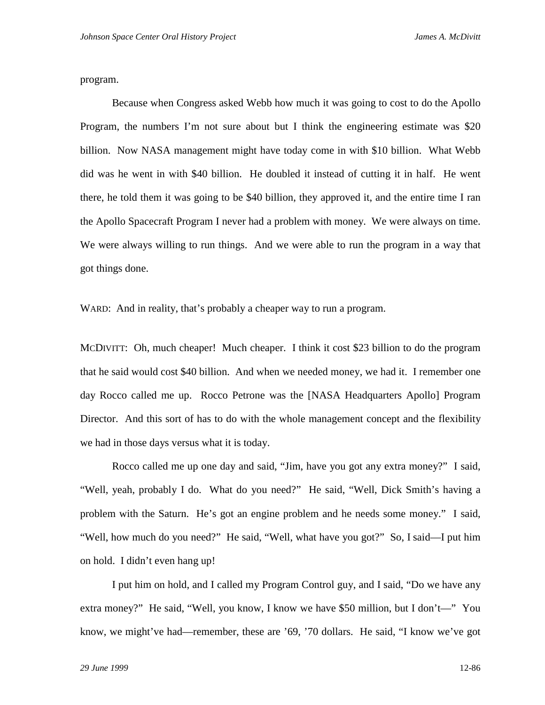program.

Because when Congress asked Webb how much it was going to cost to do the Apollo Program, the numbers I'm not sure about but I think the engineering estimate was \$20 billion. Now NASA management might have today come in with \$10 billion. What Webb did was he went in with \$40 billion. He doubled it instead of cutting it in half. He went there, he told them it was going to be \$40 billion, they approved it, and the entire time I ran the Apollo Spacecraft Program I never had a problem with money. We were always on time. We were always willing to run things. And we were able to run the program in a way that got things done.

WARD: And in reality, that's probably a cheaper way to run a program.

MCDIVITT: Oh, much cheaper! Much cheaper. I think it cost \$23 billion to do the program that he said would cost \$40 billion. And when we needed money, we had it. I remember one day Rocco called me up. Rocco Petrone was the [NASA Headquarters Apollo] Program Director. And this sort of has to do with the whole management concept and the flexibility we had in those days versus what it is today.

Rocco called me up one day and said, "Jim, have you got any extra money?" I said, "Well, yeah, probably I do. What do you need?" He said, "Well, Dick Smith's having a problem with the Saturn. He's got an engine problem and he needs some money." I said, "Well, how much do you need?" He said, "Well, what have you got?" So, I said—I put him on hold. I didn't even hang up!

I put him on hold, and I called my Program Control guy, and I said, "Do we have any extra money?" He said, "Well, you know, I know we have \$50 million, but I don't—" You know, we might've had—remember, these are '69, '70 dollars. He said, "I know we've got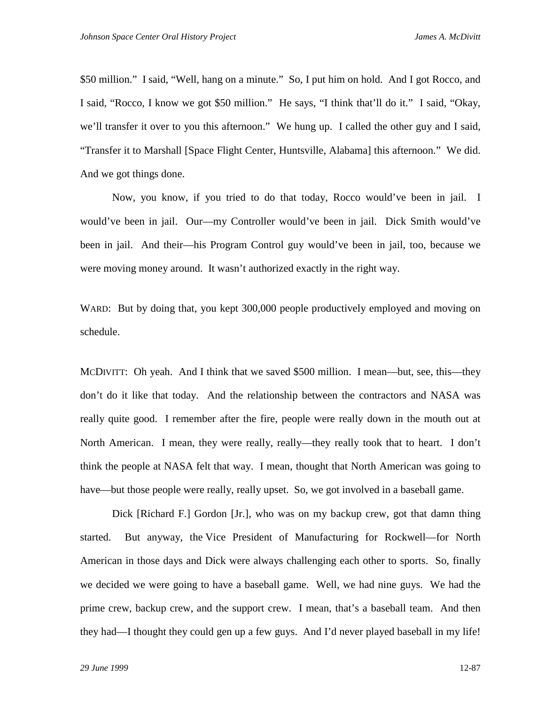\$50 million." I said, "Well, hang on a minute." So, I put him on hold. And I got Rocco, and I said, "Rocco, I know we got \$50 million." He says, "I think that'll do it." I said, "Okay, we'll transfer it over to you this afternoon." We hung up. I called the other guy and I said, "Transfer it to Marshall [Space Flight Center, Huntsville, Alabama] this afternoon." We did. And we got things done.

Now, you know, if you tried to do that today, Rocco would've been in jail. I would've been in jail. Our—my Controller would've been in jail. Dick Smith would've been in jail. And their—his Program Control guy would've been in jail, too, because we were moving money around. It wasn't authorized exactly in the right way.

WARD: But by doing that, you kept 300,000 people productively employed and moving on schedule.

MCDIVITT: Oh yeah. And I think that we saved \$500 million. I mean—but, see, this—they don't do it like that today. And the relationship between the contractors and NASA was really quite good. I remember after the fire, people were really down in the mouth out at North American. I mean, they were really, really—they really took that to heart. I don't think the people at NASA felt that way. I mean, thought that North American was going to have—but those people were really, really upset. So, we got involved in a baseball game.

Dick [Richard F.] Gordon [Jr.], who was on my backup crew, got that damn thing started. But anyway, the Vice President of Manufacturing for Rockwell—for North American in those days and Dick were always challenging each other to sports. So, finally we decided we were going to have a baseball game. Well, we had nine guys. We had the prime crew, backup crew, and the support crew. I mean, that's a baseball team. And then they had—I thought they could gen up a few guys. And I'd never played baseball in my life!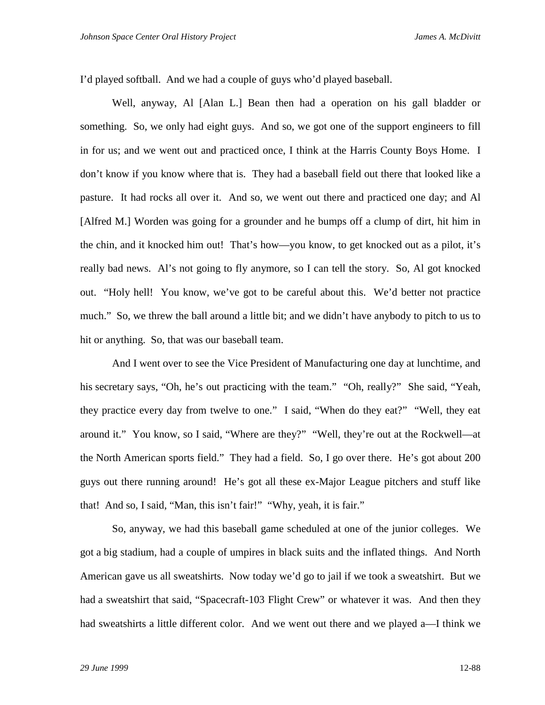I'd played softball. And we had a couple of guys who'd played baseball.

Well, anyway, Al [Alan L.] Bean then had a operation on his gall bladder or something. So, we only had eight guys. And so, we got one of the support engineers to fill in for us; and we went out and practiced once, I think at the Harris County Boys Home. I don't know if you know where that is. They had a baseball field out there that looked like a pasture. It had rocks all over it. And so, we went out there and practiced one day; and Al [Alfred M.] Worden was going for a grounder and he bumps off a clump of dirt, hit him in the chin, and it knocked him out! That's how—you know, to get knocked out as a pilot, it's really bad news. Al's not going to fly anymore, so I can tell the story. So, Al got knocked out. "Holy hell! You know, we've got to be careful about this. We'd better not practice much." So, we threw the ball around a little bit; and we didn't have anybody to pitch to us to hit or anything. So, that was our baseball team.

And I went over to see the Vice President of Manufacturing one day at lunchtime, and his secretary says, "Oh, he's out practicing with the team." "Oh, really?" She said, "Yeah, they practice every day from twelve to one." I said, "When do they eat?" "Well, they eat around it." You know, so I said, "Where are they?" "Well, they're out at the Rockwell—at the North American sports field." They had a field. So, I go over there. He's got about 200 guys out there running around! He's got all these ex-Major League pitchers and stuff like that! And so, I said, "Man, this isn't fair!" "Why, yeah, it is fair."

So, anyway, we had this baseball game scheduled at one of the junior colleges. We got a big stadium, had a couple of umpires in black suits and the inflated things. And North American gave us all sweatshirts. Now today we'd go to jail if we took a sweatshirt. But we had a sweatshirt that said, "Spacecraft-103 Flight Crew" or whatever it was. And then they had sweatshirts a little different color. And we went out there and we played a—I think we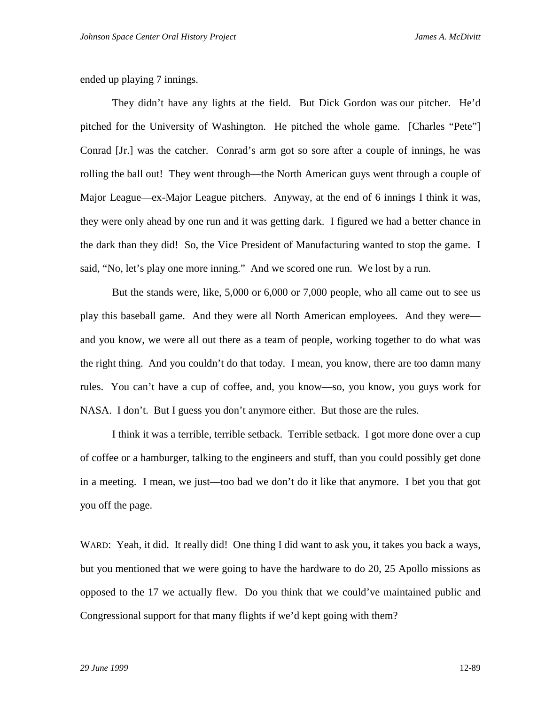ended up playing 7 innings.

They didn't have any lights at the field. But Dick Gordon was our pitcher. He'd pitched for the University of Washington. He pitched the whole game. [Charles "Pete"] Conrad [Jr.] was the catcher. Conrad's arm got so sore after a couple of innings, he was rolling the ball out! They went through—the North American guys went through a couple of Major League—ex-Major League pitchers. Anyway, at the end of 6 innings I think it was, they were only ahead by one run and it was getting dark. I figured we had a better chance in the dark than they did! So, the Vice President of Manufacturing wanted to stop the game. I said, "No, let's play one more inning." And we scored one run. We lost by a run.

But the stands were, like, 5,000 or 6,000 or 7,000 people, who all came out to see us play this baseball game. And they were all North American employees. And they were and you know, we were all out there as a team of people, working together to do what was the right thing. And you couldn't do that today. I mean, you know, there are too damn many rules. You can't have a cup of coffee, and, you know—so, you know, you guys work for NASA. I don't. But I guess you don't anymore either. But those are the rules.

I think it was a terrible, terrible setback. Terrible setback. I got more done over a cup of coffee or a hamburger, talking to the engineers and stuff, than you could possibly get done in a meeting. I mean, we just—too bad we don't do it like that anymore. I bet you that got you off the page.

WARD: Yeah, it did. It really did! One thing I did want to ask you, it takes you back a ways, but you mentioned that we were going to have the hardware to do 20, 25 Apollo missions as opposed to the 17 we actually flew. Do you think that we could've maintained public and Congressional support for that many flights if we'd kept going with them?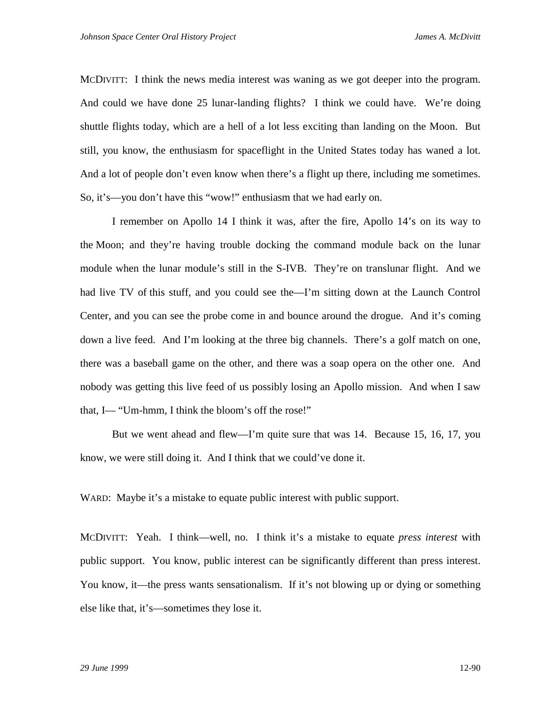MCDIVITT: I think the news media interest was waning as we got deeper into the program. And could we have done 25 lunar-landing flights? I think we could have. We're doing shuttle flights today, which are a hell of a lot less exciting than landing on the Moon. But still, you know, the enthusiasm for spaceflight in the United States today has waned a lot. And a lot of people don't even know when there's a flight up there, including me sometimes. So, it's—you don't have this "wow!" enthusiasm that we had early on.

I remember on Apollo 14 I think it was, after the fire, Apollo 14's on its way to the Moon; and they're having trouble docking the command module back on the lunar module when the lunar module's still in the S-IVB. They're on translunar flight. And we had live TV of this stuff, and you could see the—I'm sitting down at the Launch Control Center, and you can see the probe come in and bounce around the drogue. And it's coming down a live feed. And I'm looking at the three big channels. There's a golf match on one, there was a baseball game on the other, and there was a soap opera on the other one. And nobody was getting this live feed of us possibly losing an Apollo mission. And when I saw that, I— "Um-hmm, I think the bloom's off the rose!"

But we went ahead and flew—I'm quite sure that was 14. Because 15, 16, 17, you know, we were still doing it. And I think that we could've done it.

WARD: Maybe it's a mistake to equate public interest with public support.

MCDIVITT: Yeah. I think—well, no. I think it's a mistake to equate *press interest* with public support. You know, public interest can be significantly different than press interest. You know, it—the press wants sensationalism. If it's not blowing up or dying or something else like that, it's—sometimes they lose it.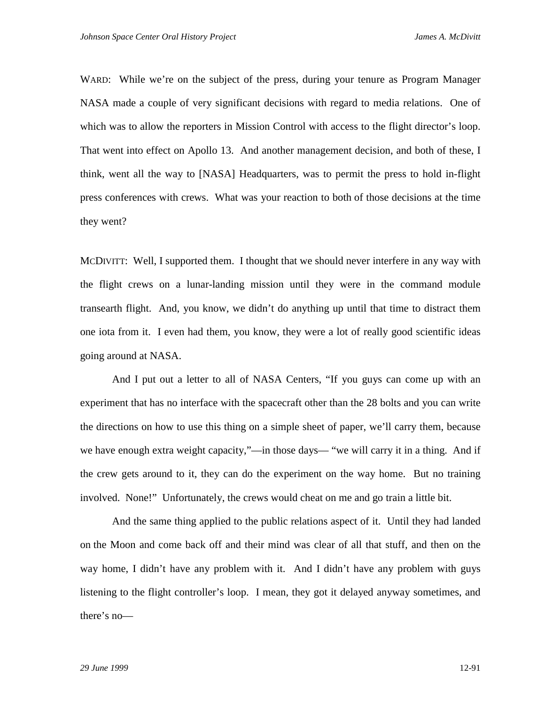WARD: While we're on the subject of the press, during your tenure as Program Manager NASA made a couple of very significant decisions with regard to media relations. One of which was to allow the reporters in Mission Control with access to the flight director's loop. That went into effect on Apollo 13. And another management decision, and both of these, I think, went all the way to [NASA] Headquarters, was to permit the press to hold in-flight press conferences with crews. What was your reaction to both of those decisions at the time they went?

MCDIVITT: Well, I supported them. I thought that we should never interfere in any way with the flight crews on a lunar-landing mission until they were in the command module transearth flight. And, you know, we didn't do anything up until that time to distract them one iota from it. I even had them, you know, they were a lot of really good scientific ideas going around at NASA.

And I put out a letter to all of NASA Centers, "If you guys can come up with an experiment that has no interface with the spacecraft other than the 28 bolts and you can write the directions on how to use this thing on a simple sheet of paper, we'll carry them, because we have enough extra weight capacity,"—in those days— "we will carry it in a thing. And if the crew gets around to it, they can do the experiment on the way home. But no training involved. None!" Unfortunately, the crews would cheat on me and go train a little bit.

And the same thing applied to the public relations aspect of it. Until they had landed on the Moon and come back off and their mind was clear of all that stuff, and then on the way home, I didn't have any problem with it. And I didn't have any problem with guys listening to the flight controller's loop. I mean, they got it delayed anyway sometimes, and there's no—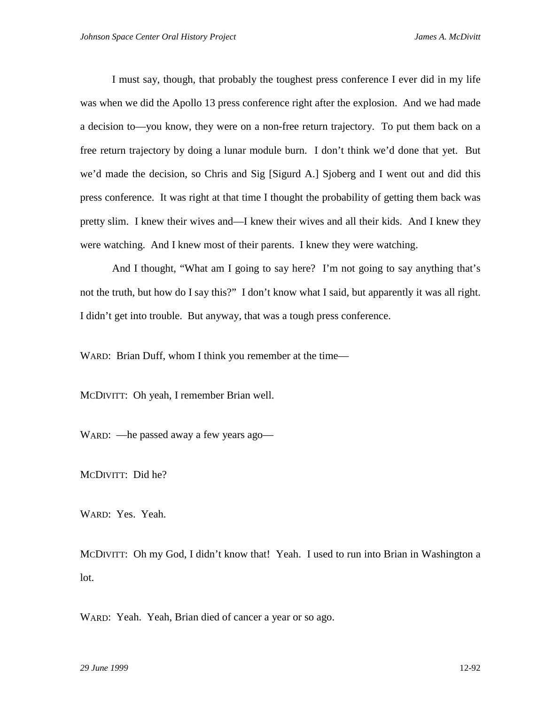I must say, though, that probably the toughest press conference I ever did in my life was when we did the Apollo 13 press conference right after the explosion. And we had made a decision to—you know, they were on a non-free return trajectory. To put them back on a free return trajectory by doing a lunar module burn. I don't think we'd done that yet. But we'd made the decision, so Chris and Sig [Sigurd A.] Sjoberg and I went out and did this press conference. It was right at that time I thought the probability of getting them back was pretty slim. I knew their wives and—I knew their wives and all their kids. And I knew they were watching. And I knew most of their parents. I knew they were watching.

And I thought, "What am I going to say here? I'm not going to say anything that's not the truth, but how do I say this?" I don't know what I said, but apparently it was all right. I didn't get into trouble. But anyway, that was a tough press conference.

WARD: Brian Duff, whom I think you remember at the time—

MCDIVITT: Oh yeah, I remember Brian well.

WARD: —he passed away a few years ago—

MCDIVITT: Did he?

WARD: Yes. Yeah.

MCDIVITT: Oh my God, I didn't know that! Yeah. I used to run into Brian in Washington a lot.

WARD: Yeah. Yeah, Brian died of cancer a year or so ago.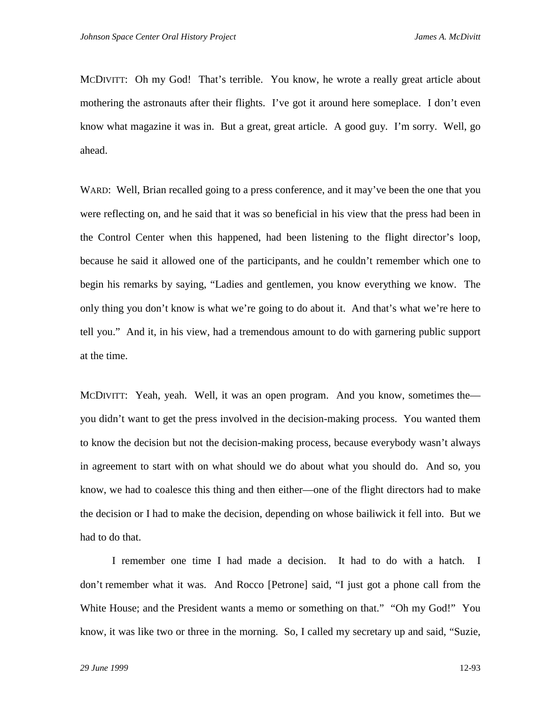MCDIVITT: Oh my God! That's terrible. You know, he wrote a really great article about mothering the astronauts after their flights. I've got it around here someplace. I don't even know what magazine it was in. But a great, great article. A good guy. I'm sorry. Well, go ahead.

WARD: Well, Brian recalled going to a press conference, and it may've been the one that you were reflecting on, and he said that it was so beneficial in his view that the press had been in the Control Center when this happened, had been listening to the flight director's loop, because he said it allowed one of the participants, and he couldn't remember which one to begin his remarks by saying, "Ladies and gentlemen, you know everything we know. The only thing you don't know is what we're going to do about it. And that's what we're here to tell you." And it, in his view, had a tremendous amount to do with garnering public support at the time.

MCDIVITT: Yeah, yeah. Well, it was an open program. And you know, sometimes the you didn't want to get the press involved in the decision-making process. You wanted them to know the decision but not the decision-making process, because everybody wasn't always in agreement to start with on what should we do about what you should do. And so, you know, we had to coalesce this thing and then either—one of the flight directors had to make the decision or I had to make the decision, depending on whose bailiwick it fell into. But we had to do that.

I remember one time I had made a decision. It had to do with a hatch. I don't remember what it was. And Rocco [Petrone] said, "I just got a phone call from the White House; and the President wants a memo or something on that." "Oh my God!" You know, it was like two or three in the morning. So, I called my secretary up and said, "Suzie,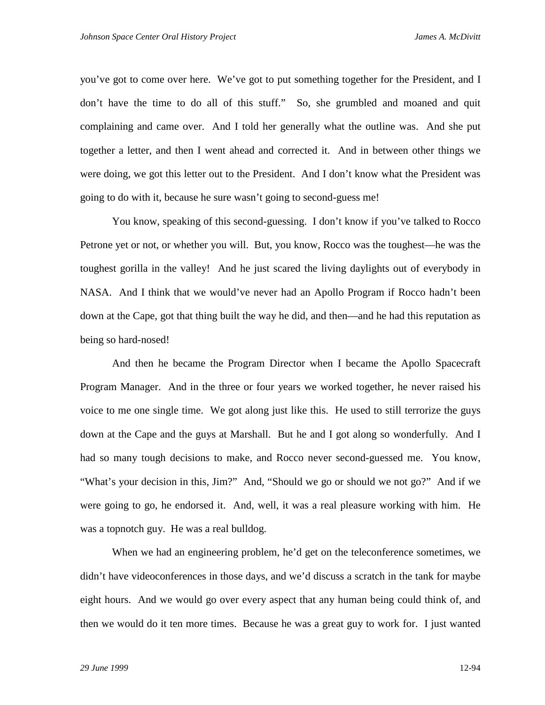you've got to come over here. We've got to put something together for the President, and I don't have the time to do all of this stuff." So, she grumbled and moaned and quit complaining and came over. And I told her generally what the outline was. And she put together a letter, and then I went ahead and corrected it. And in between other things we were doing, we got this letter out to the President. And I don't know what the President was going to do with it, because he sure wasn't going to second-guess me!

You know, speaking of this second-guessing. I don't know if you've talked to Rocco Petrone yet or not, or whether you will. But, you know, Rocco was the toughest—he was the toughest gorilla in the valley! And he just scared the living daylights out of everybody in NASA. And I think that we would've never had an Apollo Program if Rocco hadn't been down at the Cape, got that thing built the way he did, and then—and he had this reputation as being so hard-nosed!

And then he became the Program Director when I became the Apollo Spacecraft Program Manager. And in the three or four years we worked together, he never raised his voice to me one single time. We got along just like this. He used to still terrorize the guys down at the Cape and the guys at Marshall. But he and I got along so wonderfully. And I had so many tough decisions to make, and Rocco never second-guessed me. You know, "What's your decision in this, Jim?" And, "Should we go or should we not go?" And if we were going to go, he endorsed it. And, well, it was a real pleasure working with him. He was a topnotch guy. He was a real bulldog.

When we had an engineering problem, he'd get on the teleconference sometimes, we didn't have videoconferences in those days, and we'd discuss a scratch in the tank for maybe eight hours. And we would go over every aspect that any human being could think of, and then we would do it ten more times. Because he was a great guy to work for. I just wanted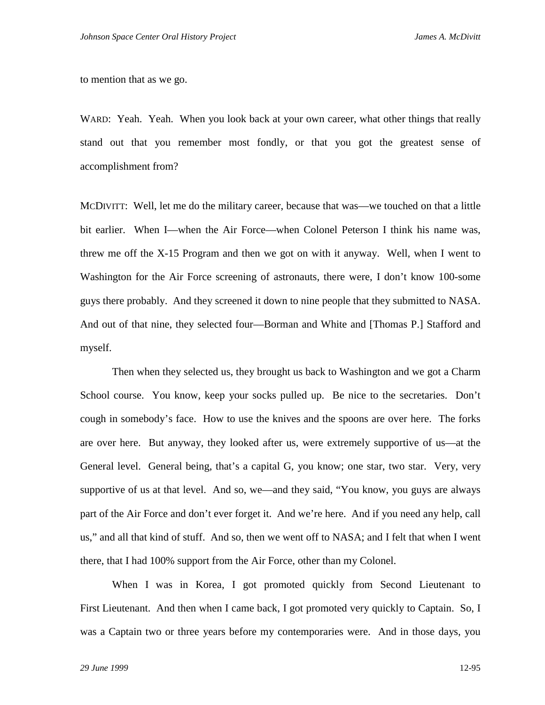to mention that as we go.

WARD: Yeah. Yeah. When you look back at your own career, what other things that really stand out that you remember most fondly, or that you got the greatest sense of accomplishment from?

MCDIVITT: Well, let me do the military career, because that was—we touched on that a little bit earlier. When I—when the Air Force—when Colonel Peterson I think his name was, threw me off the X-15 Program and then we got on with it anyway. Well, when I went to Washington for the Air Force screening of astronauts, there were, I don't know 100-some guys there probably. And they screened it down to nine people that they submitted to NASA. And out of that nine, they selected four—Borman and White and [Thomas P.] Stafford and myself.

Then when they selected us, they brought us back to Washington and we got a Charm School course. You know, keep your socks pulled up. Be nice to the secretaries. Don't cough in somebody's face. How to use the knives and the spoons are over here. The forks are over here. But anyway, they looked after us, were extremely supportive of us—at the General level. General being, that's a capital G, you know; one star, two star. Very, very supportive of us at that level. And so, we—and they said, "You know, you guys are always part of the Air Force and don't ever forget it. And we're here. And if you need any help, call us," and all that kind of stuff. And so, then we went off to NASA; and I felt that when I went there, that I had 100% support from the Air Force, other than my Colonel.

When I was in Korea, I got promoted quickly from Second Lieutenant to First Lieutenant. And then when I came back, I got promoted very quickly to Captain. So, I was a Captain two or three years before my contemporaries were. And in those days, you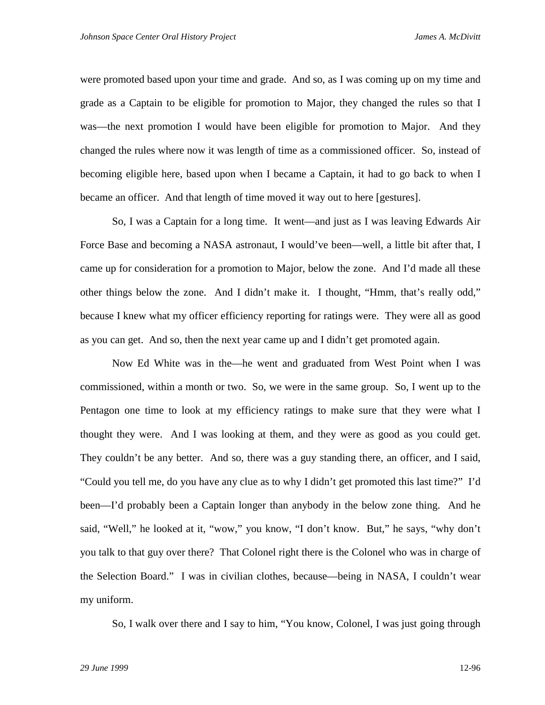were promoted based upon your time and grade. And so, as I was coming up on my time and grade as a Captain to be eligible for promotion to Major, they changed the rules so that I was—the next promotion I would have been eligible for promotion to Major. And they changed the rules where now it was length of time as a commissioned officer. So, instead of becoming eligible here, based upon when I became a Captain, it had to go back to when I became an officer. And that length of time moved it way out to here [gestures].

So, I was a Captain for a long time. It went—and just as I was leaving Edwards Air Force Base and becoming a NASA astronaut, I would've been—well, a little bit after that, I came up for consideration for a promotion to Major, below the zone. And I'd made all these other things below the zone. And I didn't make it. I thought, "Hmm, that's really odd," because I knew what my officer efficiency reporting for ratings were. They were all as good as you can get. And so, then the next year came up and I didn't get promoted again.

Now Ed White was in the—he went and graduated from West Point when I was commissioned, within a month or two. So, we were in the same group. So, I went up to the Pentagon one time to look at my efficiency ratings to make sure that they were what I thought they were. And I was looking at them, and they were as good as you could get. They couldn't be any better. And so, there was a guy standing there, an officer, and I said, "Could you tell me, do you have any clue as to why I didn't get promoted this last time?" I'd been—I'd probably been a Captain longer than anybody in the below zone thing. And he said, "Well," he looked at it, "wow," you know, "I don't know. But," he says, "why don't you talk to that guy over there? That Colonel right there is the Colonel who was in charge of the Selection Board." I was in civilian clothes, because—being in NASA, I couldn't wear my uniform.

So, I walk over there and I say to him, "You know, Colonel, I was just going through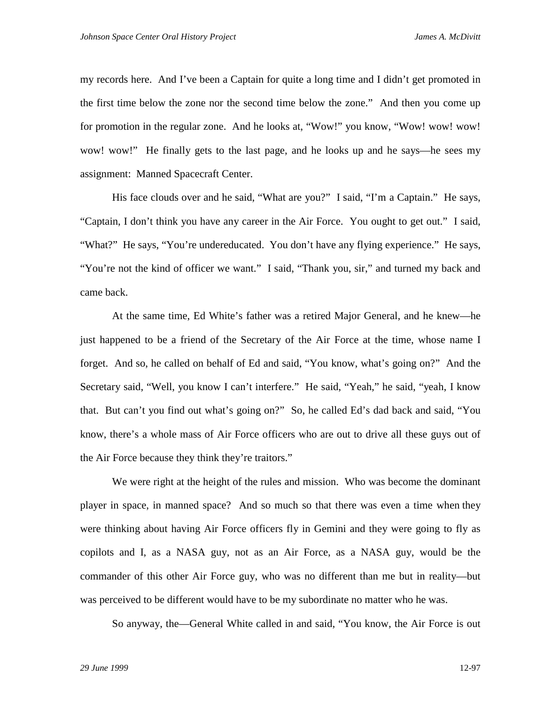my records here. And I've been a Captain for quite a long time and I didn't get promoted in the first time below the zone nor the second time below the zone." And then you come up for promotion in the regular zone. And he looks at, "Wow!" you know, "Wow! wow! wow! wow! wow!" He finally gets to the last page, and he looks up and he says—he sees my assignment: Manned Spacecraft Center.

His face clouds over and he said, "What are you?" I said, "I'm a Captain." He says, "Captain, I don't think you have any career in the Air Force. You ought to get out." I said, "What?" He says, "You're undereducated. You don't have any flying experience." He says, "You're not the kind of officer we want." I said, "Thank you, sir," and turned my back and came back.

At the same time, Ed White's father was a retired Major General, and he knew—he just happened to be a friend of the Secretary of the Air Force at the time, whose name I forget. And so, he called on behalf of Ed and said, "You know, what's going on?" And the Secretary said, "Well, you know I can't interfere." He said, "Yeah," he said, "yeah, I know that. But can't you find out what's going on?" So, he called Ed's dad back and said, "You know, there's a whole mass of Air Force officers who are out to drive all these guys out of the Air Force because they think they're traitors."

We were right at the height of the rules and mission. Who was become the dominant player in space, in manned space? And so much so that there was even a time when they were thinking about having Air Force officers fly in Gemini and they were going to fly as copilots and I, as a NASA guy, not as an Air Force, as a NASA guy, would be the commander of this other Air Force guy, who was no different than me but in reality—but was perceived to be different would have to be my subordinate no matter who he was.

So anyway, the—General White called in and said, "You know, the Air Force is out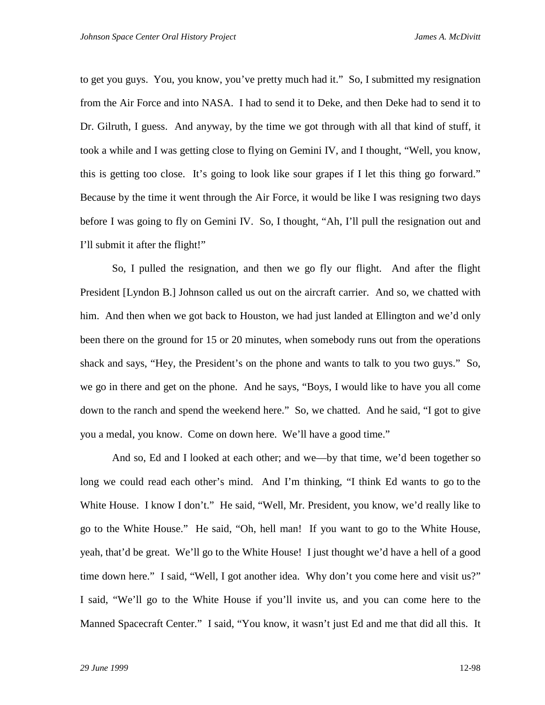to get you guys. You, you know, you've pretty much had it." So, I submitted my resignation from the Air Force and into NASA. I had to send it to Deke, and then Deke had to send it to Dr. Gilruth, I guess. And anyway, by the time we got through with all that kind of stuff, it took a while and I was getting close to flying on Gemini IV, and I thought, "Well, you know, this is getting too close. It's going to look like sour grapes if I let this thing go forward." Because by the time it went through the Air Force, it would be like I was resigning two days before I was going to fly on Gemini IV. So, I thought, "Ah, I'll pull the resignation out and I'll submit it after the flight!"

So, I pulled the resignation, and then we go fly our flight. And after the flight President [Lyndon B.] Johnson called us out on the aircraft carrier. And so, we chatted with him. And then when we got back to Houston, we had just landed at Ellington and we'd only been there on the ground for 15 or 20 minutes, when somebody runs out from the operations shack and says, "Hey, the President's on the phone and wants to talk to you two guys." So, we go in there and get on the phone. And he says, "Boys, I would like to have you all come down to the ranch and spend the weekend here." So, we chatted. And he said, "I got to give you a medal, you know. Come on down here. We'll have a good time."

And so, Ed and I looked at each other; and we—by that time, we'd been together so long we could read each other's mind. And I'm thinking, "I think Ed wants to go to the White House. I know I don't." He said, "Well, Mr. President, you know, we'd really like to go to the White House." He said, "Oh, hell man! If you want to go to the White House, yeah, that'd be great. We'll go to the White House! I just thought we'd have a hell of a good time down here." I said, "Well, I got another idea. Why don't you come here and visit us?" I said, "We'll go to the White House if you'll invite us, and you can come here to the Manned Spacecraft Center." I said, "You know, it wasn't just Ed and me that did all this. It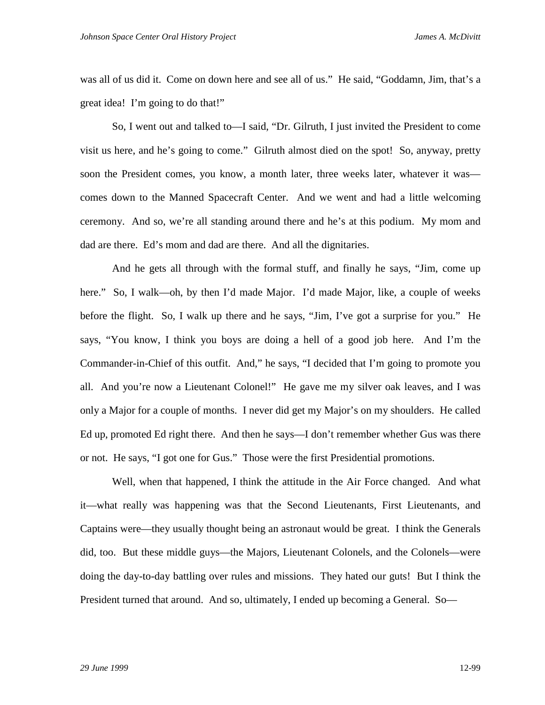was all of us did it. Come on down here and see all of us." He said, "Goddamn, Jim, that's a great idea! I'm going to do that!"

So, I went out and talked to—I said, "Dr. Gilruth, I just invited the President to come visit us here, and he's going to come." Gilruth almost died on the spot! So, anyway, pretty soon the President comes, you know, a month later, three weeks later, whatever it was comes down to the Manned Spacecraft Center. And we went and had a little welcoming ceremony. And so, we're all standing around there and he's at this podium. My mom and dad are there. Ed's mom and dad are there. And all the dignitaries.

And he gets all through with the formal stuff, and finally he says, "Jim, come up here." So, I walk—oh, by then I'd made Major. I'd made Major, like, a couple of weeks before the flight. So, I walk up there and he says, "Jim, I've got a surprise for you." He says, "You know, I think you boys are doing a hell of a good job here. And I'm the Commander-in-Chief of this outfit. And," he says, "I decided that I'm going to promote you all. And you're now a Lieutenant Colonel!" He gave me my silver oak leaves, and I was only a Major for a couple of months. I never did get my Major's on my shoulders. He called Ed up, promoted Ed right there. And then he says—I don't remember whether Gus was there or not. He says, "I got one for Gus." Those were the first Presidential promotions.

Well, when that happened, I think the attitude in the Air Force changed. And what it—what really was happening was that the Second Lieutenants, First Lieutenants, and Captains were—they usually thought being an astronaut would be great. I think the Generals did, too. But these middle guys—the Majors, Lieutenant Colonels, and the Colonels—were doing the day-to-day battling over rules and missions. They hated our guts! But I think the President turned that around. And so, ultimately, I ended up becoming a General. So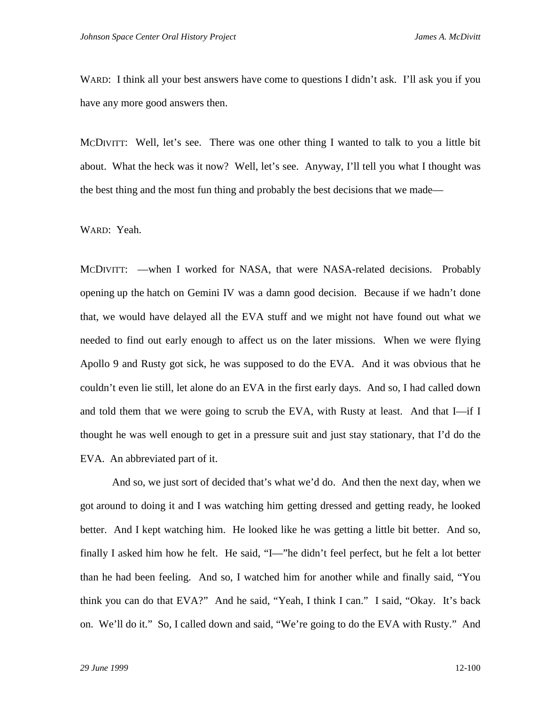WARD: I think all your best answers have come to questions I didn't ask. I'll ask you if you have any more good answers then.

MCDIVITT: Well, let's see. There was one other thing I wanted to talk to you a little bit about. What the heck was it now? Well, let's see. Anyway, I'll tell you what I thought was the best thing and the most fun thing and probably the best decisions that we made—

## WARD: Yeah.

MCDIVITT: —when I worked for NASA, that were NASA-related decisions. Probably opening up the hatch on Gemini IV was a damn good decision. Because if we hadn't done that, we would have delayed all the EVA stuff and we might not have found out what we needed to find out early enough to affect us on the later missions. When we were flying Apollo 9 and Rusty got sick, he was supposed to do the EVA. And it was obvious that he couldn't even lie still, let alone do an EVA in the first early days. And so, I had called down and told them that we were going to scrub the EVA, with Rusty at least. And that I—if I thought he was well enough to get in a pressure suit and just stay stationary, that I'd do the EVA. An abbreviated part of it.

And so, we just sort of decided that's what we'd do. And then the next day, when we got around to doing it and I was watching him getting dressed and getting ready, he looked better. And I kept watching him. He looked like he was getting a little bit better. And so, finally I asked him how he felt. He said, "I—"he didn't feel perfect, but he felt a lot better than he had been feeling. And so, I watched him for another while and finally said, "You think you can do that EVA?" And he said, "Yeah, I think I can." I said, "Okay. It's back on. We'll do it." So, I called down and said, "We're going to do the EVA with Rusty." And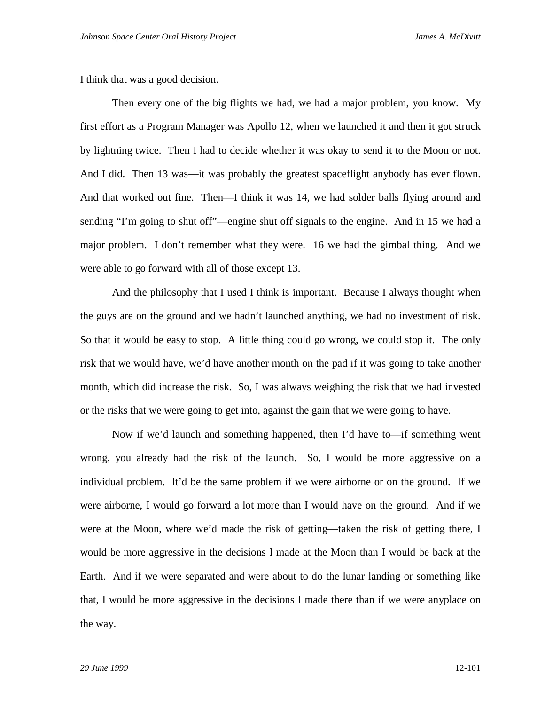I think that was a good decision.

Then every one of the big flights we had, we had a major problem, you know. My first effort as a Program Manager was Apollo 12, when we launched it and then it got struck by lightning twice. Then I had to decide whether it was okay to send it to the Moon or not. And I did. Then 13 was—it was probably the greatest spaceflight anybody has ever flown. And that worked out fine. Then—I think it was 14, we had solder balls flying around and sending "I'm going to shut off"—engine shut off signals to the engine. And in 15 we had a major problem. I don't remember what they were. 16 we had the gimbal thing. And we were able to go forward with all of those except 13.

And the philosophy that I used I think is important. Because I always thought when the guys are on the ground and we hadn't launched anything, we had no investment of risk. So that it would be easy to stop. A little thing could go wrong, we could stop it. The only risk that we would have, we'd have another month on the pad if it was going to take another month, which did increase the risk. So, I was always weighing the risk that we had invested or the risks that we were going to get into, against the gain that we were going to have.

Now if we'd launch and something happened, then I'd have to—if something went wrong, you already had the risk of the launch. So, I would be more aggressive on a individual problem. It'd be the same problem if we were airborne or on the ground. If we were airborne, I would go forward a lot more than I would have on the ground. And if we were at the Moon, where we'd made the risk of getting—taken the risk of getting there, I would be more aggressive in the decisions I made at the Moon than I would be back at the Earth. And if we were separated and were about to do the lunar landing or something like that, I would be more aggressive in the decisions I made there than if we were anyplace on the way.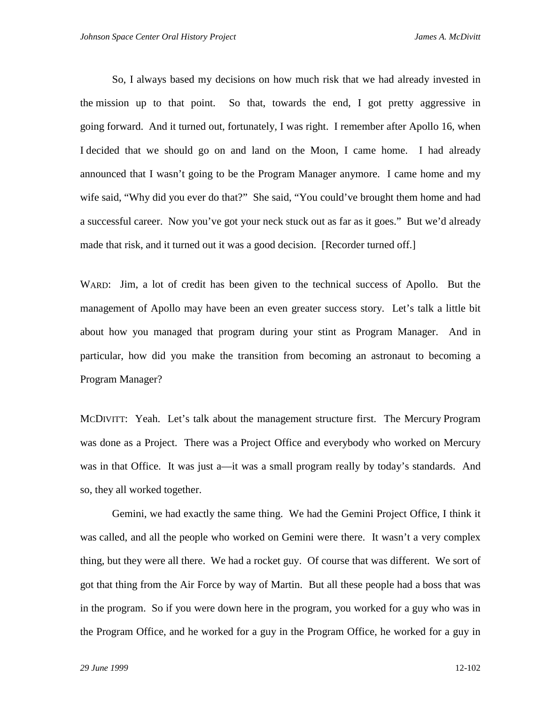So, I always based my decisions on how much risk that we had already invested in the mission up to that point. So that, towards the end, I got pretty aggressive in going forward. And it turned out, fortunately, I was right. I remember after Apollo 16, when I decided that we should go on and land on the Moon, I came home. I had already announced that I wasn't going to be the Program Manager anymore. I came home and my wife said, "Why did you ever do that?" She said, "You could've brought them home and had a successful career. Now you've got your neck stuck out as far as it goes." But we'd already made that risk, and it turned out it was a good decision. [Recorder turned off.]

WARD: Jim, a lot of credit has been given to the technical success of Apollo. But the management of Apollo may have been an even greater success story. Let's talk a little bit about how you managed that program during your stint as Program Manager. And in particular, how did you make the transition from becoming an astronaut to becoming a Program Manager?

MCDIVITT: Yeah. Let's talk about the management structure first. The Mercury Program was done as a Project. There was a Project Office and everybody who worked on Mercury was in that Office. It was just a—it was a small program really by today's standards. And so, they all worked together.

Gemini, we had exactly the same thing. We had the Gemini Project Office, I think it was called, and all the people who worked on Gemini were there. It wasn't a very complex thing, but they were all there. We had a rocket guy. Of course that was different. We sort of got that thing from the Air Force by way of Martin. But all these people had a boss that was in the program. So if you were down here in the program, you worked for a guy who was in the Program Office, and he worked for a guy in the Program Office, he worked for a guy in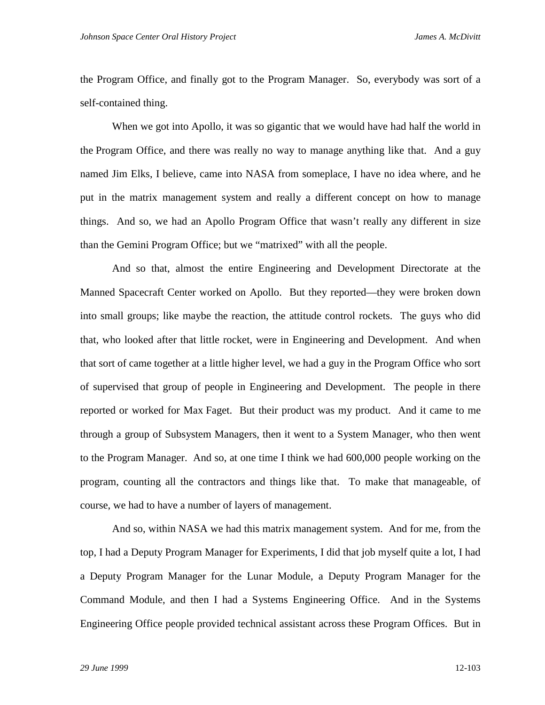the Program Office, and finally got to the Program Manager. So, everybody was sort of a self-contained thing.

When we got into Apollo, it was so gigantic that we would have had half the world in the Program Office, and there was really no way to manage anything like that. And a guy named Jim Elks, I believe, came into NASA from someplace, I have no idea where, and he put in the matrix management system and really a different concept on how to manage things. And so, we had an Apollo Program Office that wasn't really any different in size than the Gemini Program Office; but we "matrixed" with all the people.

And so that, almost the entire Engineering and Development Directorate at the Manned Spacecraft Center worked on Apollo. But they reported—they were broken down into small groups; like maybe the reaction, the attitude control rockets. The guys who did that, who looked after that little rocket, were in Engineering and Development. And when that sort of came together at a little higher level, we had a guy in the Program Office who sort of supervised that group of people in Engineering and Development. The people in there reported or worked for Max Faget. But their product was my product. And it came to me through a group of Subsystem Managers, then it went to a System Manager, who then went to the Program Manager. And so, at one time I think we had 600,000 people working on the program, counting all the contractors and things like that. To make that manageable, of course, we had to have a number of layers of management.

And so, within NASA we had this matrix management system. And for me, from the top, I had a Deputy Program Manager for Experiments, I did that job myself quite a lot, I had a Deputy Program Manager for the Lunar Module, a Deputy Program Manager for the Command Module, and then I had a Systems Engineering Office. And in the Systems Engineering Office people provided technical assistant across these Program Offices. But in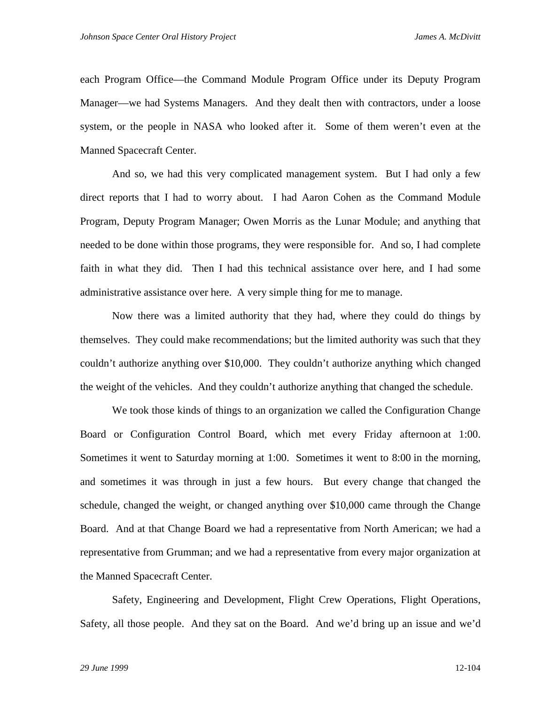each Program Office—the Command Module Program Office under its Deputy Program Manager—we had Systems Managers. And they dealt then with contractors, under a loose system, or the people in NASA who looked after it. Some of them weren't even at the Manned Spacecraft Center.

And so, we had this very complicated management system. But I had only a few direct reports that I had to worry about. I had Aaron Cohen as the Command Module Program, Deputy Program Manager; Owen Morris as the Lunar Module; and anything that needed to be done within those programs, they were responsible for. And so, I had complete faith in what they did. Then I had this technical assistance over here, and I had some administrative assistance over here. A very simple thing for me to manage.

Now there was a limited authority that they had, where they could do things by themselves. They could make recommendations; but the limited authority was such that they couldn't authorize anything over \$10,000. They couldn't authorize anything which changed the weight of the vehicles. And they couldn't authorize anything that changed the schedule.

We took those kinds of things to an organization we called the Configuration Change Board or Configuration Control Board, which met every Friday afternoon at 1:00. Sometimes it went to Saturday morning at 1:00. Sometimes it went to 8:00 in the morning, and sometimes it was through in just a few hours. But every change that changed the schedule, changed the weight, or changed anything over \$10,000 came through the Change Board. And at that Change Board we had a representative from North American; we had a representative from Grumman; and we had a representative from every major organization at the Manned Spacecraft Center.

Safety, Engineering and Development, Flight Crew Operations, Flight Operations, Safety, all those people. And they sat on the Board. And we'd bring up an issue and we'd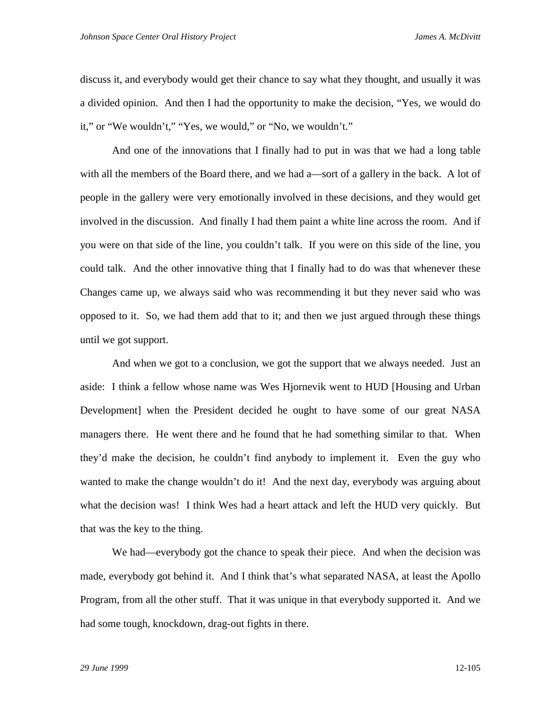discuss it, and everybody would get their chance to say what they thought, and usually it was a divided opinion. And then I had the opportunity to make the decision, "Yes, we would do it," or "We wouldn't," "Yes, we would," or "No, we wouldn't."

And one of the innovations that I finally had to put in was that we had a long table with all the members of the Board there, and we had a—sort of a gallery in the back. A lot of people in the gallery were very emotionally involved in these decisions, and they would get involved in the discussion. And finally I had them paint a white line across the room. And if you were on that side of the line, you couldn't talk. If you were on this side of the line, you could talk. And the other innovative thing that I finally had to do was that whenever these Changes came up, we always said who was recommending it but they never said who was opposed to it. So, we had them add that to it; and then we just argued through these things until we got support.

And when we got to a conclusion, we got the support that we always needed. Just an aside: I think a fellow whose name was Wes Hjornevik went to HUD [Housing and Urban Development] when the President decided he ought to have some of our great NASA managers there. He went there and he found that he had something similar to that. When they'd make the decision, he couldn't find anybody to implement it. Even the guy who wanted to make the change wouldn't do it! And the next day, everybody was arguing about what the decision was! I think Wes had a heart attack and left the HUD very quickly. But that was the key to the thing.

We had—everybody got the chance to speak their piece. And when the decision was made, everybody got behind it. And I think that's what separated NASA, at least the Apollo Program, from all the other stuff. That it was unique in that everybody supported it. And we had some tough, knockdown, drag-out fights in there.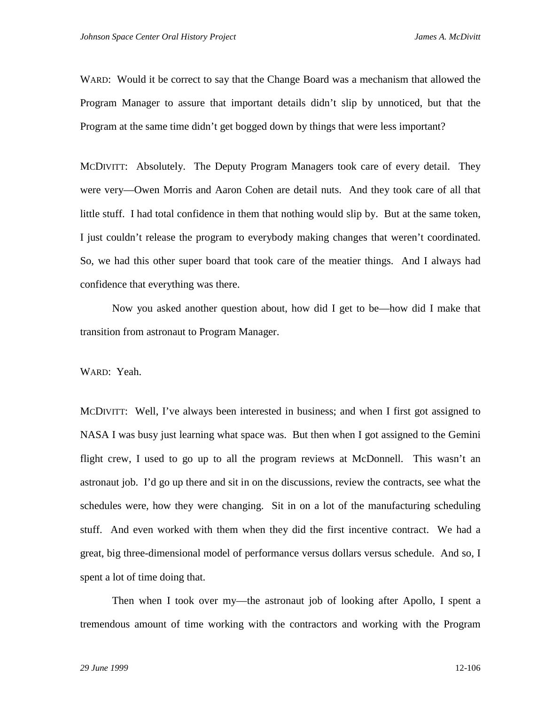WARD: Would it be correct to say that the Change Board was a mechanism that allowed the Program Manager to assure that important details didn't slip by unnoticed, but that the Program at the same time didn't get bogged down by things that were less important?

MCDIVITT: Absolutely. The Deputy Program Managers took care of every detail. They were very—Owen Morris and Aaron Cohen are detail nuts. And they took care of all that little stuff. I had total confidence in them that nothing would slip by. But at the same token, I just couldn't release the program to everybody making changes that weren't coordinated. So, we had this other super board that took care of the meatier things. And I always had confidence that everything was there.

Now you asked another question about, how did I get to be—how did I make that transition from astronaut to Program Manager.

WARD: Yeah.

MCDIVITT: Well, I've always been interested in business; and when I first got assigned to NASA I was busy just learning what space was. But then when I got assigned to the Gemini flight crew, I used to go up to all the program reviews at McDonnell. This wasn't an astronaut job. I'd go up there and sit in on the discussions, review the contracts, see what the schedules were, how they were changing. Sit in on a lot of the manufacturing scheduling stuff. And even worked with them when they did the first incentive contract. We had a great, big three-dimensional model of performance versus dollars versus schedule. And so, I spent a lot of time doing that.

Then when I took over my—the astronaut job of looking after Apollo, I spent a tremendous amount of time working with the contractors and working with the Program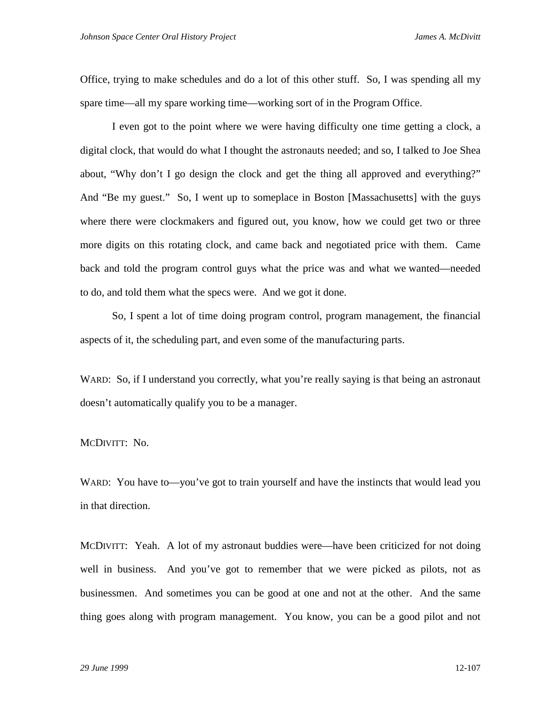Office, trying to make schedules and do a lot of this other stuff. So, I was spending all my spare time—all my spare working time—working sort of in the Program Office.

I even got to the point where we were having difficulty one time getting a clock, a digital clock, that would do what I thought the astronauts needed; and so, I talked to Joe Shea about, "Why don't I go design the clock and get the thing all approved and everything?" And "Be my guest." So, I went up to someplace in Boston [Massachusetts] with the guys where there were clockmakers and figured out, you know, how we could get two or three more digits on this rotating clock, and came back and negotiated price with them. Came back and told the program control guys what the price was and what we wanted—needed to do, and told them what the specs were. And we got it done.

So, I spent a lot of time doing program control, program management, the financial aspects of it, the scheduling part, and even some of the manufacturing parts.

WARD: So, if I understand you correctly, what you're really saying is that being an astronaut doesn't automatically qualify you to be a manager.

MCDIVITT: No.

WARD: You have to—you've got to train yourself and have the instincts that would lead you in that direction.

MCDIVITT: Yeah. A lot of my astronaut buddies were—have been criticized for not doing well in business. And you've got to remember that we were picked as pilots, not as businessmen. And sometimes you can be good at one and not at the other. And the same thing goes along with program management. You know, you can be a good pilot and not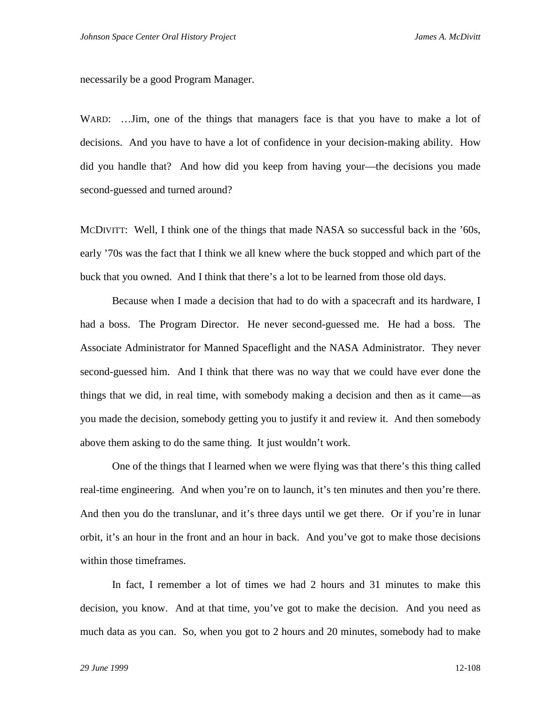necessarily be a good Program Manager.

WARD: ... Jim, one of the things that managers face is that you have to make a lot of decisions. And you have to have a lot of confidence in your decision-making ability. How did you handle that? And how did you keep from having your—the decisions you made second-guessed and turned around?

MCDIVITT: Well, I think one of the things that made NASA so successful back in the '60s, early '70s was the fact that I think we all knew where the buck stopped and which part of the buck that you owned. And I think that there's a lot to be learned from those old days.

Because when I made a decision that had to do with a spacecraft and its hardware, I had a boss. The Program Director. He never second-guessed me. He had a boss. The Associate Administrator for Manned Spaceflight and the NASA Administrator. They never second-guessed him. And I think that there was no way that we could have ever done the things that we did, in real time, with somebody making a decision and then as it came—as you made the decision, somebody getting you to justify it and review it. And then somebody above them asking to do the same thing. It just wouldn't work.

One of the things that I learned when we were flying was that there's this thing called real-time engineering. And when you're on to launch, it's ten minutes and then you're there. And then you do the translunar, and it's three days until we get there. Or if you're in lunar orbit, it's an hour in the front and an hour in back. And you've got to make those decisions within those timeframes.

In fact, I remember a lot of times we had 2 hours and 31 minutes to make this decision, you know. And at that time, you've got to make the decision. And you need as much data as you can. So, when you got to 2 hours and 20 minutes, somebody had to make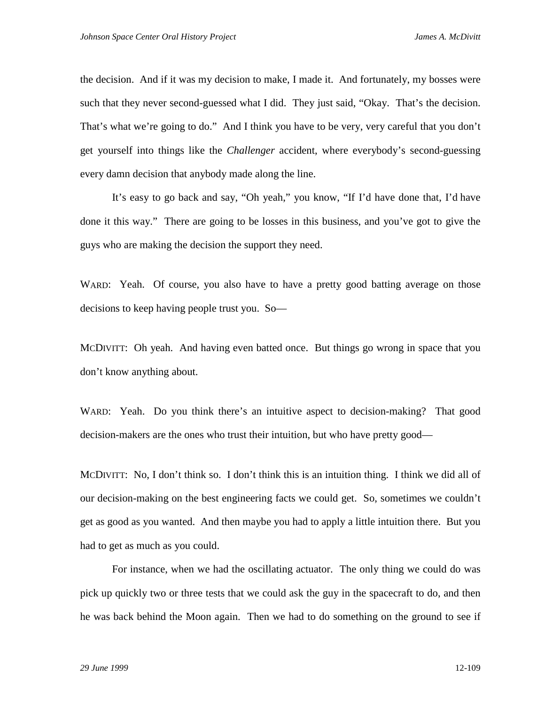the decision. And if it was my decision to make, I made it. And fortunately, my bosses were such that they never second-guessed what I did. They just said, "Okay. That's the decision. That's what we're going to do." And I think you have to be very, very careful that you don't get yourself into things like the *Challenger* accident, where everybody's second-guessing every damn decision that anybody made along the line.

It's easy to go back and say, "Oh yeah," you know, "If I'd have done that, I'd have done it this way." There are going to be losses in this business, and you've got to give the guys who are making the decision the support they need.

WARD: Yeah. Of course, you also have to have a pretty good batting average on those decisions to keep having people trust you. So—

MCDIVITT: Oh yeah. And having even batted once. But things go wrong in space that you don't know anything about.

WARD: Yeah. Do you think there's an intuitive aspect to decision-making? That good decision-makers are the ones who trust their intuition, but who have pretty good—

MCDIVITT: No, I don't think so. I don't think this is an intuition thing. I think we did all of our decision-making on the best engineering facts we could get. So, sometimes we couldn't get as good as you wanted. And then maybe you had to apply a little intuition there. But you had to get as much as you could.

For instance, when we had the oscillating actuator. The only thing we could do was pick up quickly two or three tests that we could ask the guy in the spacecraft to do, and then he was back behind the Moon again. Then we had to do something on the ground to see if